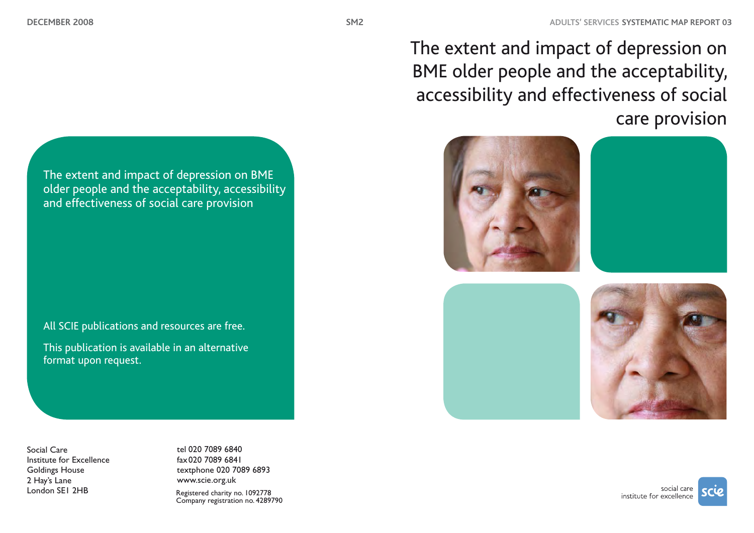The extent and impact of depression on BME older people and the acceptability, accessibility and effectiveness of social care provision



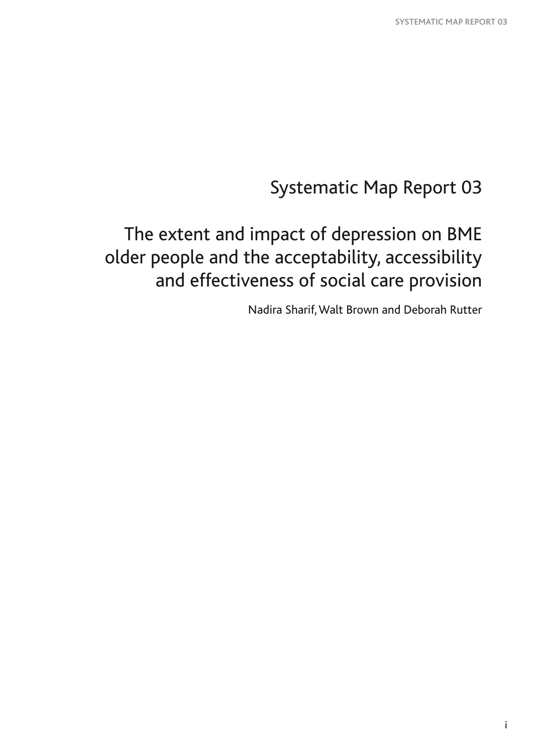# Systematic Map Report 03

# The extent and impact of depression on BME older people and the acceptability, accessibility and effectiveness of social care provision

Nadira Sharif, Walt Brown and Deborah Rutter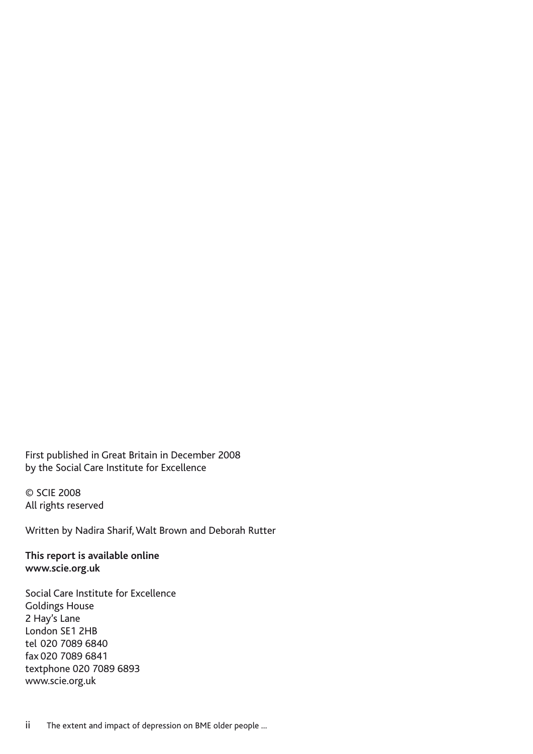First published in Great Britain in December 2008 by the Social Care Institute for Excellence

© SCIE 2008 All rights reserved

Written by Nadira Sharif, Walt Brown and Deborah Rutter

**This report is available online www.scie.org.uk**

Social Care Institute for Excellence Goldings House 2 Hay's Lane London SE1 2HB tel 020 7089 6840 fax 020 7089 6841 textphone 020 7089 6893 www.scie.org.uk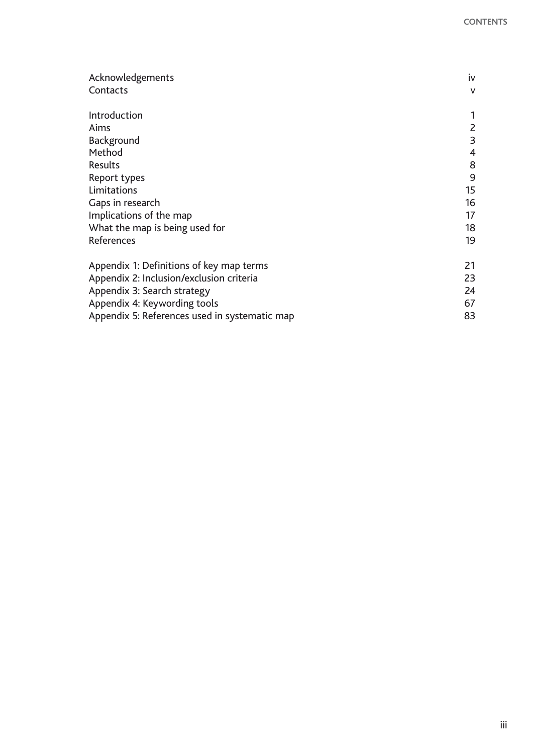| Acknowledgements                              | iv             |
|-----------------------------------------------|----------------|
| Contacts                                      | $\mathsf{V}$   |
| Introduction                                  |                |
| Aims                                          | $\overline{2}$ |
| Background                                    | 3              |
| Method                                        | $\overline{4}$ |
| Results                                       | 8              |
| Report types                                  | 9              |
| Limitations                                   | 15             |
| Gaps in research                              | 16             |
| Implications of the map                       | 17             |
| What the map is being used for                | 18             |
| References                                    | 19             |
| Appendix 1: Definitions of key map terms      | 21             |
| Appendix 2: Inclusion/exclusion criteria      | 23             |
| Appendix 3: Search strategy                   | 24             |
| Appendix 4: Keywording tools                  | 67             |
| Appendix 5: References used in systematic map | 83             |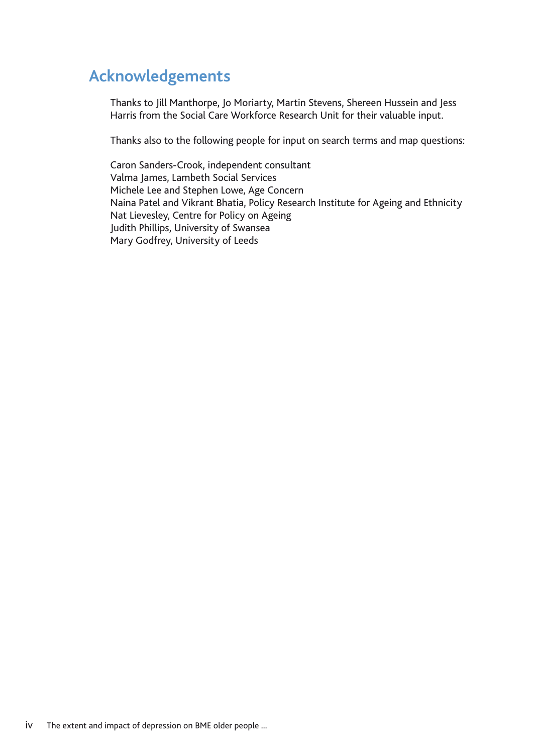# **Acknowledgements**

Thanks to Jill Manthorpe, Jo Moriarty, Martin Stevens, Shereen Hussein and Jess Harris from the Social Care Workforce Research Unit for their valuable input.

Thanks also to the following people for input on search terms and map questions:

Caron Sanders-Crook, independent consultant Valma James, Lambeth Social Services Michele Lee and Stephen Lowe, Age Concern Naina Patel and Vikrant Bhatia, Policy Research Institute for Ageing and Ethnicity Nat Lievesley, Centre for Policy on Ageing Judith Phillips, University of Swansea Mary Godfrey, University of Leeds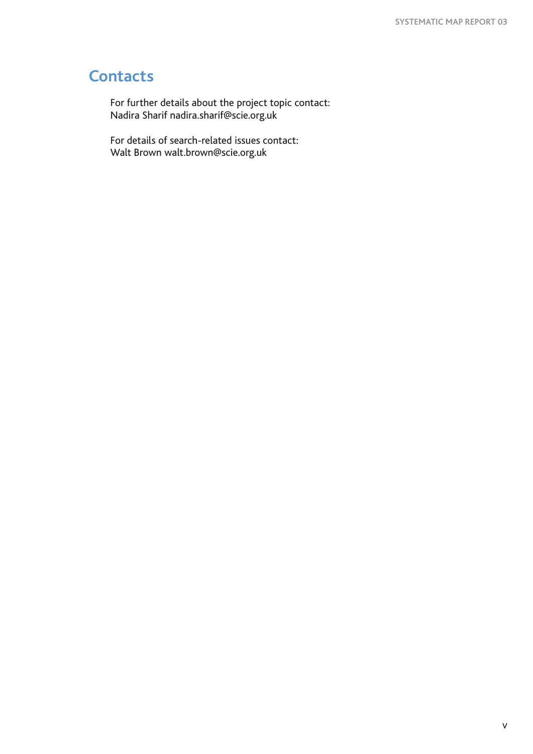# **Contacts**

For further details about the project topic contact: Nadira Sharif nadira.sharif@scie.org.uk

For details of search-related issues contact: Walt Brown walt.brown@scie.org.uk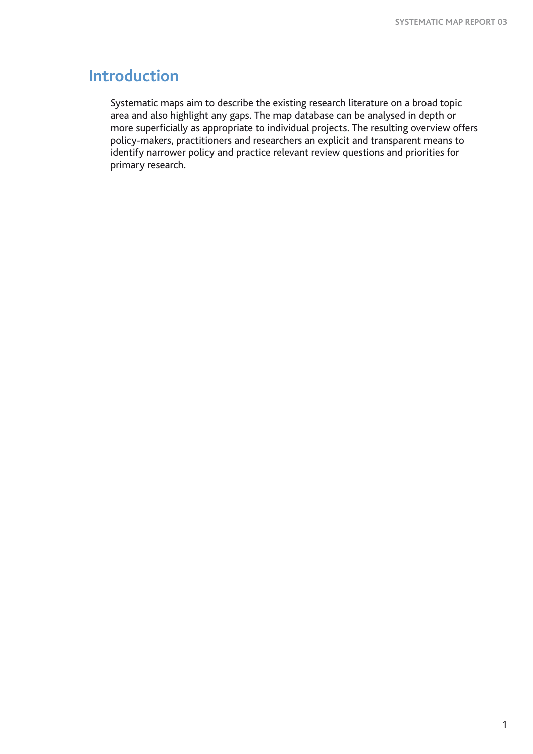# **Introduction**

Systematic maps aim to describe the existing research literature on a broad topic area and also highlight any gaps. The map database can be analysed in depth or more superficially as appropriate to individual projects. The resulting overview offers policy-makers, practitioners and researchers an explicit and transparent means to identify narrower policy and practice relevant review questions and priorities for primary research.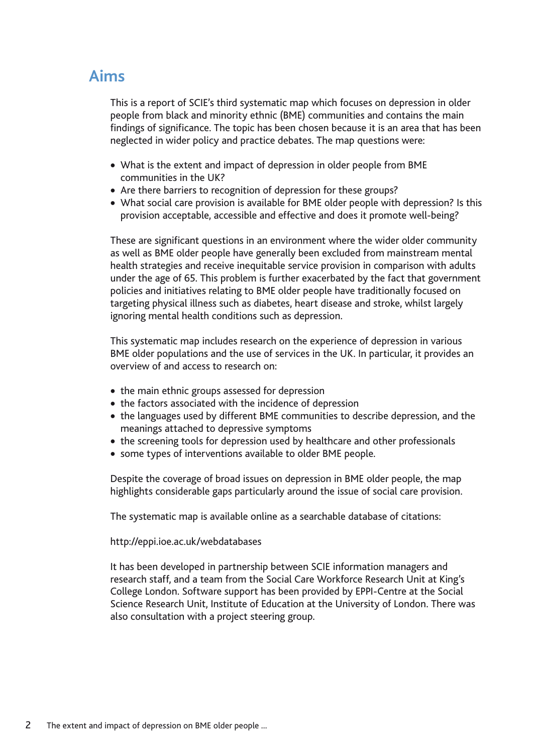# **Aims**

This is a report of SCIE's third systematic map which focuses on depression in older people from black and minority ethnic (BME) communities and contains the main findings of significance. The topic has been chosen because it is an area that has been neglected in wider policy and practice debates. The map questions were:

- What is the extent and impact of depression in older people from BME communities in the UK?
- Are there barriers to recognition of depression for these groups?
- What social care provision is available for BME older people with depression? Is this provision acceptable, accessible and effective and does it promote well-being?

These are significant questions in an environment where the wider older community as well as BME older people have generally been excluded from mainstream mental health strategies and receive inequitable service provision in comparison with adults under the age of 65. This problem is further exacerbated by the fact that government policies and initiatives relating to BME older people have traditionally focused on targeting physical illness such as diabetes, heart disease and stroke, whilst largely ignoring mental health conditions such as depression.

This systematic map includes research on the experience of depression in various BME older populations and the use of services in the UK. In particular, it provides an overview of and access to research on:

- the main ethnic groups assessed for depression
- the factors associated with the incidence of depression
- the languages used by different BME communities to describe depression, and the meanings attached to depressive symptoms
- the screening tools for depression used by healthcare and other professionals
- some types of interventions available to older BME people.

Despite the coverage of broad issues on depression in BME older people, the map highlights considerable gaps particularly around the issue of social care provision.

The systematic map is available online as a searchable database of citations:

### http://eppi.ioe.ac.uk/webdatabases

It has been developed in partnership between SCIE information managers and research staff, and a team from the Social Care Workforce Research Unit at King's College London. Software support has been provided by EPPI-Centre at the Social Science Research Unit, Institute of Education at the University of London. There was also consultation with a project steering group.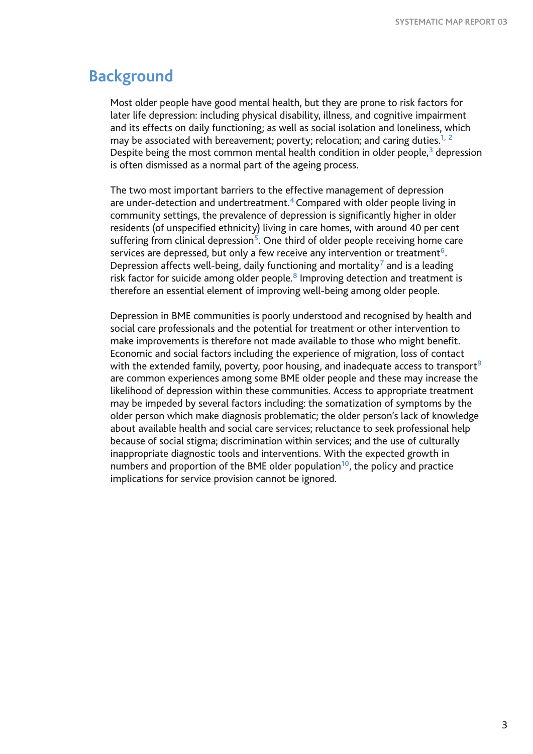# **Background**

Most older people have good mental health, but they are prone to risk factors for later life depression: including physical disability, illness, and cognitive impairment and its effects on daily functioning; as well as social isolation and loneliness, which may be associated with bereavement; poverty; relocation; and caring duties.**1, <sup>2</sup>** Despite being the most common mental health condition in older people,**<sup>3</sup>** depression is often dismissed as a normal part of the ageing process.

The two most important barriers to the effective management of depression are under-detection and undertreatment.**<sup>4</sup>**Compared with older people living in community settings, the prevalence of depression is significantly higher in older residents (of unspecified ethnicity) living in care homes, with around 40 per cent suffering from clinical depression**<sup>5</sup>**. One third of older people receiving home care services are depressed, but only a few receive any intervention or treatment**<sup>6</sup>**. Depression affects well-being, daily functioning and mortality**<sup>7</sup>** and is a leading risk factor for suicide among older people.**<sup>8</sup>** Improving detection and treatment is therefore an essential element of improving well-being among older people.

Depression in BME communities is poorly understood and recognised by health and social care professionals and the potential for treatment or other intervention to make improvements is therefore not made available to those who might benefit. Economic and social factors including the experience of migration, loss of contact with the extended family, poverty, poor housing, and inadequate access to transport**<sup>9</sup>** are common experiences among some BME older people and these may increase the likelihood of depression within these communities. Access to appropriate treatment may be impeded by several factors including: the somatization of symptoms by the older person which make diagnosis problematic; the older person's lack of knowledge about available health and social care services; reluctance to seek professional help because of social stigma; discrimination within services; and the use of culturally inappropriate diagnostic tools and interventions. With the expected growth in numbers and proportion of the BME older population**<sup>10</sup>**, the policy and practice implications for service provision cannot be ignored.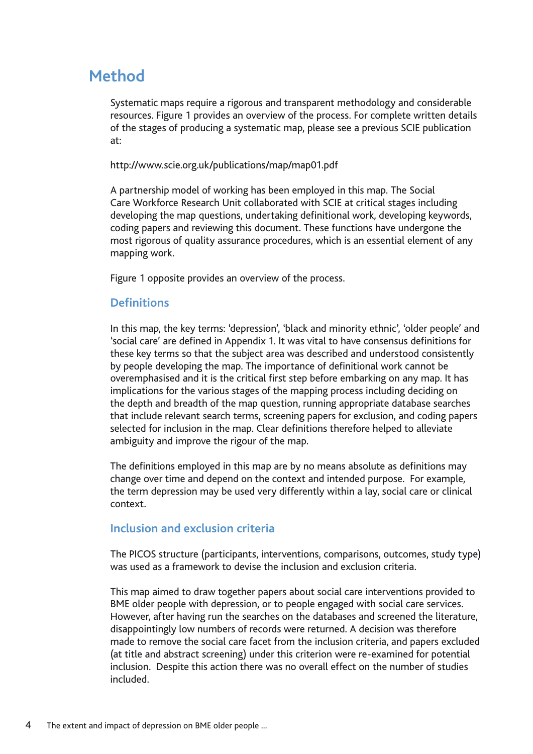# **Method**

Systematic maps require a rigorous and transparent methodology and considerable resources. Figure 1 provides an overview of the process. For complete written details of the stages of producing a systematic map, please see a previous SCIE publication at:

http://www.scie.org.uk/publications/map/map01.pdf

A partnership model of working has been employed in this map. The Social Care Workforce Research Unit collaborated with SCIE at critical stages including developing the map questions, undertaking definitional work, developing keywords, coding papers and reviewing this document. These functions have undergone the most rigorous of quality assurance procedures, which is an essential element of any mapping work.

Figure 1 opposite provides an overview of the process.

# **Definitions**

In this map, the key terms: 'depression', 'black and minority ethnic', 'older people' and 'social care' are defined in Appendix 1. It was vital to have consensus definitions for these key terms so that the subject area was described and understood consistently by people developing the map. The importance of definitional work cannot be overemphasised and it is the critical first step before embarking on any map. It has implications for the various stages of the mapping process including deciding on the depth and breadth of the map question, running appropriate database searches that include relevant search terms, screening papers for exclusion, and coding papers selected for inclusion in the map. Clear definitions therefore helped to alleviate ambiguity and improve the rigour of the map.

The definitions employed in this map are by no means absolute as definitions may change over time and depend on the context and intended purpose. For example, the term depression may be used very differently within a lay, social care or clinical context.

# **Inclusion and exclusion criteria**

The PICOS structure (participants, interventions, comparisons, outcomes, study type) was used as a framework to devise the inclusion and exclusion criteria.

This map aimed to draw together papers about social care interventions provided to BME older people with depression, or to people engaged with social care services. However, after having run the searches on the databases and screened the literature, disappointingly low numbers of records were returned. A decision was therefore made to remove the social care facet from the inclusion criteria, and papers excluded (at title and abstract screening) under this criterion were re-examined for potential inclusion. Despite this action there was no overall effect on the number of studies included.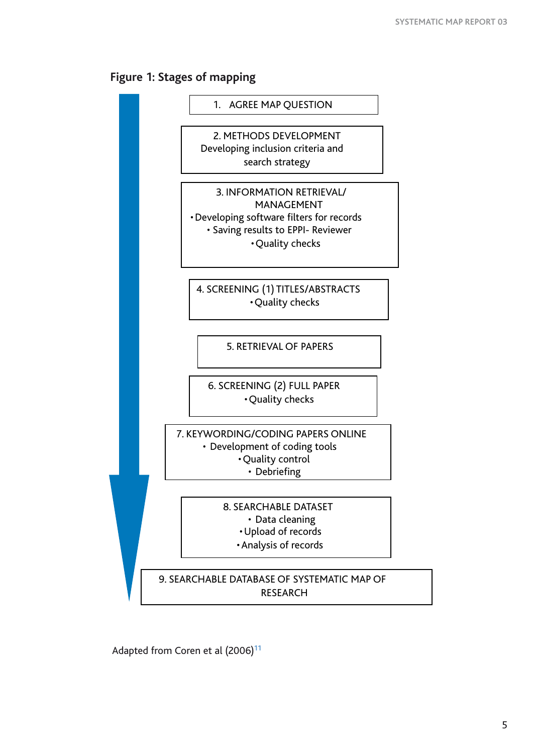



Adapted from Coren et al (2006)**<sup>11</sup>**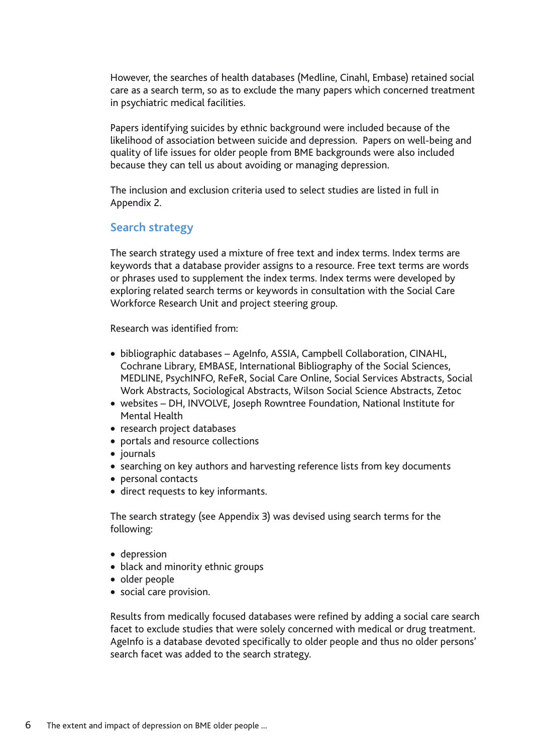However, the searches of health databases (Medline, Cinahl, Embase) retained social care as a search term, so as to exclude the many papers which concerned treatment in psychiatric medical facilities.

Papers identifying suicides by ethnic background were included because of the likelihood of association between suicide and depression. Papers on well-being and quality of life issues for older people from BME backgrounds were also included because they can tell us about avoiding or managing depression.

The inclusion and exclusion criteria used to select studies are listed in full in Appendix 2.

### **Search strategy**

The search strategy used a mixture of free text and index terms. Index terms are keywords that a database provider assigns to a resource. Free text terms are words or phrases used to supplement the index terms. Index terms were developed by exploring related search terms or keywords in consultation with the Social Care Workforce Research Unit and project steering group.

Research was identified from:

- bibliographic databases AgeInfo, ASSIA, Campbell Collaboration, CINAHL, Cochrane Library, EMBASE, International Bibliography of the Social Sciences, MEDLINE, PsychINFO, ReFeR, Social Care Online, Social Services Abstracts, Social Work Abstracts, Sociological Abstracts, Wilson Social Science Abstracts, Zetoc
- websites DH, INVOLVE, Joseph Rowntree Foundation, National Institute for Mental Health
- research project databases
- portals and resource collections
- • journals
- searching on key authors and harvesting reference lists from key documents
- • personal contacts
- direct requests to key informants.

The search strategy (see Appendix 3) was devised using search terms for the following:

- • depression
- black and minority ethnic groups
- • older people
- social care provision.

Results from medically focused databases were refined by adding a social care search facet to exclude studies that were solely concerned with medical or drug treatment. AgeInfo is a database devoted specifically to older people and thus no older persons' search facet was added to the search strategy.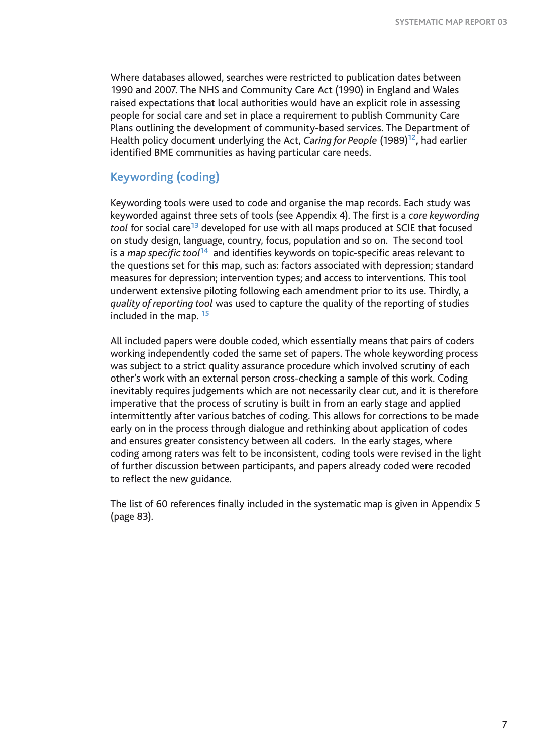Where databases allowed, searches were restricted to publication dates between 1990 and 2007. The NHS and Community Care Act (1990) in England and Wales raised expectations that local authorities would have an explicit role in assessing people for social care and set in place a requirement to publish Community Care Plans outlining the development of community-based services. The Department of Health policy document underlying the Act, *Caring for People* (1989)**12,** had earlier identified BME communities as having particular care needs.

### **Keywording (coding)**

Keywording tools were used to code and organise the map records. Each study was keyworded against three sets of tools (see Appendix 4). The first is a *core keywording tool* for social care**<sup>13</sup>** developed for use with all maps produced at SCIE that focused on study design, language, country, focus, population and so on. The second tool is a *map specific tool***<sup>14</sup>** and identifies keywords on topic-specific areas relevant to the questions set for this map, such as: factors associated with depression; standard measures for depression; intervention types; and access to interventions. This tool underwent extensive piloting following each amendment prior to its use. Thirdly, a *quality of reporting tool* was used to capture the quality of the reporting of studies included in the map. **<sup>15</sup>**

All included papers were double coded, which essentially means that pairs of coders working independently coded the same set of papers. The whole keywording process was subject to a strict quality assurance procedure which involved scrutiny of each other's work with an external person cross-checking a sample of this work. Coding inevitably requires judgements which are not necessarily clear cut, and it is therefore imperative that the process of scrutiny is built in from an early stage and applied intermittently after various batches of coding. This allows for corrections to be made early on in the process through dialogue and rethinking about application of codes and ensures greater consistency between all coders. In the early stages, where coding among raters was felt to be inconsistent, coding tools were revised in the light of further discussion between participants, and papers already coded were recoded to reflect the new guidance.

The list of 60 references finally included in the systematic map is given in Appendix 5 (page 83).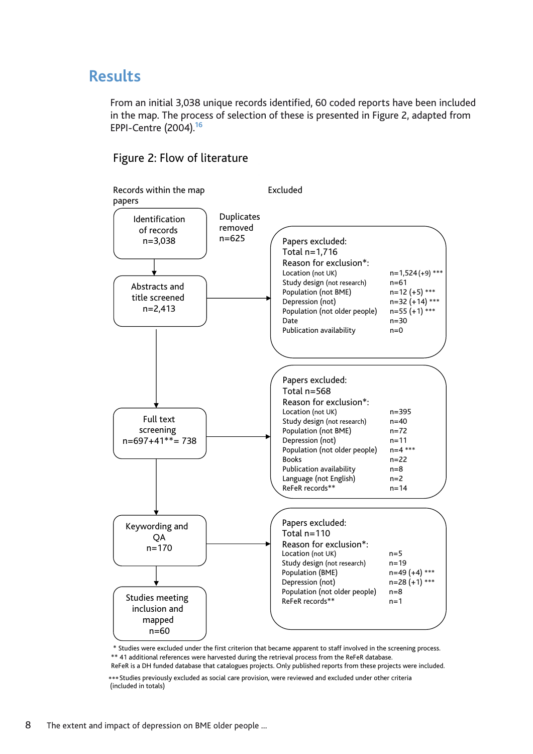# **Results**

From an initial 3,038 unique records identified, 60 coded reports have been included in the map. The process of selection of these is presented in Figure 2, adapted from EPPI-Centre (2004).**<sup>16</sup>**



### Figure 2: Flow of literature

\* Studies were excluded under the first criterion that became apparent to staff involved in the screening process. \*\* 41 additional references were harvested during the retrieval process from the ReFeR database.

ReFeR is a DH funded database that catalogues projects. Only published reports from these projects were included. \*\*\*Studies previously excluded as social care provision, were reviewed and excluded under other criteria

(included in totals)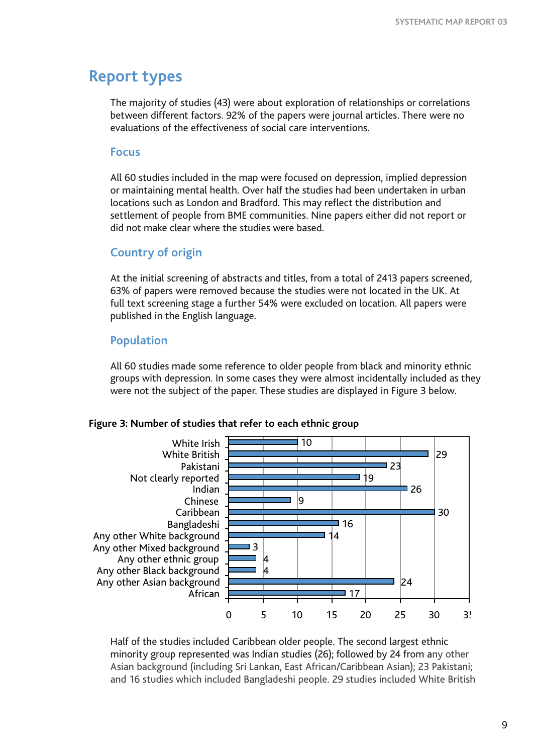# **Report types**

The majority of studies (43) were about exploration of relationships or correlations between different factors. 92% of the papers were journal articles. There were no evaluations of the effectiveness of social care interventions.

### **Focus**

All 60 studies included in the map were focused on depression, implied depression or maintaining mental health. Over half the studies had been undertaken in urban locations such as London and Bradford. This may reflect the distribution and settlement of people from BME communities. Nine papers either did not report or did not make clear where the studies were based.

### **Country of origin**

At the initial screening of abstracts and titles, from a total of 2413 papers screened, 63% of papers were removed because the studies were not located in the UK. At full text screening stage a further 54% were excluded on location. All papers were published in the English language.

# **Population**

All 60 studies made some reference to older people from black and minority ethnic groups with depression. In some cases they were almost incidentally included as they were not the subject of the paper. These studies are displayed in Figure 3 below.

### **Figure 3: Number of studies that refer to each ethnic group**



Half of the studies included Caribbean older people. The second largest ethnic minority group represented was Indian studies (26); followed by 24 from any other Asian background (including Sri Lankan, East African/Caribbean Asian); 23 Pakistani; and 16 studies which included Bangladeshi people. 29 studies included White British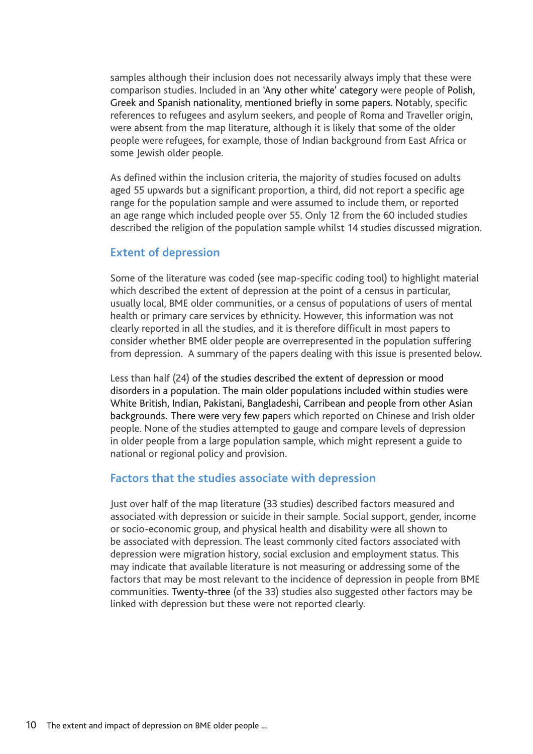samples although their inclusion does not necessarily always imply that these were comparison studies. Included in an 'Any other white' category were people of Polish, Greek and Spanish nationality, mentioned briefly in some papers. Notably, specific references to refugees and asylum seekers, and people of Roma and Traveller origin, were absent from the map literature, although it is likely that some of the older people were refugees, for example, those of Indian background from East Africa or some Jewish older people.

As defined within the inclusion criteria, the majority of studies focused on adults aged 55 upwards but a significant proportion, a third, did not report a specific age range for the population sample and were assumed to include them, or reported an age range which included people over 55. Only 12 from the 60 included studies described the religion of the population sample whilst 14 studies discussed migration.

### **Extent of depression**

Some of the literature was coded (see map-specific coding tool) to highlight material which described the extent of depression at the point of a census in particular, usually local, BME older communities, or a census of populations of users of mental health or primary care services by ethnicity. However, this information was not clearly reported in all the studies, and it is therefore difficult in most papers to consider whether BME older people are overrepresented in the population suffering from depression. A summary of the papers dealing with this issue is presented below.

Less than half (24) of the studies described the extent of depression or mood disorders in a population. The main older populations included within studies were White British, Indian, Pakistani, Bangladeshi, Carribean and people from other Asian backgrounds*.* There were very few papers which reported on Chinese and Irish older people. None of the studies attempted to gauge and compare levels of depression in older people from a large population sample, which might represent a guide to national or regional policy and provision.

### **Factors that the studies associate with depression**

Just over half of the map literature (33 studies) described factors measured and associated with depression or suicide in their sample. Social support, gender, income or socio-economic group, and physical health and disability were all shown to be associated with depression. The least commonly cited factors associated with depression were migration history, social exclusion and employment status. This may indicate that available literature is not measuring or addressing some of the factors that may be most relevant to the incidence of depression in people from BME communities. Twenty-three (of the 33) studies also suggested other factors may be linked with depression but these were not reported clearly.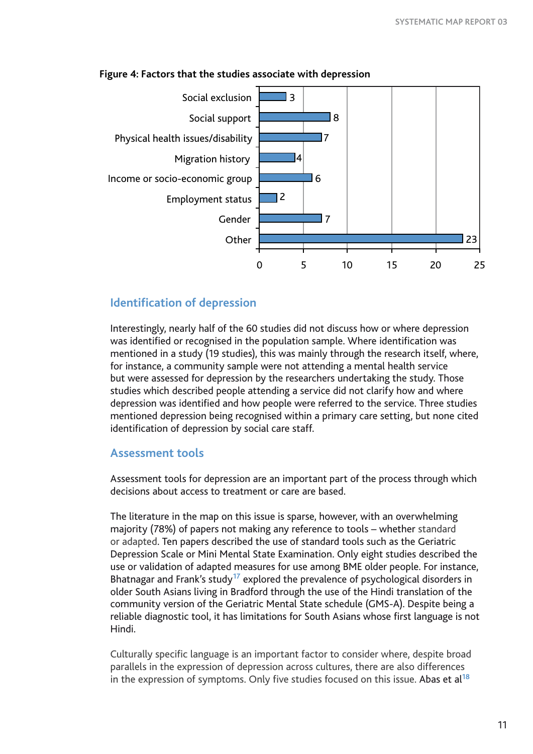

### **Figure 4: Factors that the studies associate with depression**

### **Identification of depression**

Interestingly, nearly half of the 60 studies did not discuss how or where depression was identified or recognised in the population sample. Where identification was mentioned in a study (19 studies), this was mainly through the research itself, where, for instance, a community sample were not attending a mental health service but were assessed for depression by the researchers undertaking the study. Those studies which described people attending a service did not clarify how and where depression was identified and how people were referred to the service. Three studies mentioned depression being recognised within a primary care setting, but none cited identification of depression by social care staff.

### **Assessment tools**

Assessment tools for depression are an important part of the process through which decisions about access to treatment or care are based.

The literature in the map on this issue is sparse, however, with an overwhelming majority (78%) of papers not making any reference to tools – whether standard or adapted. Ten papers described the use of standard tools such as the Geriatric Depression Scale or Mini Mental State Examination. Only eight studies described the use or validation of adapted measures for use among BME older people. For instance, Bhatnagar and Frank's study**17** explored the prevalence of psychological disorders in older South Asians living in Bradford through the use of the Hindi translation of the community version of the Geriatric Mental State schedule (GMS-A). Despite being a reliable diagnostic tool, it has limitations for South Asians whose first language is not Hindi.

Culturally specific language is an important factor to consider where, despite broad parallels in the expression of depression across cultures, there are also differences in the expression of symptoms. Only five studies focused on this issue. Abas et al**<sup>18</sup>**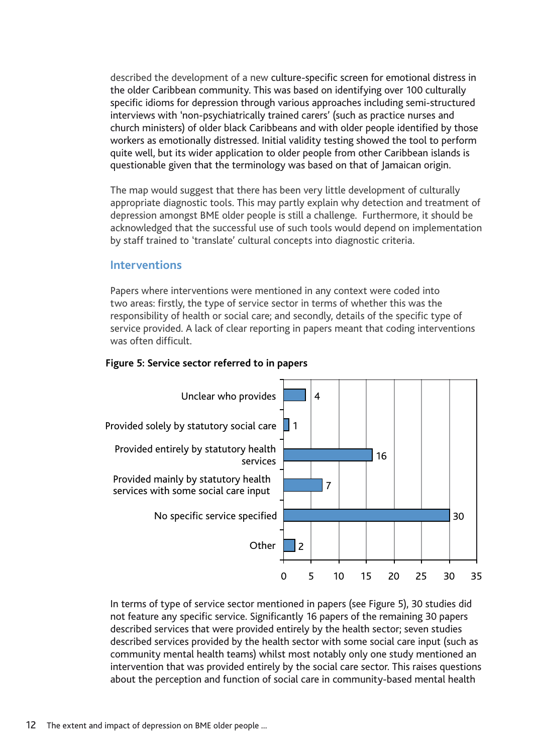described the development of a new culture-specific screen for emotional distress in the older Caribbean community. This was based on identifying over 100 culturally specific idioms for depression through various approaches including semi-structured interviews with 'non-psychiatrically trained carers' (such as practice nurses and church ministers) of older black Caribbeans and with older people identified by those workers as emotionally distressed. Initial validity testing showed the tool to perform quite well, but its wider application to older people from other Caribbean islands is questionable given that the terminology was based on that of Jamaican origin.

The map would suggest that there has been very little development of culturally appropriate diagnostic tools. This may partly explain why detection and treatment of depression amongst BME older people is still a challenge. Furthermore, it should be acknowledged that the successful use of such tools would depend on implementation by staff trained to 'translate' cultural concepts into diagnostic criteria.

### **Interventions**

Papers where interventions were mentioned in any context were coded into two areas: firstly, the type of service sector in terms of whether this was the responsibility of health or social care; and secondly, details of the specific type of service provided. A lack of clear reporting in papers meant that coding interventions was often difficult.





In terms of type of service sector mentioned in papers (see Figure 5), 30 studies did not feature any specific service. Significantly 16 papers of the remaining 30 papers described services that were provided entirely by the health sector; seven studies described services provided by the health sector with some social care input (such as community mental health teams) whilst most notably only one study mentioned an intervention that was provided entirely by the social care sector. This raises questions about the perception and function of social care in community-based mental health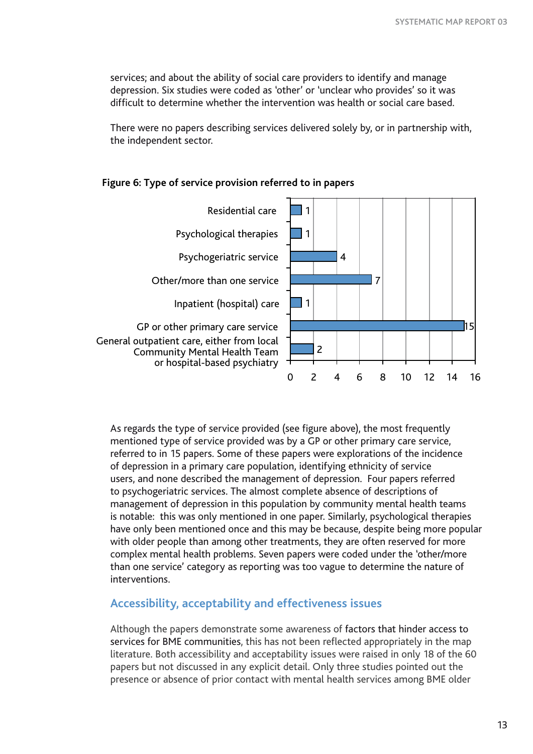services; and about the ability of social care providers to identify and manage depression. Six studies were coded as 'other' or 'unclear who provides' so it was difficult to determine whether the intervention was health or social care based.

There were no papers describing services delivered solely by, or in partnership with, the independent sector.



### **Figure 6: Type of service provision referred to in papers**

As regards the type of service provided (see figure above), the most frequently mentioned type of service provided was by a GP or other primary care service, referred to in 15 papers. Some of these papers were explorations of the incidence of depression in a primary care population, identifying ethnicity of service users, and none described the management of depression. Four papers referred to psychogeriatric services. The almost complete absence of descriptions of management of depression in this population by community mental health teams is notable: this was only mentioned in one paper. Similarly, psychological therapies have only been mentioned once and this may be because, despite being more popular with older people than among other treatments, they are often reserved for more complex mental health problems. Seven papers were coded under the 'other/more than one service' category as reporting was too vague to determine the nature of interventions.

### **Accessibility, acceptability and effectiveness issues**

Although the papers demonstrate some awareness of factors that hinder access to services for BME communities, this has not been reflected appropriately in the map literature. Both accessibility and acceptability issues were raised in only 18 of the 60 papers but not discussed in any explicit detail. Only three studies pointed out the presence or absence of prior contact with mental health services among BME older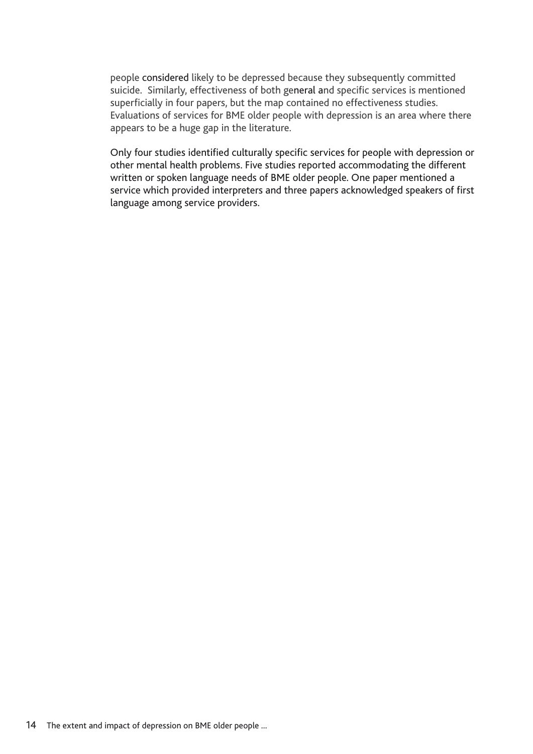people considered likely to be depressed because they subsequently committed suicide. Similarly, effectiveness of both general and specific services is mentioned superficially in four papers, but the map contained no effectiveness studies. Evaluations of services for BME older people with depression is an area where there appears to be a huge gap in the literature.

Only four studies identified culturally specific services for people with depression or other mental health problems. Five studies reported accommodating the different written or spoken language needs of BME older people. One paper mentioned a service which provided interpreters and three papers acknowledged speakers of first language among service providers.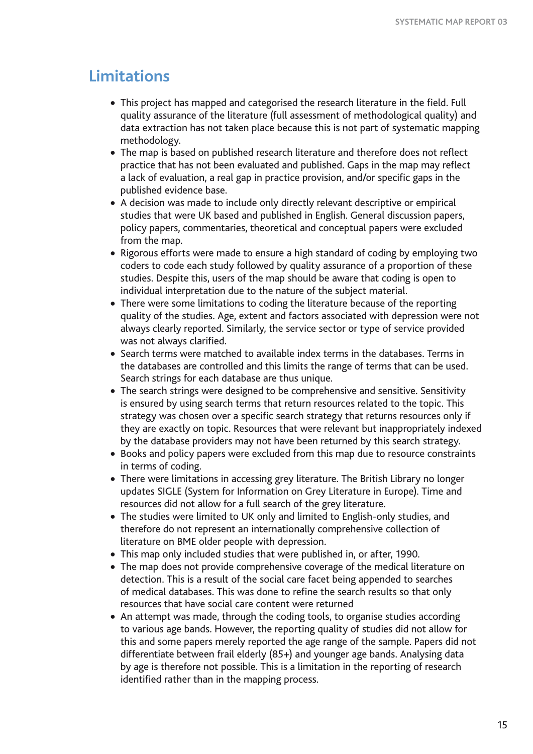# **Limitations**

- This project has mapped and categorised the research literature in the field. Full quality assurance of the literature (full assessment of methodological quality) and data extraction has not taken place because this is not part of systematic mapping methodology.
- The map is based on published research literature and therefore does not reflect practice that has not been evaluated and published. Gaps in the map may reflect a lack of evaluation, a real gap in practice provision, and/or specific gaps in the published evidence base.
- A decision was made to include only directly relevant descriptive or empirical studies that were UK based and published in English. General discussion papers, policy papers, commentaries, theoretical and conceptual papers were excluded from the map.
- Rigorous efforts were made to ensure a high standard of coding by employing two coders to code each study followed by quality assurance of a proportion of these studies. Despite this, users of the map should be aware that coding is open to individual interpretation due to the nature of the subject material.
- There were some limitations to coding the literature because of the reporting quality of the studies. Age, extent and factors associated with depression were not always clearly reported. Similarly, the service sector or type of service provided was not always clarified.
- Search terms were matched to available index terms in the databases. Terms in the databases are controlled and this limits the range of terms that can be used. Search strings for each database are thus unique.
- The search strings were designed to be comprehensive and sensitive. Sensitivity is ensured by using search terms that return resources related to the topic. This strategy was chosen over a specific search strategy that returns resources only if they are exactly on topic. Resources that were relevant but inappropriately indexed by the database providers may not have been returned by this search strategy.
- Books and policy papers were excluded from this map due to resource constraints in terms of coding.
- There were limitations in accessing grey literature. The British Library no longer updates SIGLE (System for Information on Grey Literature in Europe). Time and resources did not allow for a full search of the grey literature.
- The studies were limited to UK only and limited to English-only studies, and therefore do not represent an internationally comprehensive collection of literature on BME older people with depression.
- This map only included studies that were published in, or after, 1990.
- The map does not provide comprehensive coverage of the medical literature on detection. This is a result of the social care facet being appended to searches of medical databases. This was done to refine the search results so that only resources that have social care content were returned
- An attempt was made, through the coding tools, to organise studies according to various age bands. However, the reporting quality of studies did not allow for this and some papers merely reported the age range of the sample. Papers did not differentiate between frail elderly (85+) and younger age bands. Analysing data by age is therefore not possible. This is a limitation in the reporting of research identified rather than in the mapping process.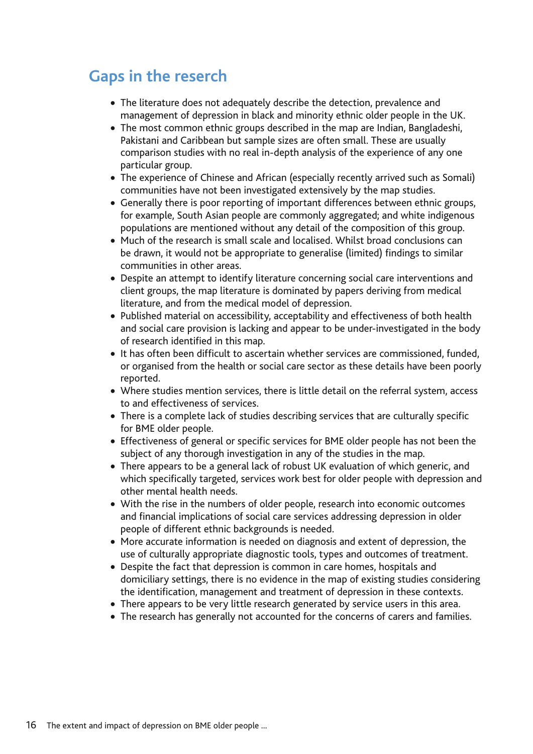# **Gaps in the reserch**

- The literature does not adequately describe the detection, prevalence and management of depression in black and minority ethnic older people in the UK.
- The most common ethnic groups described in the map are Indian, Bangladeshi, Pakistani and Caribbean but sample sizes are often small. These are usually comparison studies with no real in-depth analysis of the experience of any one particular group.
- The experience of Chinese and African (especially recently arrived such as Somali) communities have not been investigated extensively by the map studies.
- Generally there is poor reporting of important differences between ethnic groups, for example, South Asian people are commonly aggregated; and white indigenous populations are mentioned without any detail of the composition of this group.
- Much of the research is small scale and localised. Whilst broad conclusions can be drawn, it would not be appropriate to generalise (limited) findings to similar communities in other areas.
- Despite an attempt to identify literature concerning social care interventions and client groups, the map literature is dominated by papers deriving from medical literature, and from the medical model of depression.
- Published material on accessibility, acceptability and effectiveness of both health and social care provision is lacking and appear to be under-investigated in the body of research identified in this map.
- It has often been difficult to ascertain whether services are commissioned, funded, or organised from the health or social care sector as these details have been poorly reported.
- Where studies mention services, there is little detail on the referral system, access to and effectiveness of services.
- There is a complete lack of studies describing services that are culturally specific for BME older people.
- Effectiveness of general or specific services for BME older people has not been the subject of any thorough investigation in any of the studies in the map.
- There appears to be a general lack of robust UK evaluation of which generic, and which specifically targeted, services work best for older people with depression and other mental health needs.
- With the rise in the numbers of older people, research into economic outcomes and financial implications of social care services addressing depression in older people of different ethnic backgrounds is needed.
- More accurate information is needed on diagnosis and extent of depression, the use of culturally appropriate diagnostic tools, types and outcomes of treatment.
- Despite the fact that depression is common in care homes, hospitals and domiciliary settings, there is no evidence in the map of existing studies considering the identification, management and treatment of depression in these contexts.
- There appears to be very little research generated by service users in this area.
- The research has generally not accounted for the concerns of carers and families.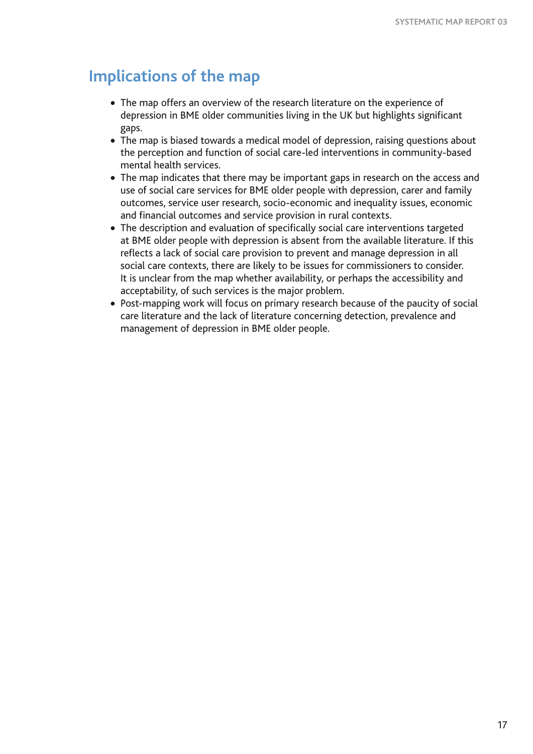# **Implications of the map**

- The map offers an overview of the research literature on the experience of depression in BME older communities living in the UK but highlights significant gaps.
- The map is biased towards a medical model of depression, raising questions about the perception and function of social care-led interventions in community-based mental health services.
- The map indicates that there may be important gaps in research on the access and use of social care services for BME older people with depression, carer and family outcomes, service user research, socio-economic and inequality issues, economic and financial outcomes and service provision in rural contexts.
- The description and evaluation of specifically social care interventions targeted at BME older people with depression is absent from the available literature. If this reflects a lack of social care provision to prevent and manage depression in all social care contexts, there are likely to be issues for commissioners to consider. It is unclear from the map whether availability, or perhaps the accessibility and acceptability, of such services is the major problem.
- Post-mapping work will focus on primary research because of the paucity of social care literature and the lack of literature concerning detection, prevalence and management of depression in BME older people.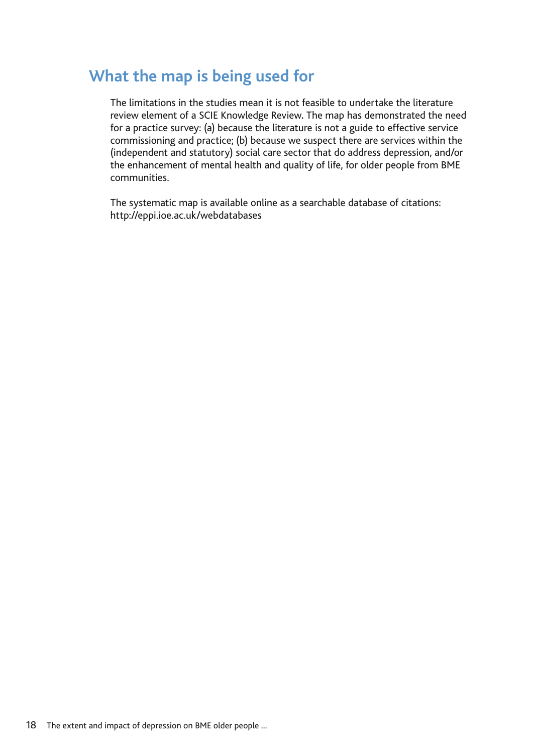# **What the map is being used for**

The limitations in the studies mean it is not feasible to undertake the literature review element of a SCIE Knowledge Review**.** The map has demonstrated the need for a practice survey: (a) because the literature is not a guide to effective service commissioning and practice; (b) because we suspect there are services within the (independent and statutory) social care sector that do address depression, and/or the enhancement of mental health and quality of life, for older people from BME communities.

The systematic map is available online as a searchable database of citations: http://eppi.ioe.ac.uk/webdatabases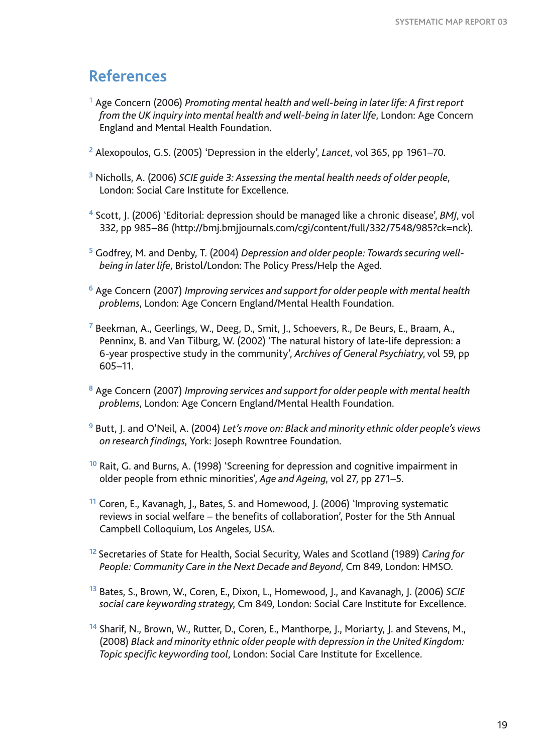# **References**

- <sup>1</sup> Age Concern (2006) *Promoting mental health and well-being in later life: A first report from the UK inquiry into mental health and well-being in later life*, London: Age Concern England and Mental Health Foundation.
- **<sup>2</sup>** Alexopoulos, G.S. (2005) 'Depression in the elderly', *Lancet*, vol 365, pp 1961–70.
- **<sup>3</sup>** Nicholls, A. (2006) *SCIE guide 3: Assessing the mental health needs of older people*, London: Social Care Institute for Excellence.
- **<sup>4</sup>** Scott, J. (2006) 'Editorial: depression should be managed like a chronic disease', *BMJ*, vol 332, pp 985–86 (http://bmj.bmjjournals.com/cgi/content/full/332/7548/985?ck=nck).
- **5** Godfrey, M. and Denby, T. (2004) *Depression and older people: Towards securing wellbeing in later life*, Bristol/London: The Policy Press/Help the Aged.
- **<sup>6</sup>** Age Concern (2007) *Improving services and support for older people with mental health problems*, London: Age Concern England/Mental Health Foundation.
- **<sup>7</sup>** Beekman, A., Geerlings, W., Deeg, D., Smit, J., Schoevers, R., De Beurs, E., Braam, A., Penninx, B. and Van Tilburg, W. (2002) 'The natural history of late-life depression: a 6-year prospective study in the community', *Archives of General Psychiatry*, vol 59, pp 605–11.
- **<sup>8</sup>** Age Concern (2007) *Improving services and support for older people with mental health problems*, London: Age Concern England/Mental Health Foundation.
- **<sup>9</sup>** Butt, J. and O'Neil, A. (2004) *Let's move on: Black and minority ethnic older people's views on research findings*, York: Joseph Rowntree Foundation.
- **<sup>10</sup>** Rait, G. and Burns, A. (1998) 'Screening for depression and cognitive impairment in older people from ethnic minorities', *Age and Ageing*, vol 27, pp 271–5.
- **<sup>11</sup>** Coren, E., Kavanagh, J., Bates, S. and Homewood, J. (2006) 'Improving systematic reviews in social welfare – the benefits of collaboration', Poster for the 5th Annual Campbell Colloquium, Los Angeles, USA.
- **<sup>12</sup>**Secretaries of State for Health, Social Security, Wales and Scotland (1989) *Caring for People: Community Care in the Next Decade and Beyond*, Cm 849, London: HMSO.
- **<sup>13</sup>** Bates, S., Brown, W., Coren, E., Dixon, L., Homewood, J., and Kavanagh, J. (2006) *SCIE social care keywording strategy*, Cm 849, London: Social Care Institute for Excellence.
- **<sup>14</sup>** Sharif, N., Brown, W., Rutter, D., Coren, E., Manthorpe, J., Moriarty, J. and Stevens, M., (2008) *Black and minority ethnic older people with depression in the United Kingdom: Topic specific keywording tool*, London: Social Care Institute for Excellence.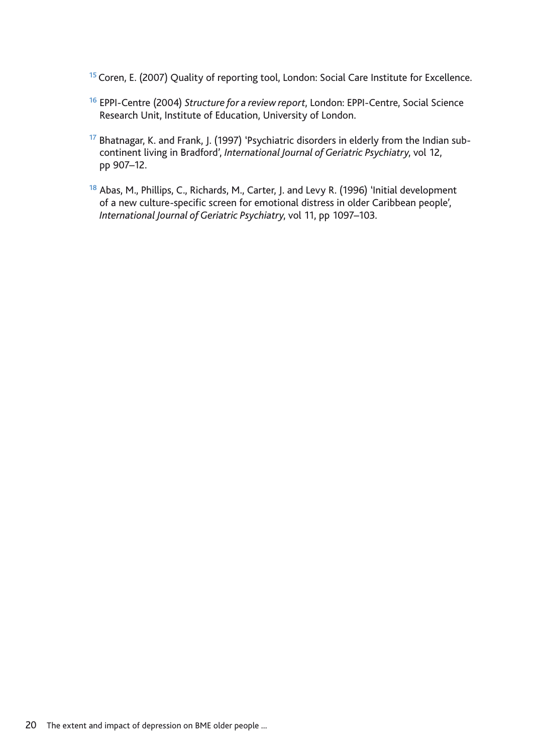**<sup>15</sup>**Coren, E. (2007) Quality of reporting tool, London: Social Care Institute for Excellence.

- **<sup>16</sup>** EPPI-Centre (2004) *Structure for a review report*, London: EPPI-Centre, Social Science Research Unit, Institute of Education, University of London.
- **17** Bhatnagar, K. and Frank, J. (1997) 'Psychiatric disorders in elderly from the Indian subcontinent living in Bradford', *International Journal of Geriatric Psychiatry*, vol 12, pp 907–12.
- **<sup>18</sup>** Abas, M., Phillips, C., Richards, M., Carter, J. and Levy R. (1996) 'Initial development of a new culture-specific screen for emotional distress in older Caribbean people', *International Journal of Geriatric Psychiatry*, vol 11, pp 1097–103.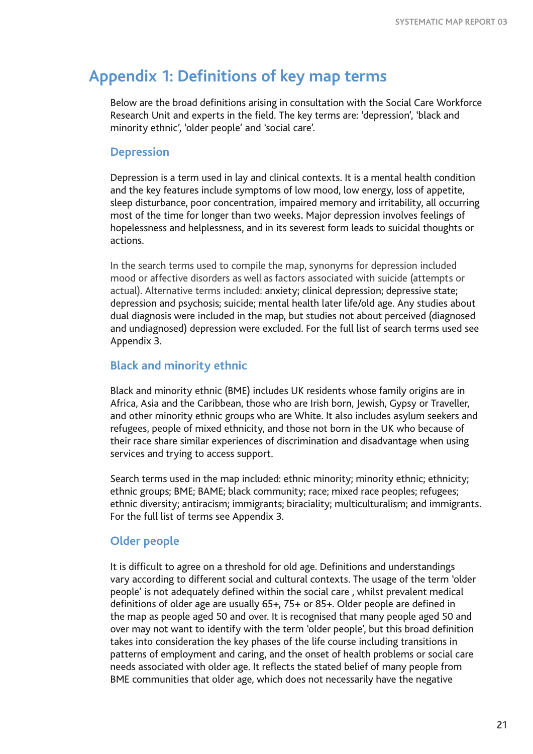# **Appendix 1: Definitions of key map terms**

Below are the broad definitions arising in consultation with the Social Care Workforce Research Unit and experts in the field. The key terms are: 'depression', 'black and minority ethnic', 'older people' and 'social care'.

### **Depression**

Depression is a term used in lay and clinical contexts. It is a mental health condition and the key features include symptoms of low mood, low energy, loss of appetite, sleep disturbance, poor concentration, impaired memory and irritability, all occurring most of the time for longer than two weeks**.** Major depression involves feelings of hopelessness and helplessness, and in its severest form leads to suicidal thoughts or actions.

In the search terms used to compile the map, synonyms for depression included mood or affective disorders as well asfactors associated with suicide (attempts or actual). Alternative terms included: anxiety; clinical depression; depressive state; depression and psychosis; suicide; mental health later life/old age. Any studies about dual diagnosis were included in the map, but studies not about perceived (diagnosed and undiagnosed) depression were excluded. For the full list of search terms used see Appendix 3.

### **Black and minority ethnic**

Black and minority ethnic (BME) includes UK residents whose family origins are in Africa, Asia and the Caribbean, those who are Irish born, Jewish, Gypsy or Traveller, and other minority ethnic groups who are White. It also includes asylum seekers and refugees, people of mixed ethnicity, and those not born in the UK who because of their race share similar experiences of discrimination and disadvantage when using services and trying to access support.

Search terms used in the map included: ethnic minority; minority ethnic; ethnicity; ethnic groups; BME; BAME; black community; race; mixed race peoples; refugees; ethnic diversity; antiracism; immigrants; biraciality; multiculturalism; and immigrants. For the full list of terms see Appendix 3.

# **Older people**

It is difficult to agree on a threshold for old age. Definitions and understandings vary according to different social and cultural contexts. The usage of the term 'older people' is not adequately defined within the social care , whilst prevalent medical definitions of older age are usually 65+, 75+ or 85+. Older people are defined in the map as people aged 50 and over. It is recognised that many people aged 50 and over may not want to identify with the term 'older people', but this broad definition takes into consideration the key phases of the life course including transitions in patterns of employment and caring, and the onset of health problems or social care needs associated with older age. It reflects the stated belief of many people from BME communities that older age, which does not necessarily have the negative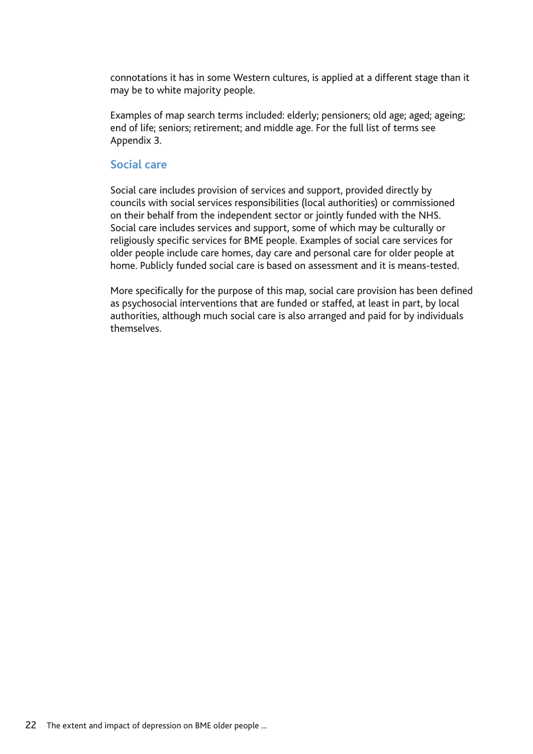connotations it has in some Western cultures, is applied at a different stage than it may be to white majority people.

Examples of map search terms included: elderly; pensioners; old age; aged; ageing; end of life; seniors; retirement; and middle age. For the full list of terms see Appendix 3.

### **Social care**

Social care includes provision of services and support, provided directly by councils with social services responsibilities (local authorities) or commissioned on their behalf from the independent sector or jointly funded with the NHS. Social care includes services and support, some of which may be culturally or religiously specific services for BME people. Examples of social care services for older people include care homes, day care and personal care for older people at home. Publicly funded social care is based on assessment and it is means-tested.

More specifically for the purpose of this map, social care provision has been defined as psychosocial interventions that are funded or staffed, at least in part, by local authorities, although much social care is also arranged and paid for by individuals themselves.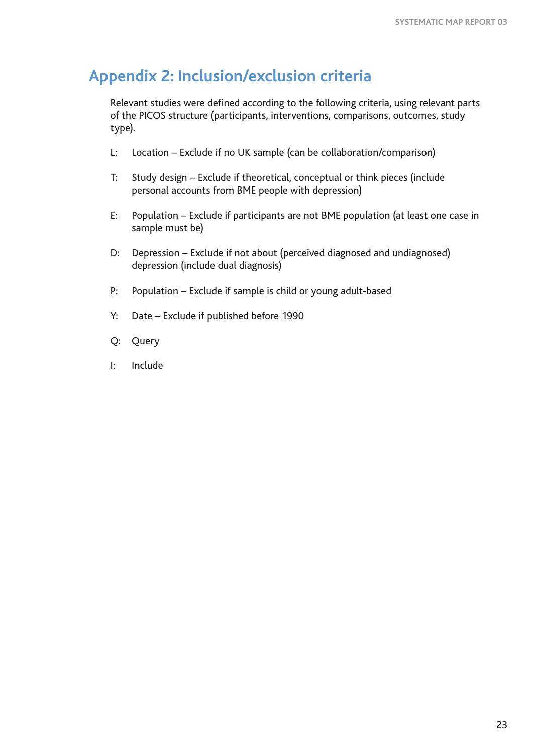# **Appendix 2: Inclusion/exclusion criteria**

Relevant studies were defined according to the following criteria, using relevant parts of the PICOS structure (participants, interventions, comparisons, outcomes, study type).

- L: Location Exclude if no UK sample (can be collaboration/comparison)
- T: Study design Exclude if theoretical, conceptual or think pieces (include personal accounts from BME people with depression)
- E: Population Exclude if participants are not BME population (at least one case in sample must be)
- D: Depression Exclude if not about (perceived diagnosed and undiagnosed) depression (include dual diagnosis)
- P: Population Exclude if sample is child or young adult-based
- Y: Date Exclude if published before 1990
- Q: Query
- I: Include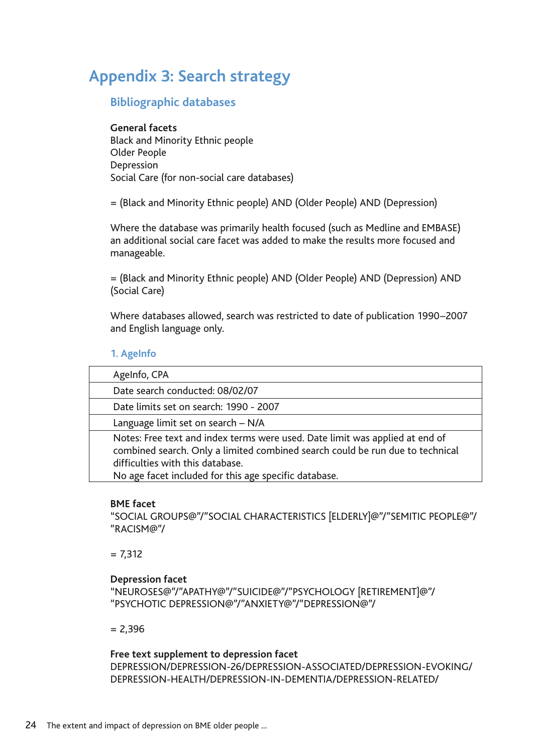# **Appendix 3: Search strategy**

### **Bibliographic databases**

### **General facets**

Black and Minority Ethnic people Older People Depression Social Care (for non-social care databases)

= (Black and Minority Ethnic people) AND (Older People) AND (Depression)

Where the database was primarily health focused (such as Medline and EMBASE) an additional social care facet was added to make the results more focused and manageable.

= (Black and Minority Ethnic people) AND (Older People) AND (Depression) AND (Social Care)

Where databases allowed, search was restricted to date of publication 1990–2007 and English language only.

### **1. AgeInfo**

| AgeInfo, CPA                                                                                                                                                                                                                                               |
|------------------------------------------------------------------------------------------------------------------------------------------------------------------------------------------------------------------------------------------------------------|
| Date search conducted: 08/02/07                                                                                                                                                                                                                            |
| Date limits set on search: 1990 - 2007                                                                                                                                                                                                                     |
| Language limit set on search - N/A                                                                                                                                                                                                                         |
| Notes: Free text and index terms were used. Date limit was applied at end of<br>combined search. Only a limited combined search could be run due to technical<br>difficulties with this database.<br>No age facet included for this age specific database. |

#### **BME facet**

"SOCIAL GROUPS@"/"SOCIAL CHARACTERISTICS [ELDERLY]@"/"SEMITIC PEOPLE@"/ "RACISM@"/

 $= 7.312$ 

### **Depression facet**

"NEUROSES@"/"APATHY@"/"SUICIDE@"/"PSYCHOLOGY [RETIREMENT]@"/ "PSYCHOTIC DEPRESSION@"/"ANXIETY@"/"DEPRESSION@"/

 $= 2.396$ 

### **Free text supplement to depression facet**

DEPRESSION/DEPRESSION-26/DEPRESSION-ASSOCIATED/DEPRESSION-EVOKING/ DEPRESSION-HEALTH/DEPRESSION-IN-DEMENTIA/DEPRESSION-RELATED/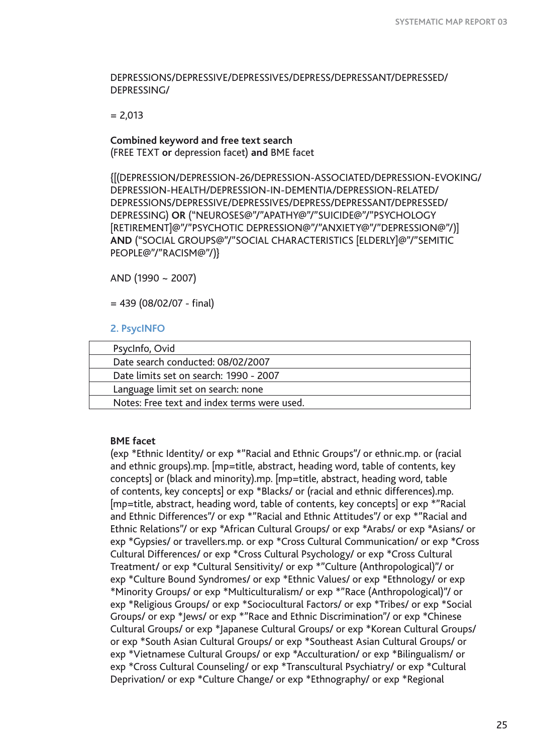DEPRESSIONS/DEPRESSIVE/DEPRESSIVES/DEPRESS/DEPRESSANT/DEPRESSED/ DEPRESSING/

 $= 2.013$ 

# **Combined keyword and free text search**

(FREE TEXT **or** depression facet) **and** BME facet

{[(DEPRESSION/DEPRESSION-26/DEPRESSION-ASSOCIATED/DEPRESSION-EVOKING/ DEPRESSION-HEALTH/DEPRESSION-IN-DEMENTIA/DEPRESSION-RELATED/ DEPRESSIONS/DEPRESSIVE/DEPRESSIVES/DEPRESS/DEPRESSANT/DEPRESSED/ DEPRESSING) **OR** ("NEUROSES@"/"APATHY@"/"SUICIDE@"/"PSYCHOLOGY [RETIREMENT]@"/"PSYCHOTIC DEPRESSION@"/"ANXIETY@"/"DEPRESSION@"/)] **AND** ("SOCIAL GROUPS@"/"SOCIAL CHARACTERISTICS [ELDERLY]@"/"SEMITIC PEOPLE@"/"RACISM@"/)}

AND (1990 ~ 2007)

 $= 439 (08/02/07 - final)$ 

### **2. PsycINFO**

| PsycInfo, Ovid                              |  |
|---------------------------------------------|--|
| Date search conducted: 08/02/2007           |  |
| Date limits set on search: 1990 - 2007      |  |
| Language limit set on search: none          |  |
| Notes: Free text and index terms were used. |  |

#### **BME facet**

(exp \*Ethnic Identity/ or exp \*"Racial and Ethnic Groups"/ or ethnic.mp. or (racial and ethnic groups).mp. [mp=title, abstract, heading word, table of contents, key concepts] or (black and minority).mp. [mp=title, abstract, heading word, table of contents, key concepts] or exp \*Blacks/ or (racial and ethnic differences).mp. [mp=title, abstract, heading word, table of contents, key concepts] or exp \*"Racial and Ethnic Differences"/ or exp \*"Racial and Ethnic Attitudes"/ or exp \*"Racial and Ethnic Relations"/ or exp \*African Cultural Groups/ or exp \*Arabs/ or exp \*Asians/ or exp \*Gypsies/ or travellers.mp. or exp \*Cross Cultural Communication/ or exp \*Cross Cultural Differences/ or exp \*Cross Cultural Psychology/ or exp \*Cross Cultural Treatment/ or exp \*Cultural Sensitivity/ or exp \*"Culture (Anthropological)"/ or exp \*Culture Bound Syndromes/ or exp \*Ethnic Values/ or exp \*Ethnology/ or exp \*Minority Groups/ or exp \*Multiculturalism/ or exp \*"Race (Anthropological)"/ or exp \*Religious Groups/ or exp \*Sociocultural Factors/ or exp \*Tribes/ or exp \*Social Groups/ or exp \*Jews/ or exp \*"Race and Ethnic Discrimination"/ or exp \*Chinese Cultural Groups/ or exp \*Japanese Cultural Groups/ or exp \*Korean Cultural Groups/ or exp \*South Asian Cultural Groups/ or exp \*Southeast Asian Cultural Groups/ or exp \*Vietnamese Cultural Groups/ or exp \*Acculturation/ or exp \*Bilingualism/ or exp \*Cross Cultural Counseling/ or exp \*Transcultural Psychiatry/ or exp \*Cultural Deprivation/ or exp \*Culture Change/ or exp \*Ethnography/ or exp \*Regional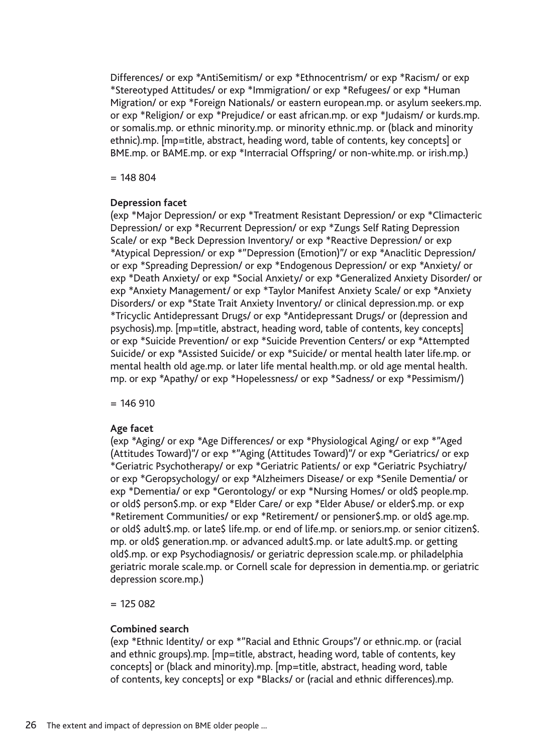Differences/ or exp \*AntiSemitism/ or exp \*Ethnocentrism/ or exp \*Racism/ or exp \*Stereotyped Attitudes/ or exp \*Immigration/ or exp \*Refugees/ or exp \*Human Migration/ or exp \*Foreign Nationals/ or eastern european.mp. or asylum seekers.mp. or exp \*Religion/ or exp \*Prejudice/ or east african.mp. or exp \*Judaism/ or kurds.mp. or somalis.mp. or ethnic minority.mp. or minority ethnic.mp. or (black and minority ethnic).mp. [mp=title, abstract, heading word, table of contents, key concepts] or BME.mp. or BAME.mp. or exp \*Interracial Offspring/ or non-white.mp. or irish.mp.)

 $= 148804$ 

### **Depression facet**

(exp \*Major Depression/ or exp \*Treatment Resistant Depression/ or exp \*Climacteric Depression/ or exp \*Recurrent Depression/ or exp \*Zungs Self Rating Depression Scale/ or exp \*Beck Depression Inventory/ or exp \*Reactive Depression/ or exp \*Atypical Depression/ or exp \*"Depression (Emotion)"/ or exp \*Anaclitic Depression/ or exp \*Spreading Depression/ or exp \*Endogenous Depression/ or exp \*Anxiety/ or exp \*Death Anxiety/ or exp \*Social Anxiety/ or exp \*Generalized Anxiety Disorder/ or exp \*Anxiety Management/ or exp \*Taylor Manifest Anxiety Scale/ or exp \*Anxiety Disorders/ or exp \*State Trait Anxiety Inventory/ or clinical depression.mp. or exp \*Tricyclic Antidepressant Drugs/ or exp \*Antidepressant Drugs/ or (depression and psychosis).mp. [mp=title, abstract, heading word, table of contents, key concepts] or exp \*Suicide Prevention/ or exp \*Suicide Prevention Centers/ or exp \*Attempted Suicide/ or exp \*Assisted Suicide/ or exp \*Suicide/ or mental health later life.mp. or mental health old age.mp. or later life mental health.mp. or old age mental health. mp. or exp \*Apathy/ or exp \*Hopelessness/ or exp \*Sadness/ or exp \*Pessimism/)

 $= 146 910$ 

### **Age facet**

(exp \*Aging/ or exp \*Age Differences/ or exp \*Physiological Aging/ or exp \*"Aged (Attitudes Toward)"/ or exp \*"Aging (Attitudes Toward)"/ or exp \*Geriatrics/ or exp \*Geriatric Psychotherapy/ or exp \*Geriatric Patients/ or exp \*Geriatric Psychiatry/ or exp \*Geropsychology/ or exp \*Alzheimers Disease/ or exp \*Senile Dementia/ or exp \*Dementia/ or exp \*Gerontology/ or exp \*Nursing Homes/ or old\$ people.mp. or old\$ person\$.mp. or exp \*Elder Care/ or exp \*Elder Abuse/ or elder\$.mp. or exp \*Retirement Communities/ or exp \*Retirement/ or pensioner\$.mp. or old\$ age.mp. or old\$ adult\$.mp. or late\$ life.mp. or end of life.mp. or seniors.mp. or senior citizen\$. mp. or old\$ generation.mp. or advanced adult\$.mp. or late adult\$.mp. or getting old\$.mp. or exp Psychodiagnosis/ or geriatric depression scale.mp. or philadelphia geriatric morale scale.mp. or Cornell scale for depression in dementia.mp. or geriatric depression score.mp.)

 $= 125082$ 

### **Combined search**

(exp \*Ethnic Identity/ or exp \*"Racial and Ethnic Groups"/ or ethnic.mp. or (racial and ethnic groups).mp. [mp=title, abstract, heading word, table of contents, key concepts] or (black and minority).mp. [mp=title, abstract, heading word, table of contents, key concepts] or exp \*Blacks/ or (racial and ethnic differences).mp.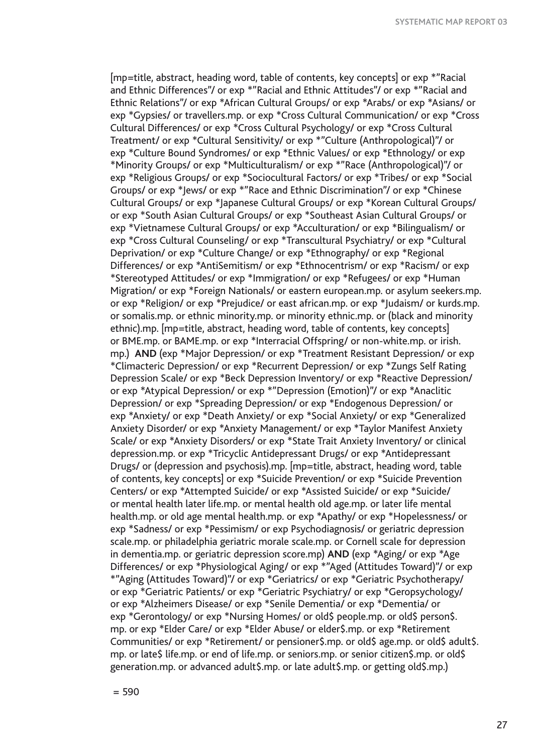[mp=title, abstract, heading word, table of contents, key concepts] or exp \*"Racial and Ethnic Differences"/ or exp \*"Racial and Ethnic Attitudes"/ or exp \*"Racial and Ethnic Relations"/ or exp \*African Cultural Groups/ or exp \*Arabs/ or exp \*Asians/ or exp \*Gypsies/ or travellers.mp. or exp \*Cross Cultural Communication/ or exp \*Cross Cultural Differences/ or exp \*Cross Cultural Psychology/ or exp \*Cross Cultural Treatment/ or exp \*Cultural Sensitivity/ or exp \*"Culture (Anthropological)"/ or exp \*Culture Bound Syndromes/ or exp \*Ethnic Values/ or exp \*Ethnology/ or exp \*Minority Groups/ or exp \*Multiculturalism/ or exp \*"Race (Anthropological)"/ or exp \*Religious Groups/ or exp \*Sociocultural Factors/ or exp \*Tribes/ or exp \*Social Groups/ or exp \*Jews/ or exp \*"Race and Ethnic Discrimination"/ or exp \*Chinese Cultural Groups/ or exp \*Japanese Cultural Groups/ or exp \*Korean Cultural Groups/ or exp \*South Asian Cultural Groups/ or exp \*Southeast Asian Cultural Groups/ or exp \*Vietnamese Cultural Groups/ or exp \*Acculturation/ or exp \*Bilingualism/ or exp \*Cross Cultural Counseling/ or exp \*Transcultural Psychiatry/ or exp \*Cultural Deprivation/ or exp \*Culture Change/ or exp \*Ethnography/ or exp \*Regional Differences/ or exp \*AntiSemitism/ or exp \*Ethnocentrism/ or exp \*Racism/ or exp \*Stereotyped Attitudes/ or exp \*Immigration/ or exp \*Refugees/ or exp \*Human Migration/ or exp \*Foreign Nationals/ or eastern european.mp. or asylum seekers.mp. or exp \*Religion/ or exp \*Prejudice/ or east african.mp. or exp \*Judaism/ or kurds.mp. or somalis.mp. or ethnic minority.mp. or minority ethnic.mp. or (black and minority ethnic).mp. [mp=title, abstract, heading word, table of contents, key concepts] or BME.mp. or BAME.mp. or exp \*Interracial Offspring/ or non-white.mp. or irish. mp.) **AND** (exp \*Major Depression/ or exp \*Treatment Resistant Depression/ or exp \*Climacteric Depression/ or exp \*Recurrent Depression/ or exp \*Zungs Self Rating Depression Scale/ or exp \*Beck Depression Inventory/ or exp \*Reactive Depression/ or exp \*Atypical Depression/ or exp \*"Depression (Emotion)"/ or exp \*Anaclitic Depression/ or exp \*Spreading Depression/ or exp \*Endogenous Depression/ or exp \*Anxiety/ or exp \*Death Anxiety/ or exp \*Social Anxiety/ or exp \*Generalized Anxiety Disorder/ or exp \*Anxiety Management/ or exp \*Taylor Manifest Anxiety Scale/ or exp \*Anxiety Disorders/ or exp \*State Trait Anxiety Inventory/ or clinical depression.mp. or exp \*Tricyclic Antidepressant Drugs/ or exp \*Antidepressant Drugs/ or (depression and psychosis).mp. [mp=title, abstract, heading word, table of contents, key concepts] or exp \*Suicide Prevention/ or exp \*Suicide Prevention Centers/ or exp \*Attempted Suicide/ or exp \*Assisted Suicide/ or exp \*Suicide/ or mental health later life.mp. or mental health old age.mp. or later life mental health.mp. or old age mental health.mp. or exp \*Apathy/ or exp \*Hopelessness/ or exp \*Sadness/ or exp \*Pessimism/ or exp Psychodiagnosis/ or geriatric depression scale.mp. or philadelphia geriatric morale scale.mp. or Cornell scale for depression in dementia.mp. or geriatric depression score.mp) **AND** (exp \*Aging/ or exp \*Age Differences/ or exp \*Physiological Aging/ or exp \*"Aged (Attitudes Toward)"/ or exp \*"Aging (Attitudes Toward)"/ or exp \*Geriatrics/ or exp \*Geriatric Psychotherapy/ or exp \*Geriatric Patients/ or exp \*Geriatric Psychiatry/ or exp \*Geropsychology/ or exp \*Alzheimers Disease/ or exp \*Senile Dementia/ or exp \*Dementia/ or exp \*Gerontology/ or exp \*Nursing Homes/ or old\$ people.mp. or old\$ person\$. mp. or exp \*Elder Care/ or exp \*Elder Abuse/ or elder\$.mp. or exp \*Retirement Communities/ or exp \*Retirement/ or pensioner\$.mp. or old\$ age.mp. or old\$ adult\$. mp. or late\$ life.mp. or end of life.mp. or seniors.mp. or senior citizen\$.mp. or old\$ generation.mp. or advanced adult\$.mp. or late adult\$.mp. or getting old\$.mp.)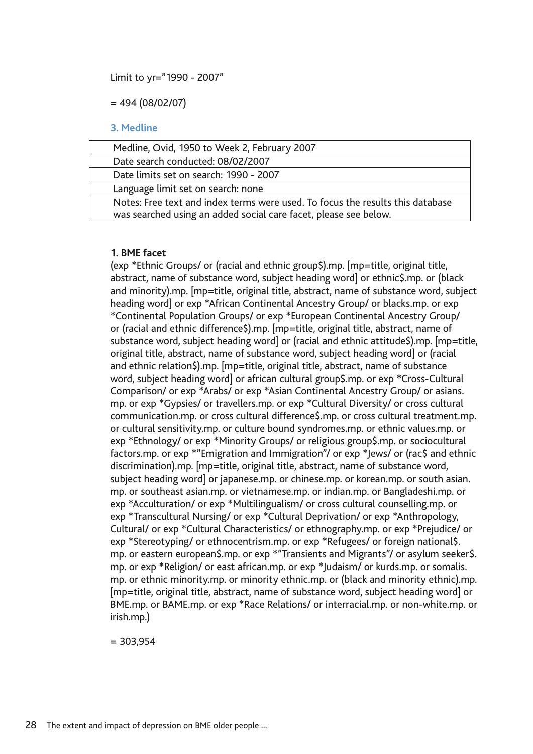Limit to yr="1990 - 2007"

 $= 494 (08/02/07)$ 

#### **3. Medline**

| Medline, Ovid, 1950 to Week 2, February 2007                                   |
|--------------------------------------------------------------------------------|
| Date search conducted: 08/02/2007                                              |
| Date limits set on search: 1990 - 2007                                         |
| Language limit set on search: none                                             |
| Notes: Free text and index terms were used. To focus the results this database |
| was searched using an added social care facet, please see below.               |

### **1. BME facet**

(exp \*Ethnic Groups/ or (racial and ethnic group\$).mp. [mp=title, original title, abstract, name of substance word, subject heading word] or ethnic\$.mp. or (black and minority).mp. [mp=title, original title, abstract, name of substance word, subject heading word] or exp \*African Continental Ancestry Group/ or blacks.mp. or exp \*Continental Population Groups/ or exp \*European Continental Ancestry Group/ or (racial and ethnic difference\$).mp. [mp=title, original title, abstract, name of substance word, subject heading word] or (racial and ethnic attitude\$).mp. [mp=title, original title, abstract, name of substance word, subject heading word] or (racial and ethnic relation\$).mp. [mp=title, original title, abstract, name of substance word, subject heading word] or african cultural group\$.mp. or exp \*Cross-Cultural Comparison/ or exp \*Arabs/ or exp \*Asian Continental Ancestry Group/ or asians. mp. or exp \*Gypsies/ or travellers.mp. or exp \*Cultural Diversity/ or cross cultural communication.mp. or cross cultural difference\$.mp. or cross cultural treatment.mp. or cultural sensitivity.mp. or culture bound syndromes.mp. or ethnic values.mp. or exp \*Ethnology/ or exp \*Minority Groups/ or religious group\$.mp. or sociocultural factors.mp. or exp \*"Emigration and Immigration"/ or exp \*Jews/ or (rac\$ and ethnic discrimination).mp. [mp=title, original title, abstract, name of substance word, subject heading word] or japanese.mp. or chinese.mp. or korean.mp. or south asian. mp. or southeast asian.mp. or vietnamese.mp. or indian.mp. or Bangladeshi.mp. or exp \*Acculturation/ or exp \*Multilingualism/ or cross cultural counselling.mp. or exp \*Transcultural Nursing/ or exp \*Cultural Deprivation/ or exp \*Anthropology, Cultural/ or exp \*Cultural Characteristics/ or ethnography.mp. or exp \*Prejudice/ or exp \*Stereotyping/ or ethnocentrism.mp. or exp \*Refugees/ or foreign national\$. mp. or eastern european\$.mp. or exp \*"Transients and Migrants"/ or asylum seeker\$. mp. or exp \*Religion/ or east african.mp. or exp \*Judaism/ or kurds.mp. or somalis. mp. or ethnic minority.mp. or minority ethnic.mp. or (black and minority ethnic).mp. [mp=title, original title, abstract, name of substance word, subject heading word] or BME.mp. or BAME.mp. or exp \*Race Relations/ or interracial.mp. or non-white.mp. or irish.mp.)

 $= 303,954$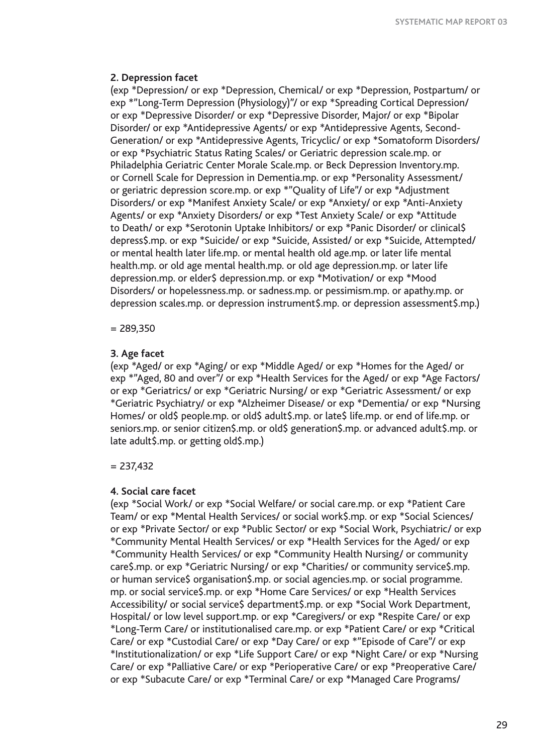#### **2. Depression facet**

(exp \*Depression/ or exp \*Depression, Chemical/ or exp \*Depression, Postpartum/ or exp \*"Long-Term Depression (Physiology)"/ or exp \*Spreading Cortical Depression/ or exp \*Depressive Disorder/ or exp \*Depressive Disorder, Major/ or exp \*Bipolar Disorder/ or exp \*Antidepressive Agents/ or exp \*Antidepressive Agents, Second-Generation/ or exp \*Antidepressive Agents, Tricyclic/ or exp \*Somatoform Disorders/ or exp \*Psychiatric Status Rating Scales/ or Geriatric depression scale.mp. or Philadelphia Geriatric Center Morale Scale.mp. or Beck Depression Inventory.mp. or Cornell Scale for Depression in Dementia.mp. or exp \*Personality Assessment/ or geriatric depression score.mp. or exp \*"Quality of Life"/ or exp \*Adjustment Disorders/ or exp \*Manifest Anxiety Scale/ or exp \*Anxiety/ or exp \*Anti-Anxiety Agents/ or exp \*Anxiety Disorders/ or exp \*Test Anxiety Scale/ or exp \*Attitude to Death/ or exp \*Serotonin Uptake Inhibitors/ or exp \*Panic Disorder/ or clinical\$ depress\$.mp. or exp \*Suicide/ or exp \*Suicide, Assisted/ or exp \*Suicide, Attempted/ or mental health later life.mp. or mental health old age.mp. or later life mental health.mp. or old age mental health.mp. or old age depression.mp. or later life depression.mp. or elder\$ depression.mp. or exp \*Motivation/ or exp \*Mood Disorders/ or hopelessness.mp. or sadness.mp. or pessimism.mp. or apathy.mp. or depression scales.mp. or depression instrument\$.mp. or depression assessment\$.mp.)

 $= 289.350$ 

#### **3. Age facet**

(exp \*Aged/ or exp \*Aging/ or exp \*Middle Aged/ or exp \*Homes for the Aged/ or exp \*"Aged, 80 and over"/ or exp \*Health Services for the Aged/ or exp \*Age Factors/ or exp \*Geriatrics/ or exp \*Geriatric Nursing/ or exp \*Geriatric Assessment/ or exp \*Geriatric Psychiatry/ or exp \*Alzheimer Disease/ or exp \*Dementia/ or exp \*Nursing Homes/ or old\$ people.mp. or old\$ adult\$.mp. or late\$ life.mp. or end of life.mp. or seniors.mp. or senior citizen\$.mp. or old\$ generation\$.mp. or advanced adult\$.mp. or late adult\$.mp. or getting old\$.mp.)

#### $= 237.432$

#### **4. Social care facet**

(exp \*Social Work/ or exp \*Social Welfare/ or social care.mp. or exp \*Patient Care Team/ or exp \*Mental Health Services/ or social work\$.mp. or exp \*Social Sciences/ or exp \*Private Sector/ or exp \*Public Sector/ or exp \*Social Work, Psychiatric/ or exp \*Community Mental Health Services/ or exp \*Health Services for the Aged/ or exp \*Community Health Services/ or exp \*Community Health Nursing/ or community care\$.mp. or exp \*Geriatric Nursing/ or exp \*Charities/ or community service\$.mp. or human service\$ organisation\$.mp. or social agencies.mp. or social programme. mp. or social service\$.mp. or exp \*Home Care Services/ or exp \*Health Services Accessibility/ or social service\$ department\$.mp. or exp \*Social Work Department, Hospital/ or low level support.mp. or exp \*Caregivers/ or exp \*Respite Care/ or exp \*Long-Term Care/ or institutionalised care.mp. or exp \*Patient Care/ or exp \*Critical Care/ or exp \*Custodial Care/ or exp \*Day Care/ or exp \*"Episode of Care"/ or exp \*Institutionalization/ or exp \*Life Support Care/ or exp \*Night Care/ or exp \*Nursing Care/ or exp \*Palliative Care/ or exp \*Perioperative Care/ or exp \*Preoperative Care/ or exp \*Subacute Care/ or exp \*Terminal Care/ or exp \*Managed Care Programs/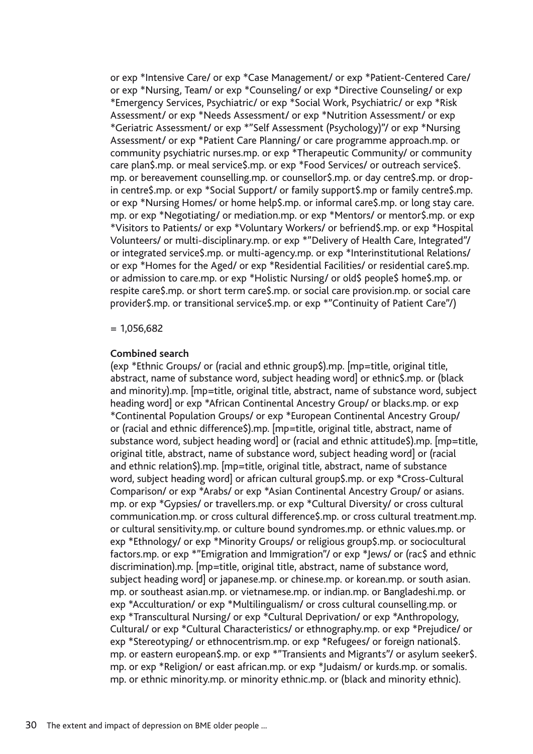or exp \*Intensive Care/ or exp \*Case Management/ or exp \*Patient-Centered Care/ or exp \*Nursing, Team/ or exp \*Counseling/ or exp \*Directive Counseling/ or exp \*Emergency Services, Psychiatric/ or exp \*Social Work, Psychiatric/ or exp \*Risk Assessment/ or exp \*Needs Assessment/ or exp \*Nutrition Assessment/ or exp \*Geriatric Assessment/ or exp \*"Self Assessment (Psychology)"/ or exp \*Nursing Assessment/ or exp \*Patient Care Planning/ or care programme approach.mp. or community psychiatric nurses.mp. or exp \*Therapeutic Community/ or community care plan\$.mp. or meal service\$.mp. or exp \*Food Services/ or outreach service\$. mp. or bereavement counselling.mp. or counsellor\$.mp. or day centre\$.mp. or drop in centre\$.mp. or exp \*Social Support/ or family support\$.mp or family centre\$.mp. or exp \*Nursing Homes/ or home help\$.mp. or informal care\$.mp. or long stay care. mp. or exp \*Negotiating/ or mediation.mp. or exp \*Mentors/ or mentor\$.mp. or exp \*Visitors to Patients/ or exp \*Voluntary Workers/ or befriend\$.mp. or exp \*Hospital Volunteers/ or multi-disciplinary.mp. or exp \*"Delivery of Health Care, Integrated"/ or integrated service\$.mp. or multi-agency.mp. or exp \*Interinstitutional Relations/ or exp \*Homes for the Aged/ or exp \*Residential Facilities/ or residential care\$.mp. or admission to care.mp. or exp \*Holistic Nursing/ or old\$ people\$ home\$.mp. or respite care\$.mp. or short term care\$.mp. or social care provision.mp. or social care provider\$.mp. or transitional service\$.mp. or exp \*"Continuity of Patient Care"/)

### $= 1.056.682$

#### **Combined search**

(exp \*Ethnic Groups/ or (racial and ethnic group\$).mp. [mp=title, original title, abstract, name of substance word, subject heading word] or ethnic\$.mp. or (black and minority).mp. [mp=title, original title, abstract, name of substance word, subject heading word] or exp \*African Continental Ancestry Group/ or blacks.mp. or exp \*Continental Population Groups/ or exp \*European Continental Ancestry Group/ or (racial and ethnic difference\$).mp. [mp=title, original title, abstract, name of substance word, subject heading word] or (racial and ethnic attitude\$).mp. [mp=title, original title, abstract, name of substance word, subject heading word] or (racial and ethnic relation\$).mp. [mp=title, original title, abstract, name of substance word, subject heading word] or african cultural group\$.mp. or exp \*Cross-Cultural Comparison/ or exp \*Arabs/ or exp \*Asian Continental Ancestry Group/ or asians. mp. or exp \*Gypsies/ or travellers.mp. or exp \*Cultural Diversity/ or cross cultural communication.mp. or cross cultural difference\$.mp. or cross cultural treatment.mp. or cultural sensitivity.mp. or culture bound syndromes.mp. or ethnic values.mp. or exp \*Ethnology/ or exp \*Minority Groups/ or religious group\$.mp. or sociocultural factors.mp. or exp \*"Emigration and Immigration"/ or exp \*Jews/ or (rac\$ and ethnic discrimination).mp. [mp=title, original title, abstract, name of substance word, subject heading word] or japanese.mp. or chinese.mp. or korean.mp. or south asian. mp. or southeast asian.mp. or vietnamese.mp. or indian.mp. or Bangladeshi.mp. or exp \*Acculturation/ or exp \*Multilingualism/ or cross cultural counselling.mp. or exp \*Transcultural Nursing/ or exp \*Cultural Deprivation/ or exp \*Anthropology, Cultural/ or exp \*Cultural Characteristics/ or ethnography.mp. or exp \*Prejudice/ or exp \*Stereotyping/ or ethnocentrism.mp. or exp \*Refugees/ or foreign national\$. mp. or eastern european\$.mp. or exp \*"Transients and Migrants"/ or asylum seeker\$. mp. or exp \*Religion/ or east african.mp. or exp \*Judaism/ or kurds.mp. or somalis. mp. or ethnic minority.mp. or minority ethnic.mp. or (black and minority ethnic).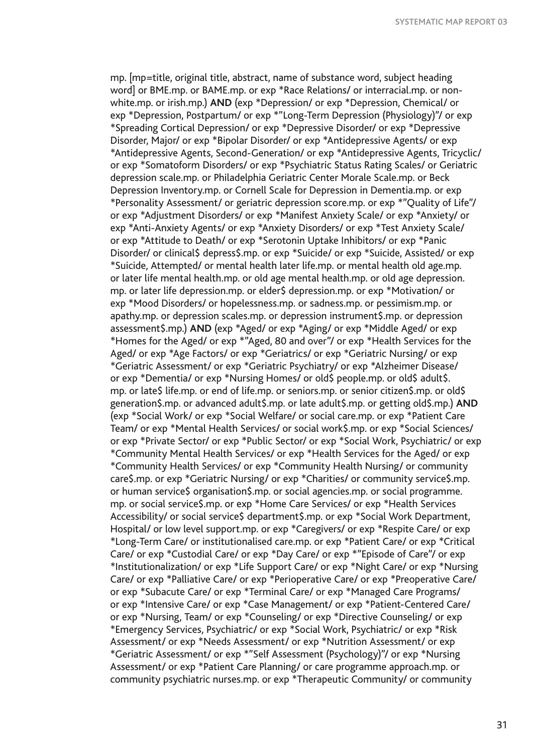mp. [mp=title, original title, abstract, name of substance word, subject heading word] or BME.mp. or BAME.mp. or exp \*Race Relations/ or interracial.mp. or nonwhite.mp. or irish.mp.) **AND** (exp \*Depression/ or exp \*Depression, Chemical/ or exp \*Depression, Postpartum/ or exp \*"Long-Term Depression (Physiology)"/ or exp \*Spreading Cortical Depression/ or exp \*Depressive Disorder/ or exp \*Depressive Disorder, Major/ or exp \*Bipolar Disorder/ or exp \*Antidepressive Agents/ or exp \*Antidepressive Agents, Second-Generation/ or exp \*Antidepressive Agents, Tricyclic/ or exp \*Somatoform Disorders/ or exp \*Psychiatric Status Rating Scales/ or Geriatric depression scale.mp. or Philadelphia Geriatric Center Morale Scale.mp. or Beck Depression Inventory.mp. or Cornell Scale for Depression in Dementia.mp. or exp \*Personality Assessment/ or geriatric depression score.mp. or exp \*"Quality of Life"/ or exp \*Adjustment Disorders/ or exp \*Manifest Anxiety Scale/ or exp \*Anxiety/ or exp \*Anti-Anxiety Agents/ or exp \*Anxiety Disorders/ or exp \*Test Anxiety Scale/ or exp \*Attitude to Death/ or exp \*Serotonin Uptake Inhibitors/ or exp \*Panic Disorder/ or clinical\$ depress\$.mp. or exp \*Suicide/ or exp \*Suicide, Assisted/ or exp \*Suicide, Attempted/ or mental health later life.mp. or mental health old age.mp. or later life mental health.mp. or old age mental health.mp. or old age depression. mp. or later life depression.mp. or elder\$ depression.mp. or exp \*Motivation/ or exp \*Mood Disorders/ or hopelessness.mp. or sadness.mp. or pessimism.mp. or apathy.mp. or depression scales.mp. or depression instrument\$.mp. or depression assessment\$.mp.) **AND** (exp \*Aged/ or exp \*Aging/ or exp \*Middle Aged/ or exp \*Homes for the Aged/ or exp \*"Aged, 80 and over"/ or exp \*Health Services for the Aged/ or exp \*Age Factors/ or exp \*Geriatrics/ or exp \*Geriatric Nursing/ or exp \*Geriatric Assessment/ or exp \*Geriatric Psychiatry/ or exp \*Alzheimer Disease/ or exp \*Dementia/ or exp \*Nursing Homes/ or old\$ people.mp. or old\$ adult\$. mp. or late\$ life.mp. or end of life.mp. or seniors.mp. or senior citizen\$.mp. or old\$ generation\$.mp. or advanced adult\$.mp. or late adult\$.mp. or getting old\$.mp.) **AND**  (exp \*Social Work/ or exp \*Social Welfare/ or social care.mp. or exp \*Patient Care Team/ or exp \*Mental Health Services/ or social work\$.mp. or exp \*Social Sciences/ or exp \*Private Sector/ or exp \*Public Sector/ or exp \*Social Work, Psychiatric/ or exp \*Community Mental Health Services/ or exp \*Health Services for the Aged/ or exp \*Community Health Services/ or exp \*Community Health Nursing/ or community care\$.mp. or exp \*Geriatric Nursing/ or exp \*Charities/ or community service\$.mp. or human service\$ organisation\$.mp. or social agencies.mp. or social programme. mp. or social service\$.mp. or exp \*Home Care Services/ or exp \*Health Services Accessibility/ or social service\$ department\$.mp. or exp \*Social Work Department, Hospital/ or low level support.mp. or exp \*Caregivers/ or exp \*Respite Care/ or exp \*Long-Term Care/ or institutionalised care.mp. or exp \*Patient Care/ or exp \*Critical Care/ or exp \*Custodial Care/ or exp \*Day Care/ or exp \*"Episode of Care"/ or exp \*Institutionalization/ or exp \*Life Support Care/ or exp \*Night Care/ or exp \*Nursing Care/ or exp \*Palliative Care/ or exp \*Perioperative Care/ or exp \*Preoperative Care/ or exp \*Subacute Care/ or exp \*Terminal Care/ or exp \*Managed Care Programs/ or exp \*Intensive Care/ or exp \*Case Management/ or exp \*Patient-Centered Care/ or exp \*Nursing, Team/ or exp \*Counseling/ or exp \*Directive Counseling/ or exp \*Emergency Services, Psychiatric/ or exp \*Social Work, Psychiatric/ or exp \*Risk Assessment/ or exp \*Needs Assessment/ or exp \*Nutrition Assessment/ or exp \*Geriatric Assessment/ or exp \*"Self Assessment (Psychology)"/ or exp \*Nursing Assessment/ or exp \*Patient Care Planning/ or care programme approach.mp. or community psychiatric nurses.mp. or exp \*Therapeutic Community/ or community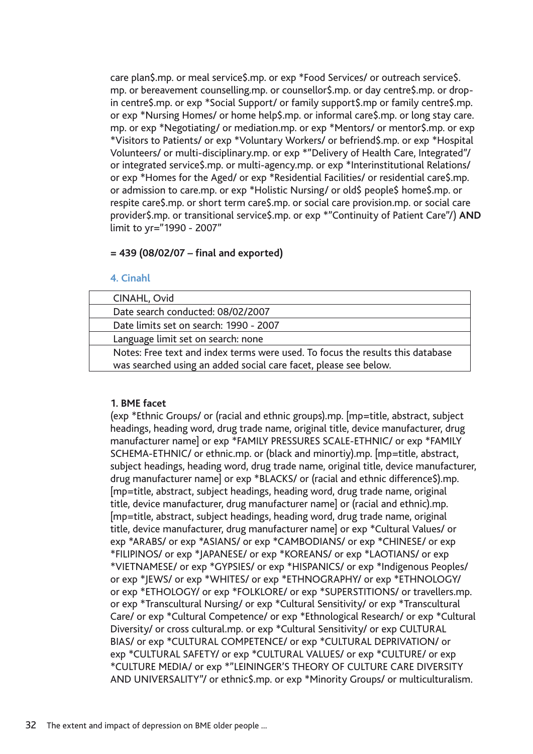care plan\$.mp. or meal service\$.mp. or exp \*Food Services/ or outreach service\$. mp. or bereavement counselling.mp. or counsellor\$.mp. or day centre\$.mp. or drop in centre\$.mp. or exp \*Social Support/ or family support\$.mp or family centre\$.mp. or exp \*Nursing Homes/ or home help\$.mp. or informal care\$.mp. or long stay care. mp. or exp \*Negotiating/ or mediation.mp. or exp \*Mentors/ or mentor\$.mp. or exp \*Visitors to Patients/ or exp \*Voluntary Workers/ or befriend\$.mp. or exp \*Hospital Volunteers/ or multi-disciplinary.mp. or exp \*"Delivery of Health Care, Integrated"/ or integrated service\$.mp. or multi-agency.mp. or exp \*Interinstitutional Relations/ or exp \*Homes for the Aged/ or exp \*Residential Facilities/ or residential care\$.mp. or admission to care.mp. or exp \*Holistic Nursing/ or old\$ people\$ home\$.mp. or respite care\$.mp. or short term care\$.mp. or social care provision.mp. or social care provider\$.mp. or transitional service\$.mp. or exp \*"Continuity of Patient Care"/) **AND**  limit to yr="1990 - 2007"

## **= 439 (08/02/07 – final and exported)**

### **4. Cinahl**

| CINAHL, Ovid                                                                   |
|--------------------------------------------------------------------------------|
| Date search conducted: 08/02/2007                                              |
| Date limits set on search: 1990 - 2007                                         |
| Language limit set on search: none                                             |
| Notes: Free text and index terms were used. To focus the results this database |
| was searched using an added social care facet, please see below.               |

## **1. BME facet**

(exp \*Ethnic Groups/ or (racial and ethnic groups).mp. [mp=title, abstract, subject headings, heading word, drug trade name, original title, device manufacturer, drug manufacturer name] or exp \*FAMILY PRESSURES SCALE-ETHNIC/ or exp \*FAMILY SCHEMA-ETHNIC/ or ethnic.mp. or (black and minortiy).mp. [mp=title, abstract, subject headings, heading word, drug trade name, original title, device manufacturer, drug manufacturer name] or exp \*BLACKS/ or (racial and ethnic difference\$).mp. [mp=title, abstract, subject headings, heading word, drug trade name, original title, device manufacturer, drug manufacturer name] or (racial and ethnic).mp. [mp=title, abstract, subject headings, heading word, drug trade name, original title, device manufacturer, drug manufacturer name] or exp \*Cultural Values/ or exp \*ARABS/ or exp \*ASIANS/ or exp \*CAMBODIANS/ or exp \*CHINESE/ or exp \*FILIPINOS/ or exp \*JAPANESE/ or exp \*KOREANS/ or exp \*LAOTIANS/ or exp \*VIETNAMESE/ or exp \*GYPSIES/ or exp \*HISPANICS/ or exp \*Indigenous Peoples/ or exp \*JEWS/ or exp \*WHITES/ or exp \*ETHNOGRAPHY/ or exp \*ETHNOLOGY/ or exp \*ETHOLOGY/ or exp \*FOLKLORE/ or exp \*SUPERSTITIONS/ or travellers.mp. or exp \*Transcultural Nursing/ or exp \*Cultural Sensitivity/ or exp \*Transcultural Care/ or exp \*Cultural Competence/ or exp \*Ethnological Research/ or exp \*Cultural Diversity/ or cross cultural.mp. or exp \*Cultural Sensitivity/ or exp CULTURAL BIAS/ or exp \*CULTURAL COMPETENCE/ or exp \*CULTURAL DEPRIVATION/ or exp \*CULTURAL SAFETY/ or exp \*CULTURAL VALUES/ or exp \*CULTURE/ or exp \*CULTURE MEDIA/ or exp \*"LEININGER'S THEORY OF CULTURE CARE DIVERSITY AND UNIVERSALITY"/ or ethnic\$.mp. or exp \*Minority Groups/ or multiculturalism.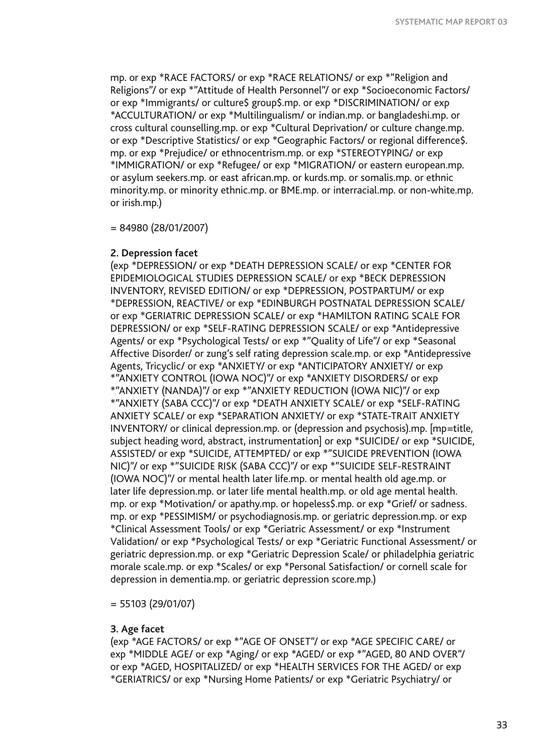mp. or exp \*RACE FACTORS/ or exp \*RACE RELATIONS/ or exp \*"Religion and Religions"/ or exp \*"Attitude of Health Personnel"/ or exp \*Socioeconomic Factors/ or exp \*Immigrants/ or culture\$ group\$.mp. or exp \*DISCRIMINATION/ or exp \*ACCULTURATION/ or exp \*Multilingualism/ or indian.mp. or bangladeshi.mp. or cross cultural counselling.mp. or exp \*Cultural Deprivation/ or culture change.mp. or exp \*Descriptive Statistics/ or exp \*Geographic Factors/ or regional difference\$. mp. or exp \*Prejudice/ or ethnocentrism.mp. or exp \*STEREOTYPING/ or exp \*IMMIGRATION/ or exp \*Refugee/ or exp \*MIGRATION/ or eastern european.mp. or asylum seekers.mp. or east african.mp. or kurds.mp. or somalis.mp. or ethnic minority.mp. or minority ethnic.mp. or BME.mp. or interracial.mp. or non-white.mp. or irish.mp.)

= 84980 (28/01/2007)

### **2. Depression facet**

(exp \*DEPRESSION/ or exp \*DEATH DEPRESSION SCALE/ or exp \*CENTER FOR EPIDEMIOLOGICAL STUDIES DEPRESSION SCALE/ or exp \*BECK DEPRESSION INVENTORY, REVISED EDITION/ or exp \*DEPRESSION, POSTPARTUM/ or exp \*DEPRESSION, REACTIVE/ or exp \*EDINBURGH POSTNATAL DEPRESSION SCALE/ or exp \*GERIATRIC DEPRESSION SCALE/ or exp \*HAMILTON RATING SCALE FOR DEPRESSION/ or exp \*SELF-RATING DEPRESSION SCALE/ or exp \*Antidepressive Agents/ or exp \*Psychological Tests/ or exp \*"Quality of Life"/ or exp \*Seasonal Affective Disorder/ or zung's self rating depression scale.mp. or exp \*Antidepressive Agents, Tricyclic/ or exp \*ANXIETY/ or exp \*ANTICIPATORY ANXIETY/ or exp \*"ANXIETY CONTROL (IOWA NOC)"/ or exp \*ANXIETY DISORDERS/ or exp \*"ANXIETY (NANDA)"/ or exp \*"ANXIETY REDUCTION (IOWA NIC)"/ or exp \*"ANXIETY (SABA CCC)"/ or exp \*DEATH ANXIETY SCALE/ or exp \*SELF-RATING ANXIETY SCALE/ or exp \*SEPARATION ANXIETY/ or exp \*STATE-TRAIT ANXIETY INVENTORY/ or clinical depression.mp. or (depression and psychosis).mp. [mp=title, subject heading word, abstract, instrumentation] or exp \*SUICIDE/ or exp \*SUICIDE, ASSISTED/ or exp \*SUICIDE, ATTEMPTED/ or exp \*"SUICIDE PREVENTION (IOWA NIC)"/ or exp \*"SUICIDE RISK (SABA CCC)"/ or exp \*"SUICIDE SELF-RESTRAINT (IOWA NOC)"/ or mental health later life.mp. or mental health old age.mp. or later life depression.mp. or later life mental health.mp. or old age mental health. mp. or exp \*Motivation/ or apathy.mp. or hopeless\$.mp. or exp \*Grief/ or sadness. mp. or exp \*PESSIMISM/ or psychodiagnosis.mp. or geriatric depression.mp. or exp \*Clinical Assessment Tools/ or exp \*Geriatric Assessment/ or exp \*Instrument Validation/ or exp \*Psychological Tests/ or exp \*Geriatric Functional Assessment/ or geriatric depression.mp. or exp \*Geriatric Depression Scale/ or philadelphia geriatric morale scale.mp. or exp \*Scales/ or exp \*Personal Satisfaction/ or cornell scale for depression in dementia.mp. or geriatric depression score.mp.)

= 55103 (29/01/07)

### **3. Age facet**

(exp \*AGE FACTORS/ or exp \*"AGE OF ONSET"/ or exp \*AGE SPECIFIC CARE/ or exp \*MIDDLE AGE/ or exp \*Aging/ or exp \*AGED/ or exp \*"AGED, 80 AND OVER"/ or exp \*AGED, HOSPITALIZED/ or exp \*HEALTH SERVICES FOR THE AGED/ or exp \*GERIATRICS/ or exp \*Nursing Home Patients/ or exp \*Geriatric Psychiatry/ or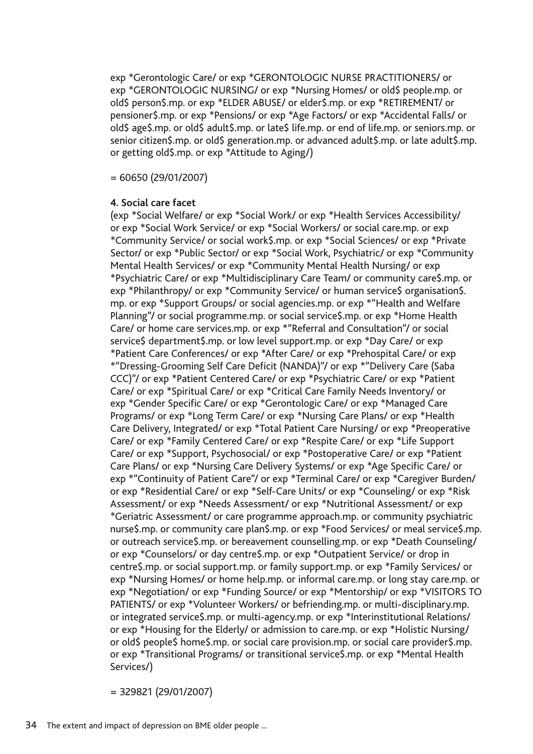exp \*Gerontologic Care/ or exp \*GERONTOLOGIC NURSE PRACTITIONERS/ or exp \*GERONTOLOGIC NURSING/ or exp \*Nursing Homes/ or old\$ people.mp. or old\$ person\$.mp. or exp \*ELDER ABUSE/ or elder\$.mp. or exp \*RETIREMENT/ or pensioner\$.mp. or exp \*Pensions/ or exp \*Age Factors/ or exp \*Accidental Falls/ or old\$ age\$.mp. or old\$ adult\$.mp. or late\$ life.mp. or end of life.mp. or seniors.mp. or senior citizen\$.mp. or old\$ generation.mp. or advanced adult\$.mp. or late adult\$.mp. or getting old\$.mp. or exp \*Attitude to Aging/)

= 60650 (29/01/2007)

#### **4. Social care facet**

(exp \*Social Welfare/ or exp \*Social Work/ or exp \*Health Services Accessibility/ or exp \*Social Work Service/ or exp \*Social Workers/ or social care.mp. or exp \*Community Service/ or social work\$.mp. or exp \*Social Sciences/ or exp \*Private Sector/ or exp \*Public Sector/ or exp \*Social Work, Psychiatric/ or exp \*Community Mental Health Services/ or exp \*Community Mental Health Nursing/ or exp \*Psychiatric Care/ or exp \*Multidisciplinary Care Team/ or community care\$.mp. or exp \*Philanthropy/ or exp \*Community Service/ or human service\$ organisation\$. mp. or exp \*Support Groups/ or social agencies.mp. or exp \*"Health and Welfare Planning"/ or social programme.mp. or social service\$.mp. or exp \*Home Health Care/ or home care services.mp. or exp \*"Referral and Consultation"/ or social service\$ department\$.mp. or low level support.mp. or exp \*Day Care/ or exp \*Patient Care Conferences/ or exp \*After Care/ or exp \*Prehospital Care/ or exp \*"Dressing-Grooming Self Care Deficit (NANDA)"/ or exp \*"Delivery Care (Saba CCC)"/ or exp \*Patient Centered Care/ or exp \*Psychiatric Care/ or exp \*Patient Care/ or exp \*Spiritual Care/ or exp \*Critical Care Family Needs Inventory/ or exp \*Gender Specific Care/ or exp \*Gerontologic Care/ or exp \*Managed Care Programs/ or exp \*Long Term Care/ or exp \*Nursing Care Plans/ or exp \*Health Care Delivery, Integrated/ or exp \*Total Patient Care Nursing/ or exp \*Preoperative Care/ or exp \*Family Centered Care/ or exp \*Respite Care/ or exp \*Life Support Care/ or exp \*Support, Psychosocial/ or exp \*Postoperative Care/ or exp \*Patient Care Plans/ or exp \*Nursing Care Delivery Systems/ or exp \*Age Specific Care/ or exp \*"Continuity of Patient Care"/ or exp \*Terminal Care/ or exp \*Caregiver Burden/ or exp \*Residential Care/ or exp \*Self-Care Units/ or exp \*Counseling/ or exp \*Risk Assessment/ or exp \*Needs Assessment/ or exp \*Nutritional Assessment/ or exp \*Geriatric Assessment/ or care programme approach.mp. or community psychiatric nurse\$.mp. or community care plan\$.mp. or exp \*Food Services/ or meal service\$.mp. or outreach service\$.mp. or bereavement counselling.mp. or exp \*Death Counseling/ or exp \*Counselors/ or day centre\$.mp. or exp \*Outpatient Service/ or drop in centre\$.mp. or social support.mp. or family support.mp. or exp \*Family Services/ or exp \*Nursing Homes/ or home help.mp. or informal care.mp. or long stay care.mp. or exp \*Negotiation/ or exp \*Funding Source/ or exp \*Mentorship/ or exp \*VISITORS TO PATIENTS/ or exp \*Volunteer Workers/ or befriending.mp. or multi-disciplinary.mp. or integrated service\$.mp. or multi-agency.mp. or exp \*Interinstitutional Relations/ or exp \*Housing for the Elderly/ or admission to care.mp. or exp \*Holistic Nursing/ or old\$ people\$ home\$.mp. or social care provision.mp. or social care provider\$.mp. or exp \*Transitional Programs/ or transitional service\$.mp. or exp \*Mental Health Services/)

= 329821 (29/01/2007)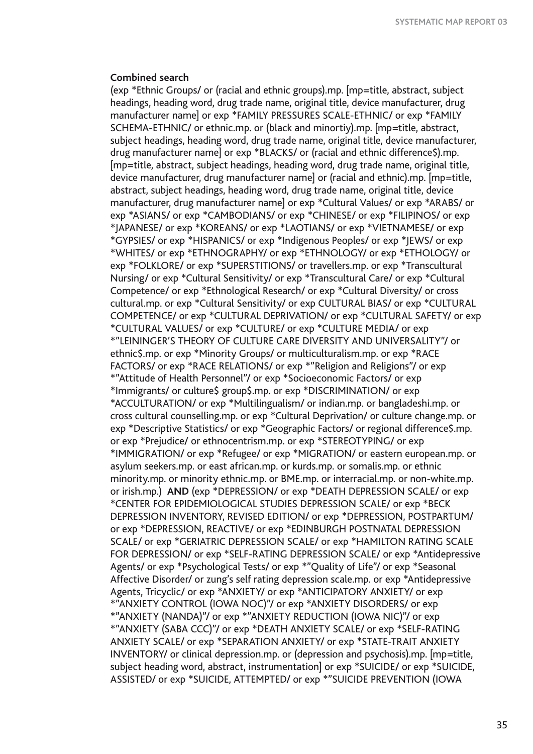#### **Combined search**

(exp \*Ethnic Groups/ or (racial and ethnic groups).mp. [mp=title, abstract, subject headings, heading word, drug trade name, original title, device manufacturer, drug manufacturer name] or exp \*FAMILY PRESSURES SCALE-ETHNIC/ or exp \*FAMILY SCHEMA-ETHNIC/ or ethnic.mp. or (black and minortiy).mp. [mp=title, abstract, subject headings, heading word, drug trade name, original title, device manufacturer, drug manufacturer name] or exp \*BLACKS/ or (racial and ethnic difference\$).mp. [mp=title, abstract, subject headings, heading word, drug trade name, original title, device manufacturer, drug manufacturer name] or (racial and ethnic).mp. [mp=title, abstract, subject headings, heading word, drug trade name, original title, device manufacturer, drug manufacturer name] or exp \*Cultural Values/ or exp \*ARABS/ or exp \*ASIANS/ or exp \*CAMBODIANS/ or exp \*CHINESE/ or exp \*FILIPINOS/ or exp \*JAPANESE/ or exp \*KOREANS/ or exp \*LAOTIANS/ or exp \*VIETNAMESE/ or exp \*GYPSIES/ or exp \*HISPANICS/ or exp \*Indigenous Peoples/ or exp \*JEWS/ or exp \*WHITES/ or exp \*ETHNOGRAPHY/ or exp \*ETHNOLOGY/ or exp \*ETHOLOGY/ or exp \*FOLKLORE/ or exp \*SUPERSTITIONS/ or travellers.mp. or exp \*Transcultural Nursing/ or exp \*Cultural Sensitivity/ or exp \*Transcultural Care/ or exp \*Cultural Competence/ or exp \*Ethnological Research/ or exp \*Cultural Diversity/ or cross cultural.mp. or exp \*Cultural Sensitivity/ or exp CULTURAL BIAS/ or exp \*CULTURAL COMPETENCE/ or exp \*CULTURAL DEPRIVATION/ or exp \*CULTURAL SAFETY/ or exp \*CULTURAL VALUES/ or exp \*CULTURE/ or exp \*CULTURE MEDIA/ or exp \*"LEININGER'S THEORY OF CULTURE CARE DIVERSITY AND UNIVERSALITY"/ or ethnic\$.mp. or exp \*Minority Groups/ or multiculturalism.mp. or exp \*RACE FACTORS/ or exp \*RACE RELATIONS/ or exp \*"Religion and Religions"/ or exp \*"Attitude of Health Personnel"/ or exp \*Socioeconomic Factors/ or exp \*Immigrants/ or culture\$ group\$.mp. or exp \*DISCRIMINATION/ or exp \*ACCULTURATION/ or exp \*Multilingualism/ or indian.mp. or bangladeshi.mp. or cross cultural counselling.mp. or exp \*Cultural Deprivation/ or culture change.mp. or exp \*Descriptive Statistics/ or exp \*Geographic Factors/ or regional difference\$.mp. or exp \*Prejudice/ or ethnocentrism.mp. or exp \*STEREOTYPING/ or exp \*IMMIGRATION/ or exp \*Refugee/ or exp \*MIGRATION/ or eastern european.mp. or asylum seekers.mp. or east african.mp. or kurds.mp. or somalis.mp. or ethnic minority.mp. or minority ethnic.mp. or BME.mp. or interracial.mp. or non-white.mp. or irish.mp.) **AND** (exp \*DEPRESSION/ or exp \*DEATH DEPRESSION SCALE/ or exp \*CENTER FOR EPIDEMIOLOGICAL STUDIES DEPRESSION SCALE/ or exp \*BECK DEPRESSION INVENTORY, REVISED EDITION/ or exp \*DEPRESSION, POSTPARTUM/ or exp \*DEPRESSION, REACTIVE/ or exp \*EDINBURGH POSTNATAL DEPRESSION SCALE/ or exp \*GERIATRIC DEPRESSION SCALE/ or exp \*HAMILTON RATING SCALE FOR DEPRESSION/ or exp \*SELF-RATING DEPRESSION SCALE/ or exp \*Antidepressive Agents/ or exp \*Psychological Tests/ or exp \*"Quality of Life"/ or exp \*Seasonal Affective Disorder/ or zung's self rating depression scale.mp. or exp \*Antidepressive Agents, Tricyclic/ or exp \*ANXIETY/ or exp \*ANTICIPATORY ANXIETY/ or exp \*"ANXIETY CONTROL (IOWA NOC)"/ or exp \*ANXIETY DISORDERS/ or exp \*"ANXIETY (NANDA)"/ or exp \*"ANXIETY REDUCTION (IOWA NIC)"/ or exp \*"ANXIETY (SABA CCC)"/ or exp \*DEATH ANXIETY SCALE/ or exp \*SELF-RATING ANXIETY SCALE/ or exp \*SEPARATION ANXIETY/ or exp \*STATE-TRAIT ANXIETY INVENTORY/ or clinical depression.mp. or (depression and psychosis).mp. [mp=title, subject heading word, abstract, instrumentation] or exp \*SUICIDE/ or exp \*SUICIDE, ASSISTED/ or exp \*SUICIDE, ATTEMPTED/ or exp \*"SUICIDE PREVENTION (IOWA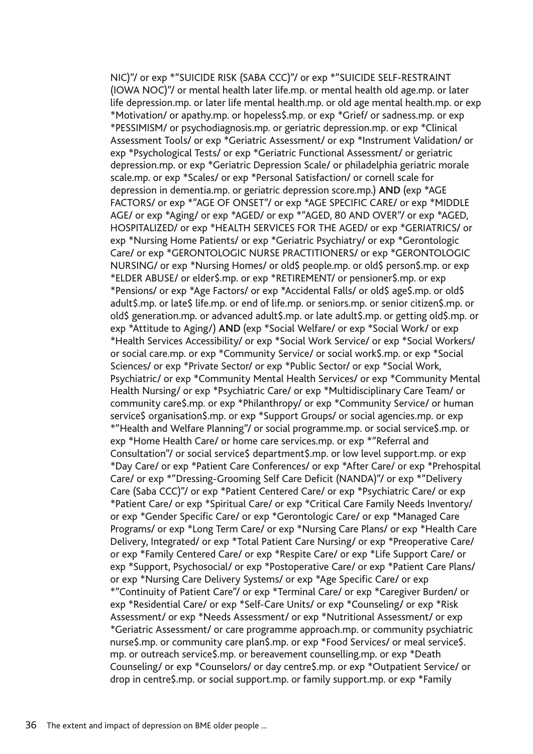NIC)"/ or exp \*"SUICIDE RISK (SABA CCC)"/ or exp \*"SUICIDE SELF-RESTRAINT (IOWA NOC)"/ or mental health later life.mp. or mental health old age.mp. or later life depression.mp. or later life mental health.mp. or old age mental health.mp. or exp \*Motivation/ or apathy.mp. or hopeless\$.mp. or exp \*Grief/ or sadness.mp. or exp \*PESSIMISM/ or psychodiagnosis.mp. or geriatric depression.mp. or exp \*Clinical Assessment Tools/ or exp \*Geriatric Assessment/ or exp \*Instrument Validation/ or exp \*Psychological Tests/ or exp \*Geriatric Functional Assessment/ or geriatric depression.mp. or exp \*Geriatric Depression Scale/ or philadelphia geriatric morale scale.mp. or exp \*Scales/ or exp \*Personal Satisfaction/ or cornell scale for depression in dementia.mp. or geriatric depression score.mp.) **AND** (exp \*AGE FACTORS/ or exp \*"AGE OF ONSET"/ or exp \*AGE SPECIFIC CARE/ or exp \*MIDDLE AGE/ or exp \*Aging/ or exp \*AGED/ or exp \*"AGED, 80 AND OVER"/ or exp \*AGED, HOSPITALIZED/ or exp \*HEALTH SERVICES FOR THE AGED/ or exp \*GERIATRICS/ or exp \*Nursing Home Patients/ or exp \*Geriatric Psychiatry/ or exp \*Gerontologic Care/ or exp \*GERONTOLOGIC NURSE PRACTITIONERS/ or exp \*GERONTOLOGIC NURSING/ or exp \*Nursing Homes/ or old\$ people.mp. or old\$ person\$.mp. or exp \*ELDER ABUSE/ or elder\$.mp. or exp \*RETIREMENT/ or pensioner\$.mp. or exp \*Pensions/ or exp \*Age Factors/ or exp \*Accidental Falls/ or old\$ age\$.mp. or old\$ adult\$.mp. or late\$ life.mp. or end of life.mp. or seniors.mp. or senior citizen\$.mp. or old\$ generation.mp. or advanced adult\$.mp. or late adult\$.mp. or getting old\$.mp. or exp \*Attitude to Aging/) **AND** (exp \*Social Welfare/ or exp \*Social Work/ or exp \*Health Services Accessibility/ or exp \*Social Work Service/ or exp \*Social Workers/ or social care.mp. or exp \*Community Service/ or social work\$.mp. or exp \*Social Sciences/ or exp \*Private Sector/ or exp \*Public Sector/ or exp \*Social Work, Psychiatric/ or exp \*Community Mental Health Services/ or exp \*Community Mental Health Nursing/ or exp \*Psychiatric Care/ or exp \*Multidisciplinary Care Team/ or community care\$.mp. or exp \*Philanthropy/ or exp \*Community Service/ or human service\$ organisation\$.mp. or exp \*Support Groups/ or social agencies.mp. or exp \*"Health and Welfare Planning"/ or social programme.mp. or social service\$.mp. or exp \*Home Health Care/ or home care services.mp. or exp \*"Referral and Consultation"/ or social service\$ department\$.mp. or low level support.mp. or exp \*Day Care/ or exp \*Patient Care Conferences/ or exp \*After Care/ or exp \*Prehospital Care/ or exp \*"Dressing-Grooming Self Care Deficit (NANDA)"/ or exp \*"Delivery Care (Saba CCC)"/ or exp \*Patient Centered Care/ or exp \*Psychiatric Care/ or exp \*Patient Care/ or exp \*Spiritual Care/ or exp \*Critical Care Family Needs Inventory/ or exp \*Gender Specific Care/ or exp \*Gerontologic Care/ or exp \*Managed Care Programs/ or exp \*Long Term Care/ or exp \*Nursing Care Plans/ or exp \*Health Care Delivery, Integrated/ or exp \*Total Patient Care Nursing/ or exp \*Preoperative Care/ or exp \*Family Centered Care/ or exp \*Respite Care/ or exp \*Life Support Care/ or exp \*Support, Psychosocial/ or exp \*Postoperative Care/ or exp \*Patient Care Plans/ or exp \*Nursing Care Delivery Systems/ or exp \*Age Specific Care/ or exp \*"Continuity of Patient Care"/ or exp \*Terminal Care/ or exp \*Caregiver Burden/ or exp \*Residential Care/ or exp \*Self-Care Units/ or exp \*Counseling/ or exp \*Risk Assessment/ or exp \*Needs Assessment/ or exp \*Nutritional Assessment/ or exp \*Geriatric Assessment/ or care programme approach.mp. or community psychiatric nurse\$.mp. or community care plan\$.mp. or exp \*Food Services/ or meal service\$. mp. or outreach service\$.mp. or bereavement counselling.mp. or exp \*Death Counseling/ or exp \*Counselors/ or day centre\$.mp. or exp \*Outpatient Service/ or drop in centre\$.mp. or social support.mp. or family support.mp. or exp \*Family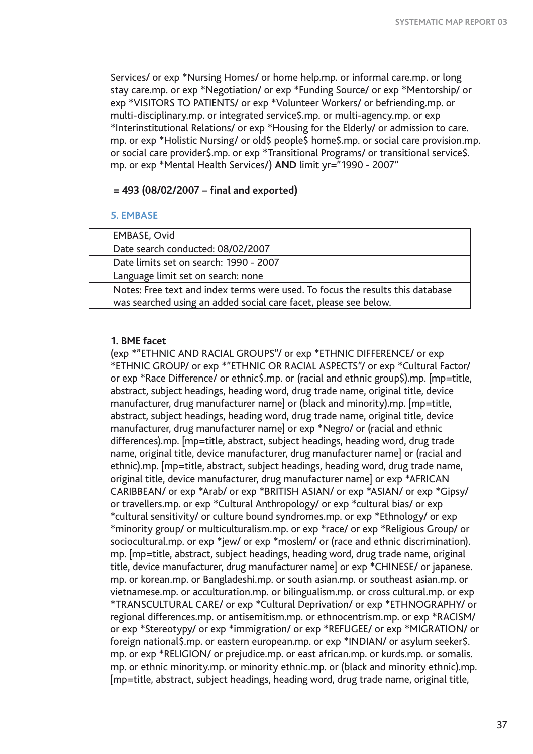Services/ or exp \*Nursing Homes/ or home help.mp. or informal care.mp. or long stay care.mp. or exp \*Negotiation/ or exp \*Funding Source/ or exp \*Mentorship/ or exp \*VISITORS TO PATIENTS/ or exp \*Volunteer Workers/ or befriending.mp. or multi-disciplinary.mp. or integrated service\$.mp. or multi-agency.mp. or exp \*Interinstitutional Relations/ or exp \*Housing for the Elderly/ or admission to care. mp. or exp \*Holistic Nursing/ or old\$ people\$ home\$.mp. or social care provision.mp. or social care provider\$.mp. or exp \*Transitional Programs/ or transitional service\$. mp. or exp \*Mental Health Services/) **AND** limit yr="1990 - 2007"

### **= 493 (08/02/2007 – final and exported)**

#### **5. EMBASE**

| EMBASE, Ovid                                                                   |  |
|--------------------------------------------------------------------------------|--|
| Date search conducted: 08/02/2007                                              |  |
| Date limits set on search: 1990 - 2007                                         |  |
| Language limit set on search: none                                             |  |
| Notes: Free text and index terms were used. To focus the results this database |  |
| was searched using an added social care facet, please see below.               |  |

## **1. BME facet**

(exp \*"ETHNIC AND RACIAL GROUPS"/ or exp \*ETHNIC DIFFERENCE/ or exp \*ETHNIC GROUP/ or exp \*"ETHNIC OR RACIAL ASPECTS"/ or exp \*Cultural Factor/ or exp \*Race Difference/ or ethnic\$.mp. or (racial and ethnic group\$).mp. [mp=title, abstract, subject headings, heading word, drug trade name, original title, device manufacturer, drug manufacturer name] or (black and minority).mp. [mp=title, abstract, subject headings, heading word, drug trade name, original title, device manufacturer, drug manufacturer name] or exp \*Negro/ or (racial and ethnic differences).mp. [mp=title, abstract, subject headings, heading word, drug trade name, original title, device manufacturer, drug manufacturer name] or (racial and ethnic).mp. [mp=title, abstract, subject headings, heading word, drug trade name, original title, device manufacturer, drug manufacturer name] or exp \*AFRICAN CARIBBEAN/ or exp \*Arab/ or exp \*BRITISH ASIAN/ or exp \*ASIAN/ or exp \*Gipsy/ or travellers.mp. or exp \*Cultural Anthropology/ or exp \*cultural bias/ or exp \*cultural sensitivity/ or culture bound syndromes.mp. or exp \*Ethnology/ or exp \*minority group/ or multiculturalism.mp. or exp \*race/ or exp \*Religious Group/ or sociocultural.mp. or exp \*jew/ or exp \*moslem/ or (race and ethnic discrimination). mp. [mp=title, abstract, subject headings, heading word, drug trade name, original title, device manufacturer, drug manufacturer name] or exp \*CHINESE/ or japanese. mp. or korean.mp. or Bangladeshi.mp. or south asian.mp. or southeast asian.mp. or vietnamese.mp. or acculturation.mp. or bilingualism.mp. or cross cultural.mp. or exp \*TRANSCULTURAL CARE/ or exp \*Cultural Deprivation/ or exp \*ETHNOGRAPHY/ or regional differences.mp. or antisemitism.mp. or ethnocentrism.mp. or exp \*RACISM/ or exp \*Stereotypy/ or exp \*immigration/ or exp \*REFUGEE/ or exp \*MIGRATION/ or foreign national\$.mp. or eastern european.mp. or exp \*INDIAN/ or asylum seeker\$. mp. or exp \*RELIGION/ or prejudice.mp. or east african.mp. or kurds.mp. or somalis. mp. or ethnic minority.mp. or minority ethnic.mp. or (black and minority ethnic).mp. [mp=title, abstract, subject headings, heading word, drug trade name, original title,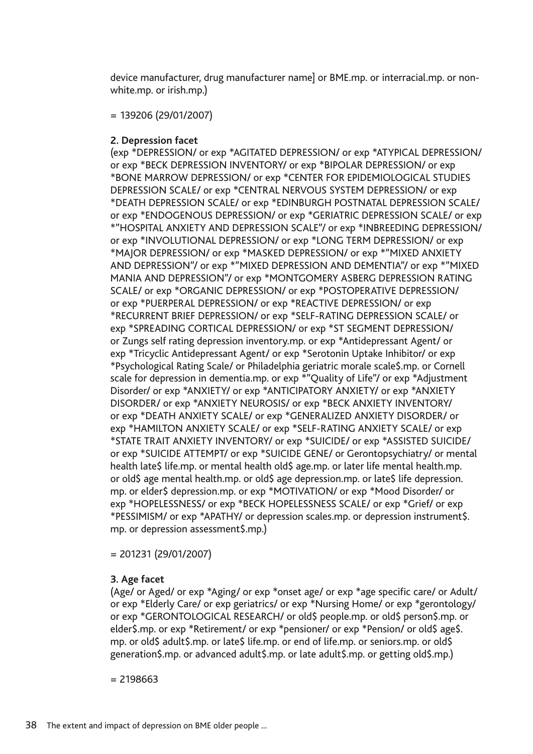device manufacturer, drug manufacturer name] or BME.mp. or interracial.mp. or nonwhite.mp. or irish.mp.)

= 139206 (29/01/2007)

## **2. Depression facet**

(exp \*DEPRESSION/ or exp \*AGITATED DEPRESSION/ or exp \*ATYPICAL DEPRESSION/ or exp \*BECK DEPRESSION INVENTORY/ or exp \*BIPOLAR DEPRESSION/ or exp \*BONE MARROW DEPRESSION/ or exp \*CENTER FOR EPIDEMIOLOGICAL STUDIES DEPRESSION SCALE/ or exp \*CENTRAL NERVOUS SYSTEM DEPRESSION/ or exp \*DEATH DEPRESSION SCALE/ or exp \*EDINBURGH POSTNATAL DEPRESSION SCALE/ or exp \*ENDOGENOUS DEPRESSION/ or exp \*GERIATRIC DEPRESSION SCALE/ or exp \*"HOSPITAL ANXIETY AND DEPRESSION SCALE"/ or exp \*INBREEDING DEPRESSION/ or exp \*INVOLUTIONAL DEPRESSION/ or exp \*LONG TERM DEPRESSION/ or exp \*MAJOR DEPRESSION/ or exp \*MASKED DEPRESSION/ or exp \*"MIXED ANXIETY AND DEPRESSION"/ or exp \*"MIXED DEPRESSION AND DEMENTIA"/ or exp \*"MIXED MANIA AND DEPRESSION"/ or exp \*MONTGOMERY ASBERG DEPRESSION RATING SCALE/ or exp \*ORGANIC DEPRESSION/ or exp \*POSTOPERATIVE DEPRESSION/ or exp \*PUERPERAL DEPRESSION/ or exp \*REACTIVE DEPRESSION/ or exp \*RECURRENT BRIEF DEPRESSION/ or exp \*SELF-RATING DEPRESSION SCALE/ or exp \*SPREADING CORTICAL DEPRESSION/ or exp \*ST SEGMENT DEPRESSION/ or Zungs self rating depression inventory.mp. or exp \*Antidepressant Agent/ or exp \*Tricyclic Antidepressant Agent/ or exp \*Serotonin Uptake Inhibitor/ or exp \*Psychological Rating Scale/ or Philadelphia geriatric morale scale\$.mp. or Cornell scale for depression in dementia.mp. or exp \*"Quality of Life"/ or exp \*Adjustment Disorder/ or exp \*ANXIETY/ or exp \*ANTICIPATORY ANXIETY/ or exp \*ANXIETY DISORDER/ or exp \*ANXIETY NEUROSIS/ or exp \*BECK ANXIETY INVENTORY/ or exp \*DEATH ANXIETY SCALE/ or exp \*GENERALIZED ANXIETY DISORDER/ or exp \*HAMILTON ANXIETY SCALE/ or exp \*SELF-RATING ANXIETY SCALE/ or exp \*STATE TRAIT ANXIETY INVENTORY/ or exp \*SUICIDE/ or exp \*ASSISTED SUICIDE/ or exp \*SUICIDE ATTEMPT/ or exp \*SUICIDE GENE/ or Gerontopsychiatry/ or mental health late\$ life.mp. or mental health old\$ age.mp. or later life mental health.mp. or old\$ age mental health.mp. or old\$ age depression.mp. or late\$ life depression. mp. or elder\$ depression.mp. or exp \*MOTIVATION/ or exp \*Mood Disorder/ or exp \*HOPELESSNESS/ or exp \*BECK HOPELESSNESS SCALE/ or exp \*Grief/ or exp \*PESSIMISM/ or exp \*APATHY/ or depression scales.mp. or depression instrument\$. mp. or depression assessment\$.mp.)

= 201231 (29/01/2007)

## **3. Age facet**

(Age/ or Aged/ or exp \*Aging/ or exp \*onset age/ or exp \*age specific care/ or Adult/ or exp \*Elderly Care/ or exp geriatrics/ or exp \*Nursing Home/ or exp \*gerontology/ or exp \*GERONTOLOGICAL RESEARCH/ or old\$ people.mp. or old\$ person\$.mp. or elder\$.mp. or exp \*Retirement/ or exp \*pensioner/ or exp \*Pension/ or old\$ age\$. mp. or old\$ adult\$.mp. or late\$ life.mp. or end of life.mp. or seniors.mp. or old\$ generation\$.mp. or advanced adult\$.mp. or late adult\$.mp. or getting old\$.mp.)

 $= 2198663$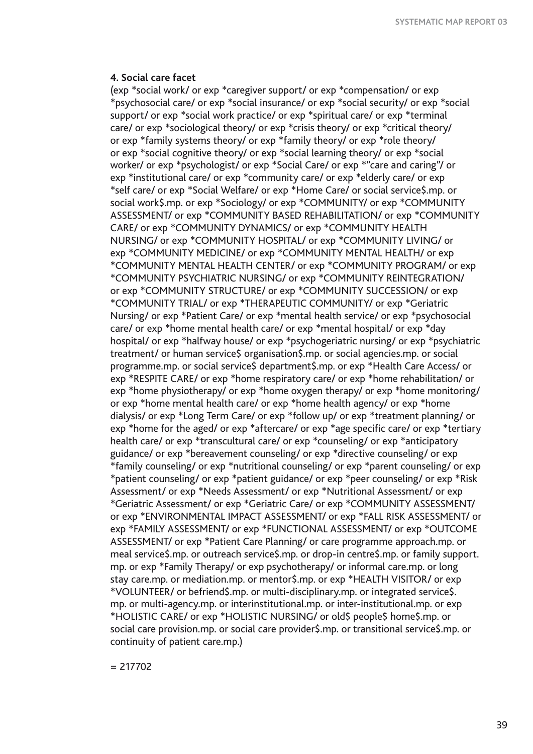#### **4. Social care facet**

(exp \*social work/ or exp \*caregiver support/ or exp \*compensation/ or exp \*psychosocial care/ or exp \*social insurance/ or exp \*social security/ or exp \*social support/ or exp \*social work practice/ or exp \*spiritual care/ or exp \*terminal care/ or exp \*sociological theory/ or exp \*crisis theory/ or exp \*critical theory/ or exp \*family systems theory/ or exp \*family theory/ or exp \*role theory/ or exp \*social cognitive theory/ or exp \*social learning theory/ or exp \*social worker/ or exp \*psychologist/ or exp \*Social Care/ or exp \*"care and caring"/ or exp \*institutional care/ or exp \*community care/ or exp \*elderly care/ or exp \*self care/ or exp \*Social Welfare/ or exp \*Home Care/ or social service\$.mp. or social work\$.mp. or exp \*Sociology/ or exp \*COMMUNITY/ or exp \*COMMUNITY ASSESSMENT/ or exp \*COMMUNITY BASED REHABILITATION/ or exp \*COMMUNITY CARE/ or exp \*COMMUNITY DYNAMICS/ or exp \*COMMUNITY HEALTH NURSING/ or exp \*COMMUNITY HOSPITAL/ or exp \*COMMUNITY LIVING/ or exp \*COMMUNITY MEDICINE/ or exp \*COMMUNITY MENTAL HEALTH/ or exp \*COMMUNITY MENTAL HEALTH CENTER/ or exp \*COMMUNITY PROGRAM/ or exp \*COMMUNITY PSYCHIATRIC NURSING/ or exp \*COMMUNITY REINTEGRATION/ or exp \*COMMUNITY STRUCTURE/ or exp \*COMMUNITY SUCCESSION/ or exp \*COMMUNITY TRIAL/ or exp \*THERAPEUTIC COMMUNITY/ or exp \*Geriatric Nursing/ or exp \*Patient Care/ or exp \*mental health service/ or exp \*psychosocial care/ or exp \*home mental health care/ or exp \*mental hospital/ or exp \*day hospital/ or exp \*halfway house/ or exp \*psychogeriatric nursing/ or exp \*psychiatric treatment/ or human service\$ organisation\$.mp. or social agencies.mp. or social programme.mp. or social service\$ department\$.mp. or exp \*Health Care Access/ or exp \*RESPITE CARE/ or exp \*home respiratory care/ or exp \*home rehabilitation/ or exp \*home physiotherapy/ or exp \*home oxygen therapy/ or exp \*home monitoring/ or exp \*home mental health care/ or exp \*home health agency/ or exp \*home dialysis/ or exp \*Long Term Care/ or exp \*follow up/ or exp \*treatment planning/ or exp \*home for the aged/ or exp \*aftercare/ or exp \*age specific care/ or exp \*tertiary health care/ or exp \*transcultural care/ or exp \*counseling/ or exp \*anticipatory guidance/ or exp \*bereavement counseling/ or exp \*directive counseling/ or exp \*family counseling/ or exp \*nutritional counseling/ or exp \*parent counseling/ or exp \*patient counseling/ or exp \*patient guidance/ or exp \*peer counseling/ or exp \*Risk Assessment/ or exp \*Needs Assessment/ or exp \*Nutritional Assessment/ or exp \*Geriatric Assessment/ or exp \*Geriatric Care/ or exp \*COMMUNITY ASSESSMENT/ or exp \*ENVIRONMENTAL IMPACT ASSESSMENT/ or exp \*FALL RISK ASSESSMENT/ or exp \*FAMILY ASSESSMENT/ or exp \*FUNCTIONAL ASSESSMENT/ or exp \*OUTCOME ASSESSMENT/ or exp \*Patient Care Planning/ or care programme approach.mp. or meal service\$.mp. or outreach service\$.mp. or drop-in centre\$.mp. or family support. mp. or exp \*Family Therapy/ or exp psychotherapy/ or informal care.mp. or long stay care.mp. or mediation.mp. or mentor\$.mp. or exp \*HEALTH VISITOR/ or exp \*VOLUNTEER/ or befriend\$.mp. or multi-disciplinary.mp. or integrated service\$. mp. or multi-agency.mp. or interinstitutional.mp. or inter-institutional.mp. or exp \*HOLISTIC CARE/ or exp \*HOLISTIC NURSING/ or old\$ people\$ home\$.mp. or social care provision.mp. or social care provider\$.mp. or transitional service\$.mp. or continuity of patient care.mp.)

 $= 217702$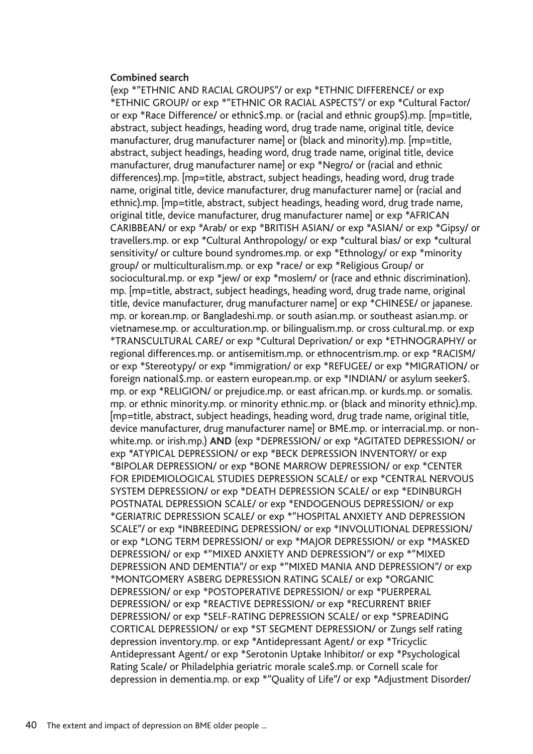### **Combined search**

(exp \*"ETHNIC AND RACIAL GROUPS"/ or exp \*ETHNIC DIFFERENCE/ or exp \*ETHNIC GROUP/ or exp \*"ETHNIC OR RACIAL ASPECTS"/ or exp \*Cultural Factor/ or exp \*Race Difference/ or ethnic\$.mp. or (racial and ethnic group\$).mp. [mp=title, abstract, subject headings, heading word, drug trade name, original title, device manufacturer, drug manufacturer name] or (black and minority).mp. [mp=title, abstract, subject headings, heading word, drug trade name, original title, device manufacturer, drug manufacturer name] or exp \*Negro/ or (racial and ethnic differences).mp. [mp=title, abstract, subject headings, heading word, drug trade name, original title, device manufacturer, drug manufacturer name] or (racial and ethnic).mp. [mp=title, abstract, subject headings, heading word, drug trade name, original title, device manufacturer, drug manufacturer name] or exp \*AFRICAN CARIBBEAN/ or exp \*Arab/ or exp \*BRITISH ASIAN/ or exp \*ASIAN/ or exp \*Gipsy/ or travellers.mp. or exp \*Cultural Anthropology/ or exp \*cultural bias/ or exp \*cultural sensitivity/ or culture bound syndromes.mp. or exp \*Ethnology/ or exp \*minority group/ or multiculturalism.mp. or exp \*race/ or exp \*Religious Group/ or sociocultural.mp. or exp \*jew/ or exp \*moslem/ or (race and ethnic discrimination). mp. [mp=title, abstract, subject headings, heading word, drug trade name, original title, device manufacturer, drug manufacturer name] or exp \*CHINESE/ or japanese. mp. or korean.mp. or Bangladeshi.mp. or south asian.mp. or southeast asian.mp. or vietnamese.mp. or acculturation.mp. or bilingualism.mp. or cross cultural.mp. or exp \*TRANSCULTURAL CARE/ or exp \*Cultural Deprivation/ or exp \*ETHNOGRAPHY/ or regional differences.mp. or antisemitism.mp. or ethnocentrism.mp. or exp \*RACISM/ or exp \*Stereotypy/ or exp \*immigration/ or exp \*REFUGEE/ or exp \*MIGRATION/ or foreign national\$.mp. or eastern european.mp. or exp \*INDIAN/ or asylum seeker\$. mp. or exp \*RELIGION/ or prejudice.mp. or east african.mp. or kurds.mp. or somalis. mp. or ethnic minority.mp. or minority ethnic.mp. or (black and minority ethnic).mp. [mp=title, abstract, subject headings, heading word, drug trade name, original title, device manufacturer, drug manufacturer name] or BME.mp. or interracial.mp. or nonwhite.mp. or irish.mp.) **AND** (exp \*DEPRESSION/ or exp \*AGITATED DEPRESSION/ or exp \*ATYPICAL DEPRESSION/ or exp \*BECK DEPRESSION INVENTORY/ or exp \*BIPOLAR DEPRESSION/ or exp \*BONE MARROW DEPRESSION/ or exp \*CENTER FOR EPIDEMIOLOGICAL STUDIES DEPRESSION SCALE/ or exp \*CENTRAL NERVOUS SYSTEM DEPRESSION/ or exp \*DEATH DEPRESSION SCALE/ or exp \*EDINBURGH POSTNATAL DEPRESSION SCALE/ or exp \*ENDOGENOUS DEPRESSION/ or exp \*GERIATRIC DEPRESSION SCALE/ or exp \*"HOSPITAL ANXIETY AND DEPRESSION SCALE"/ or exp \*INBREEDING DEPRESSION/ or exp \*INVOLUTIONAL DEPRESSION/ or exp \*LONG TERM DEPRESSION/ or exp \*MAJOR DEPRESSION/ or exp \*MASKED DEPRESSION/ or exp \*"MIXED ANXIETY AND DEPRESSION"/ or exp \*"MIXED DEPRESSION AND DEMENTIA"/ or exp \*"MIXED MANIA AND DEPRESSION"/ or exp \*MONTGOMERY ASBERG DEPRESSION RATING SCALE/ or exp \*ORGANIC DEPRESSION/ or exp \*POSTOPERATIVE DEPRESSION/ or exp \*PUERPERAL DEPRESSION/ or exp \*REACTIVE DEPRESSION/ or exp \*RECURRENT BRIEF DEPRESSION/ or exp \*SELF-RATING DEPRESSION SCALE/ or exp \*SPREADING CORTICAL DEPRESSION/ or exp \*ST SEGMENT DEPRESSION/ or Zungs self rating depression inventory.mp. or exp \*Antidepressant Agent/ or exp \*Tricyclic Antidepressant Agent/ or exp \*Serotonin Uptake Inhibitor/ or exp \*Psychological Rating Scale/ or Philadelphia geriatric morale scale\$.mp. or Cornell scale for depression in dementia.mp. or exp \*"Quality of Life"/ or exp \*Adjustment Disorder/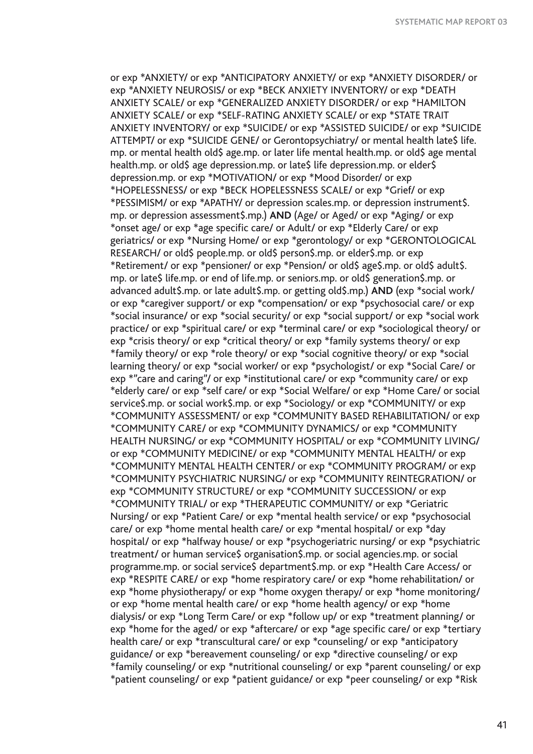or exp \*ANXIETY/ or exp \*ANTICIPATORY ANXIETY/ or exp \*ANXIETY DISORDER/ or exp \*ANXIETY NEUROSIS/ or exp \*BECK ANXIETY INVENTORY/ or exp \*DEATH ANXIETY SCALE/ or exp \*GENERALIZED ANXIETY DISORDER/ or exp \*HAMILTON ANXIETY SCALE/ or exp \*SELF-RATING ANXIETY SCALE/ or exp \*STATE TRAIT ANXIETY INVENTORY/ or exp \*SUICIDE/ or exp \*ASSISTED SUICIDE/ or exp \*SUICIDE ATTEMPT/ or exp \*SUICIDE GENE/ or Gerontopsychiatry/ or mental health late\$ life. mp. or mental health old\$ age.mp. or later life mental health.mp. or old\$ age mental health.mp. or old\$ age depression.mp. or late\$ life depression.mp. or elder\$ depression.mp. or exp \*MOTIVATION/ or exp \*Mood Disorder/ or exp \*HOPELESSNESS/ or exp \*BECK HOPELESSNESS SCALE/ or exp \*Grief/ or exp \*PESSIMISM/ or exp \*APATHY/ or depression scales.mp. or depression instrument\$. mp. or depression assessment\$.mp.) **AND** (Age/ or Aged/ or exp \*Aging/ or exp \*onset age/ or exp \*age specific care/ or Adult/ or exp \*Elderly Care/ or exp geriatrics/ or exp \*Nursing Home/ or exp \*gerontology/ or exp \*GERONTOLOGICAL RESEARCH/ or old\$ people.mp. or old\$ person\$.mp. or elder\$.mp. or exp \*Retirement/ or exp \*pensioner/ or exp \*Pension/ or old\$ age\$.mp. or old\$ adult\$. mp. or late\$ life.mp. or end of life.mp. or seniors.mp. or old\$ generation\$.mp. or advanced adult\$.mp. or late adult\$.mp. or getting old\$.mp.) **AND** (exp \*social work/ or exp \*caregiver support/ or exp \*compensation/ or exp \*psychosocial care/ or exp \*social insurance/ or exp \*social security/ or exp \*social support/ or exp \*social work practice/ or exp \*spiritual care/ or exp \*terminal care/ or exp \*sociological theory/ or exp \*crisis theory/ or exp \*critical theory/ or exp \*family systems theory/ or exp \*family theory/ or exp \*role theory/ or exp \*social cognitive theory/ or exp \*social learning theory/ or exp \*social worker/ or exp \*psychologist/ or exp \*Social Care/ or exp \*"care and caring"/ or exp \*institutional care/ or exp \*community care/ or exp \*elderly care/ or exp \*self care/ or exp \*Social Welfare/ or exp \*Home Care/ or social service\$.mp. or social work\$.mp. or exp \*Sociology/ or exp \*COMMUNITY/ or exp \*COMMUNITY ASSESSMENT/ or exp \*COMMUNITY BASED REHABILITATION/ or exp \*COMMUNITY CARE/ or exp \*COMMUNITY DYNAMICS/ or exp \*COMMUNITY HEALTH NURSING/ or exp \*COMMUNITY HOSPITAL/ or exp \*COMMUNITY LIVING/ or exp \*COMMUNITY MEDICINE/ or exp \*COMMUNITY MENTAL HEALTH/ or exp \*COMMUNITY MENTAL HEALTH CENTER/ or exp \*COMMUNITY PROGRAM/ or exp \*COMMUNITY PSYCHIATRIC NURSING/ or exp \*COMMUNITY REINTEGRATION/ or exp \*COMMUNITY STRUCTURE/ or exp \*COMMUNITY SUCCESSION/ or exp \*COMMUNITY TRIAL/ or exp \*THERAPEUTIC COMMUNITY/ or exp \*Geriatric Nursing/ or exp \*Patient Care/ or exp \*mental health service/ or exp \*psychosocial care/ or exp \*home mental health care/ or exp \*mental hospital/ or exp \*day hospital/ or exp \*halfway house/ or exp \*psychogeriatric nursing/ or exp \*psychiatric treatment/ or human service\$ organisation\$.mp. or social agencies.mp. or social programme.mp. or social service\$ department\$.mp. or exp \*Health Care Access/ or exp \*RESPITE CARE/ or exp \*home respiratory care/ or exp \*home rehabilitation/ or exp \*home physiotherapy/ or exp \*home oxygen therapy/ or exp \*home monitoring/ or exp \*home mental health care/ or exp \*home health agency/ or exp \*home dialysis/ or exp \*Long Term Care/ or exp \*follow up/ or exp \*treatment planning/ or exp \*home for the aged/ or exp \*aftercare/ or exp \*age specific care/ or exp \*tertiary health care/ or exp \*transcultural care/ or exp \*counseling/ or exp \*anticipatory guidance/ or exp \*bereavement counseling/ or exp \*directive counseling/ or exp \*family counseling/ or exp \*nutritional counseling/ or exp \*parent counseling/ or exp \*patient counseling/ or exp \*patient guidance/ or exp \*peer counseling/ or exp \*Risk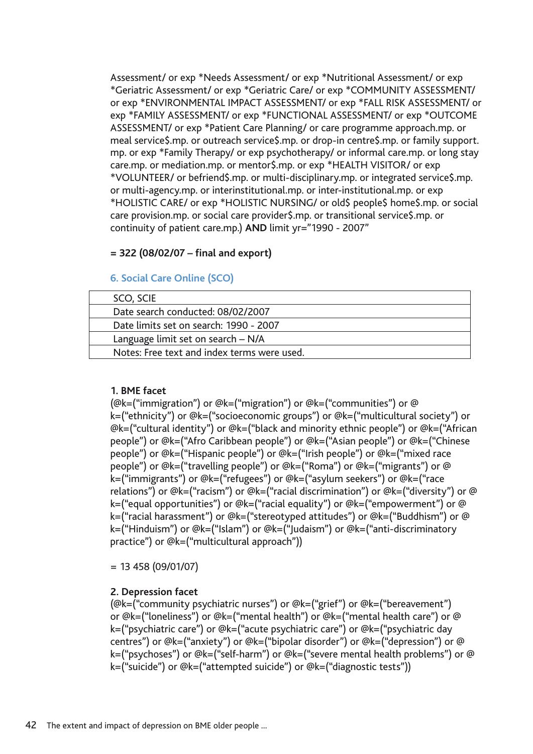Assessment/ or exp \*Needs Assessment/ or exp \*Nutritional Assessment/ or exp \*Geriatric Assessment/ or exp \*Geriatric Care/ or exp \*COMMUNITY ASSESSMENT/ or exp \*ENVIRONMENTAL IMPACT ASSESSMENT/ or exp \*FALL RISK ASSESSMENT/ or exp \*FAMILY ASSESSMENT/ or exp \*FUNCTIONAL ASSESSMENT/ or exp \*OUTCOME ASSESSMENT/ or exp \*Patient Care Planning/ or care programme approach.mp. or meal service\$.mp. or outreach service\$.mp. or drop-in centre\$.mp. or family support. mp. or exp \*Family Therapy/ or exp psychotherapy/ or informal care.mp. or long stay care.mp. or mediation.mp. or mentor\$.mp. or exp \*HEALTH VISITOR/ or exp \*VOLUNTEER/ or befriend\$.mp. or multi-disciplinary.mp. or integrated service\$.mp. or multi-agency.mp. or interinstitutional.mp. or inter-institutional.mp. or exp \*HOLISTIC CARE/ or exp \*HOLISTIC NURSING/ or old\$ people\$ home\$.mp. or social care provision.mp. or social care provider\$.mp. or transitional service\$.mp. or continuity of patient care.mp.) **AND** limit yr="1990 - 2007"

## **= 322 (08/02/07 – final and export)**

## **6. Social Care Online (SCO)**

| SCO, SCIE                                   |  |
|---------------------------------------------|--|
| Date search conducted: 08/02/2007           |  |
| Date limits set on search: 1990 - 2007      |  |
| Language limit set on search - N/A          |  |
| Notes: Free text and index terms were used. |  |

### **1. BME facet**

(@k=("immigration") or @k=("migration") or @k=("communities") or @ k=("ethnicity") or @k=("socioeconomic groups") or @k=("multicultural society") or @k=("cultural identity") or @k=("black and minority ethnic people") or @k=("African people") or @k=("Afro Caribbean people") or @k=("Asian people") or @k=("Chinese people") or @k=("Hispanic people") or @k=("Irish people") or @k=("mixed race people") or @k=("travelling people") or @k=("Roma") or @k=("migrants") or @ k=("immigrants") or @k=("refugees") or @k=("asylum seekers") or @k=("race relations") or @k=("racism") or @k=("racial discrimination") or @k=("diversity") or @ k=("equal opportunities") or @k=("racial equality") or @k=("empowerment") or @ k=("racial harassment") or @k=("stereotyped attitudes") or @k=("Buddhism") or @ k=("Hinduism") or @k=("Islam") or @k=("Judaism") or @k=("anti-discriminatory practice") or @k=("multicultural approach"))

= 13 458 (09/01/07)

## **2. Depression facet**

(@k=("community psychiatric nurses") or @k=("grief") or @k=("bereavement") or @k=("loneliness") or @k=("mental health") or @k=("mental health care") or @ k=("psychiatric care") or @k=("acute psychiatric care") or @k=("psychiatric day centres") or @k=("anxiety") or @k=("bipolar disorder") or @k=("depression") or @ k=("psychoses") or @k=("self-harm") or @k=("severe mental health problems") or @ k=("suicide") or @k=("attempted suicide") or @k=("diagnostic tests"))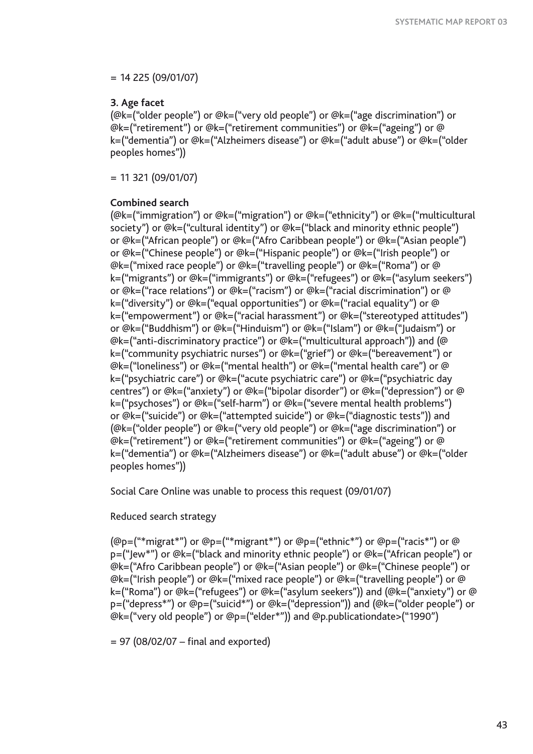$= 14 225 (09/01/07)$ 

## **3. Age facet**

(@k=("older people") or @k=("very old people") or @k=("age discrimination") or @k=("retirement") or @k=("retirement communities") or @k=("ageing") or @ k=("dementia") or @k=("Alzheimers disease") or @k=("adult abuse") or @k=("older peoples homes"))

 $= 11$  321 (09/01/07)

### **Combined search**

(@k=("immigration") or @k=("migration") or @k=("ethnicity") or @k=("multicultural society") or @k=("cultural identity") or @k=("black and minority ethnic people") or @k=("African people") or @k=("Afro Caribbean people") or @k=("Asian people") or @k=("Chinese people") or @k=("Hispanic people") or @k=("Irish people") or @k=("mixed race people") or @k=("travelling people") or @k=("Roma") or @ k=("migrants") or @k=("immigrants") or @k=("refugees") or @k=("asylum seekers") or @k=("race relations") or @k=("racism") or @k=("racial discrimination") or @ k=("diversity") or @k=("equal opportunities") or @k=("racial equality") or @ k=("empowerment") or @k=("racial harassment") or @k=("stereotyped attitudes") or @k=("Buddhism") or @k=("Hinduism") or @k=("Islam") or @k=("Judaism") or @k=("anti-discriminatory practice") or @k=("multicultural approach")) and (@ k=("community psychiatric nurses") or @k=("grief") or @k=("bereavement") or @k=("loneliness") or @k=("mental health") or @k=("mental health care") or @ k=("psychiatric care") or @k=("acute psychiatric care") or @k=("psychiatric day centres") or @k=("anxiety") or @k=("bipolar disorder") or @k=("depression") or @ k=("psychoses") or @k=("self-harm") or @k=("severe mental health problems") or @k=("suicide") or @k=("attempted suicide") or @k=("diagnostic tests")) and (@k=("older people") or @k=("very old people") or @k=("age discrimination") or @k=("retirement") or @k=("retirement communities") or @k=("ageing") or @ k=("dementia") or @k=("Alzheimers disease") or @k=("adult abuse") or @k=("older peoples homes"))

Social Care Online was unable to process this request (09/01/07)

## Reduced search strategy

(@p=("\*migrat\*") or @p=("\*migrant\*") or @p=("ethnic\*") or @p=("racis\*") or @ p=("Jew\*") or @k=("black and minority ethnic people") or @k=("African people") or @k=("Afro Caribbean people") or @k=("Asian people") or @k=("Chinese people") or @k=("Irish people") or @k=("mixed race people") or @k=("travelling people") or @ k=("Roma") or @k=("refugees") or @k=("asylum seekers")) and (@k=("anxiety") or @ p=("depress\*") or @p=("suicid\*") or @k=("depression")) and (@k=("older people") or @k=("very old people") or @p=("elder\*")) and @p.publicationdate>("1990")

 $= 97$  (08/02/07 – final and exported)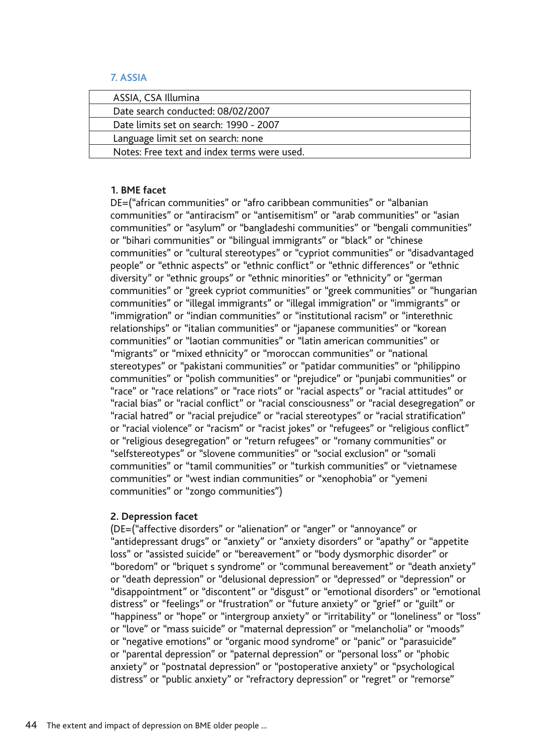## **7. ASSIA**

| ASSIA, CSA Illumina                         |  |
|---------------------------------------------|--|
| Date search conducted: 08/02/2007           |  |
| Date limits set on search: 1990 - 2007      |  |
| Language limit set on search: none          |  |
| Notes: Free text and index terms were used. |  |

## **1. BME facet**

DE=("african communities" or "afro caribbean communities" or "albanian communities" or "antiracism" or "antisemitism" or "arab communities" or "asian communities" or "asylum" or "bangladeshi communities" or "bengali communities" or "bihari communities" or "bilingual immigrants" or "black" or "chinese communities" or "cultural stereotypes" or "cypriot communities" or "disadvantaged people" or "ethnic aspects" or "ethnic conflict" or "ethnic differences" or "ethnic diversity" or "ethnic groups" or "ethnic minorities" or "ethnicity" or "german communities" or "greek cypriot communities" or "greek communities" or "hungarian communities" or "illegal immigrants" or "illegal immigration" or "immigrants" or "immigration" or "indian communities" or "institutional racism" or "interethnic relationships" or "italian communities" or "japanese communities" or "korean communities" or "laotian communities" or "latin american communities" or "migrants" or "mixed ethnicity" or "moroccan communities" or "national stereotypes" or "pakistani communities" or "patidar communities" or "philippino communities" or "polish communities" or "prejudice" or "punjabi communities" or "race" or "race relations" or "race riots" or "racial aspects" or "racial attitudes" or "racial bias" or "racial conflict" or "racial consciousness" or "racial desegregation" or "racial hatred" or "racial prejudice" or "racial stereotypes" or "racial stratification" or "racial violence" or "racism" or "racist jokes" or "refugees" or "religious conflict" or "religious desegregation" or "return refugees" or "romany communities" or "selfstereotypes" or "slovene communities" or "social exclusion" or "somali communities" or "tamil communities" or "turkish communities" or "vietnamese communities" or "west indian communities" or "xenophobia" or "yemeni communities" or "zongo communities")

## **2. Depression facet**

(DE=("affective disorders" or "alienation" or "anger" or "annoyance" or "antidepressant drugs" or "anxiety" or "anxiety disorders" or "apathy" or "appetite loss" or "assisted suicide" or "bereavement" or "body dysmorphic disorder" or "boredom" or "briquet s syndrome" or "communal bereavement" or "death anxiety" or "death depression" or "delusional depression" or "depressed" or "depression" or "disappointment" or "discontent" or "disgust" or "emotional disorders" or "emotional distress" or "feelings" or "frustration" or "future anxiety" or "grief" or "guilt" or "happiness" or "hope" or "intergroup anxiety" or "irritability" or "loneliness" or "loss" or "love" or "mass suicide" or "maternal depression" or "melancholia" or "moods" or "negative emotions" or "organic mood syndrome" or "panic" or "parasuicide" or "parental depression" or "paternal depression" or "personal loss" or "phobic anxiety" or "postnatal depression" or "postoperative anxiety" or "psychological distress" or "public anxiety" or "refractory depression" or "regret" or "remorse"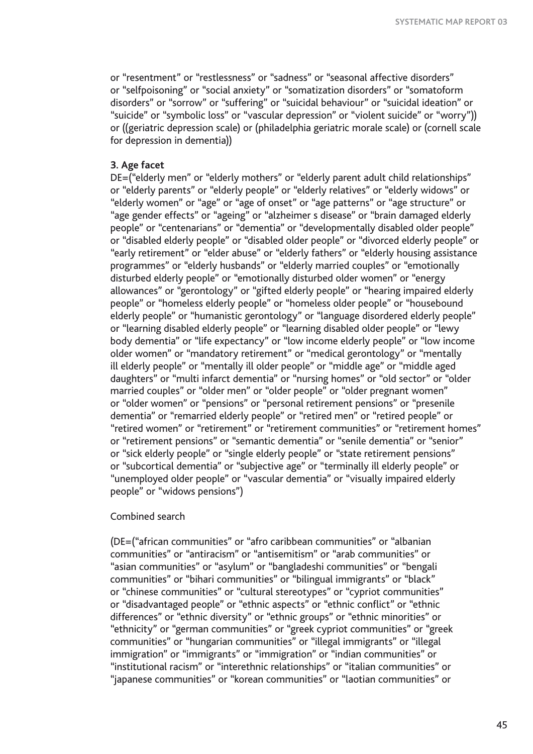or "resentment" or "restlessness" or "sadness" or "seasonal affective disorders" or "selfpoisoning" or "social anxiety" or "somatization disorders" or "somatoform disorders" or "sorrow" or "suffering" or "suicidal behaviour" or "suicidal ideation" or "suicide" or "symbolic loss" or "vascular depression" or "violent suicide" or "worry")) or ((geriatric depression scale) or (philadelphia geriatric morale scale) or (cornell scale for depression in dementia))

### **3. Age facet**

DE=("elderly men" or "elderly mothers" or "elderly parent adult child relationships" or "elderly parents" or "elderly people" or "elderly relatives" or "elderly widows" or "elderly women" or "age" or "age of onset" or "age patterns" or "age structure" or "age gender effects" or "ageing" or "alzheimer s disease" or "brain damaged elderly people" or "centenarians" or "dementia" or "developmentally disabled older people" or "disabled elderly people" or "disabled older people" or "divorced elderly people" or "early retirement" or "elder abuse" or "elderly fathers" or "elderly housing assistance programmes" or "elderly husbands" or "elderly married couples" or "emotionally disturbed elderly people" or "emotionally disturbed older women" or "energy allowances" or "gerontology" or "gifted elderly people" or "hearing impaired elderly people" or "homeless elderly people" or "homeless older people" or "housebound elderly people" or "humanistic gerontology" or "language disordered elderly people" or "learning disabled elderly people" or "learning disabled older people" or "lewy body dementia" or "life expectancy" or "low income elderly people" or "low income older women" or "mandatory retirement" or "medical gerontology" or "mentally ill elderly people" or "mentally ill older people" or "middle age" or "middle aged daughters" or "multi infarct dementia" or "nursing homes" or "old sector" or "older married couples" or "older men" or "older people" or "older pregnant women" or "older women" or "pensions" or "personal retirement pensions" or "presenile dementia" or "remarried elderly people" or "retired men" or "retired people" or "retired women" or "retirement" or "retirement communities" or "retirement homes" or "retirement pensions" or "semantic dementia" or "senile dementia" or "senior" or "sick elderly people" or "single elderly people" or "state retirement pensions" or "subcortical dementia" or "subjective age" or "terminally ill elderly people" or "unemployed older people" or "vascular dementia" or "visually impaired elderly people" or "widows pensions")

### Combined search

(DE=("african communities" or "afro caribbean communities" or "albanian communities" or "antiracism" or "antisemitism" or "arab communities" or "asian communities" or "asylum" or "bangladeshi communities" or "bengali communities" or "bihari communities" or "bilingual immigrants" or "black" or "chinese communities" or "cultural stereotypes" or "cypriot communities" or "disadvantaged people" or "ethnic aspects" or "ethnic conflict" or "ethnic differences" or "ethnic diversity" or "ethnic groups" or "ethnic minorities" or "ethnicity" or "german communities" or "greek cypriot communities" or "greek communities" or "hungarian communities" or "illegal immigrants" or "illegal immigration" or "immigrants" or "immigration" or "indian communities" or "institutional racism" or "interethnic relationships" or "italian communities" or "japanese communities" or "korean communities" or "laotian communities" or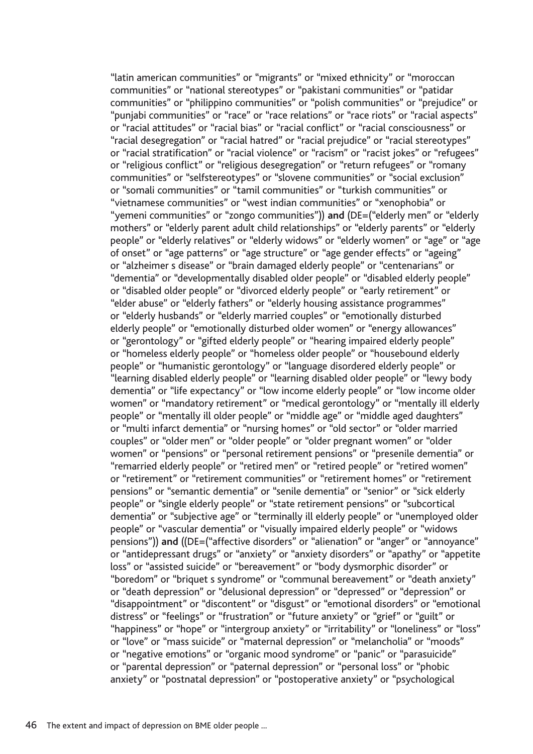"latin american communities" or "migrants" or "mixed ethnicity" or "moroccan communities" or "national stereotypes" or "pakistani communities" or "patidar communities" or "philippino communities" or "polish communities" or "prejudice" or "punjabi communities" or "race" or "race relations" or "race riots" or "racial aspects" or "racial attitudes" or "racial bias" or "racial conflict" or "racial consciousness" or "racial desegregation" or "racial hatred" or "racial prejudice" or "racial stereotypes" or "racial stratification" or "racial violence" or "racism" or "racist jokes" or "refugees" or "religious conflict" or "religious desegregation" or "return refugees" or "romany communities" or "selfstereotypes" or "slovene communities" or "social exclusion" or "somali communities" or "tamil communities" or "turkish communities" or "vietnamese communities" or "west indian communities" or "xenophobia" or "yemeni communities" or "zongo communities")) **and** (DE=("elderly men" or "elderly mothers" or "elderly parent adult child relationships" or "elderly parents" or "elderly people" or "elderly relatives" or "elderly widows" or "elderly women" or "age" or "age of onset" or "age patterns" or "age structure" or "age gender effects" or "ageing" or "alzheimer s disease" or "brain damaged elderly people" or "centenarians" or "dementia" or "developmentally disabled older people" or "disabled elderly people" or "disabled older people" or "divorced elderly people" or "early retirement" or "elder abuse" or "elderly fathers" or "elderly housing assistance programmes" or "elderly husbands" or "elderly married couples" or "emotionally disturbed elderly people" or "emotionally disturbed older women" or "energy allowances" or "gerontology" or "gifted elderly people" or "hearing impaired elderly people" or "homeless elderly people" or "homeless older people" or "housebound elderly people" or "humanistic gerontology" or "language disordered elderly people" or "learning disabled elderly people" or "learning disabled older people" or "lewy body dementia" or "life expectancy" or "low income elderly people" or "low income older women" or "mandatory retirement" or "medical gerontology" or "mentally ill elderly people" or "mentally ill older people" or "middle age" or "middle aged daughters" or "multi infarct dementia" or "nursing homes" or "old sector" or "older married couples" or "older men" or "older people" or "older pregnant women" or "older women" or "pensions" or "personal retirement pensions" or "presenile dementia" or "remarried elderly people" or "retired men" or "retired people" or "retired women" or "retirement" or "retirement communities" or "retirement homes" or "retirement pensions" or "semantic dementia" or "senile dementia" or "senior" or "sick elderly people" or "single elderly people" or "state retirement pensions" or "subcortical dementia" or "subjective age" or "terminally ill elderly people" or "unemployed older people" or "vascular dementia" or "visually impaired elderly people" or "widows pensions")) **and** ((DE=("affective disorders" or "alienation" or "anger" or "annoyance" or "antidepressant drugs" or "anxiety" or "anxiety disorders" or "apathy" or "appetite loss" or "assisted suicide" or "bereavement" or "body dysmorphic disorder" or "boredom" or "briquet s syndrome" or "communal bereavement" or "death anxiety" or "death depression" or "delusional depression" or "depressed" or "depression" or "disappointment" or "discontent" or "disgust" or "emotional disorders" or "emotional distress" or "feelings" or "frustration" or "future anxiety" or "grief" or "guilt" or "happiness" or "hope" or "intergroup anxiety" or "irritability" or "loneliness" or "loss" or "love" or "mass suicide" or "maternal depression" or "melancholia" or "moods" or "negative emotions" or "organic mood syndrome" or "panic" or "parasuicide" or "parental depression" or "paternal depression" or "personal loss" or "phobic anxiety" or "postnatal depression" or "postoperative anxiety" or "psychological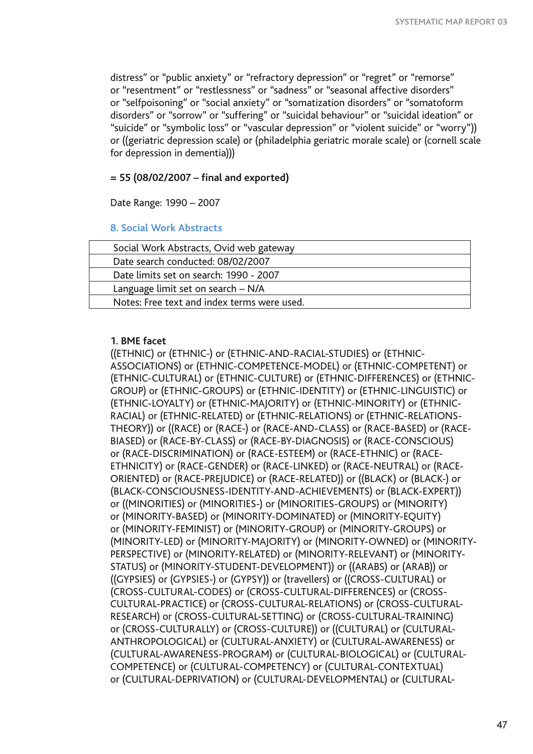distress" or "public anxiety" or "refractory depression" or "regret" or "remorse" or "resentment" or "restlessness" or "sadness" or "seasonal affective disorders" or "selfpoisoning" or "social anxiety" or "somatization disorders" or "somatoform disorders" or "sorrow" or "suffering" or "suicidal behaviour" or "suicidal ideation" or "suicide" or "symbolic loss" or "vascular depression" or "violent suicide" or "worry")) or ((geriatric depression scale) or (philadelphia geriatric morale scale) or (cornell scale for depression in dementia)))

## **= 55 (08/02/2007 – final and exported)**

Date Range: 1990 – 2007

## **8. Social Work Abstracts**

| Social Work Abstracts, Ovid web gateway     |  |
|---------------------------------------------|--|
| Date search conducted: 08/02/2007           |  |
| Date limits set on search: 1990 - 2007      |  |
| Language limit set on search - N/A          |  |
| Notes: Free text and index terms were used. |  |

## **1. BME facet**

((ETHNIC) or (ETHNIC-) or (ETHNIC-AND-RACIAL-STUDIES) or (ETHNIC-ASSOCIATIONS) or (ETHNIC-COMPETENCE-MODEL) or (ETHNIC-COMPETENT) or (ETHNIC-CULTURAL) or (ETHNIC-CULTURE) or (ETHNIC-DIFFERENCES) or (ETHNIC-GROUP) or (ETHNIC-GROUPS) or (ETHNIC-IDENTITY) or (ETHNIC-LINGUISTIC) or (ETHNIC-LOYALTY) or (ETHNIC-MAJORITY) or (ETHNIC-MINORITY) or (ETHNIC-RACIAL) or (ETHNIC-RELATED) or (ETHNIC-RELATIONS) or (ETHNIC-RELATIONS-THEORY)) or ((RACE) or (RACE-) or (RACE-AND-CLASS) or (RACE-BASED) or (RACE-BIASED) or (RACE-BY-CLASS) or (RACE-BY-DIAGNOSIS) or (RACE-CONSCIOUS) or (RACE-DISCRIMINATION) or (RACE-ESTEEM) or (RACE-ETHNIC) or (RACE-ETHNICITY) or (RACE-GENDER) or (RACE-LINKED) or (RACE-NEUTRAL) or (RACE-ORIENTED) or (RACE-PREJUDICE) or (RACE-RELATED)) or ((BLACK) or (BLACK-) or (BLACK-CONSCIOUSNESS-IDENTITY-AND-ACHIEVEMENTS) or (BLACK-EXPERT)) or ((MINORITIES) or (MINORITIES-) or (MINORITIES-GROUPS) or (MINORITY) or (MINORITY-BASED) or (MINORITY-DOMINATED) or (MINORITY-EQUITY) or (MINORITY-FEMINIST) or (MINORITY-GROUP) or (MINORITY-GROUPS) or (MINORITY-LED) or (MINORITY-MAJORITY) or (MINORITY-OWNED) or (MINORITY-PERSPECTIVE) or (MINORITY-RELATED) or (MINORITY-RELEVANT) or (MINORITY-STATUS) or (MINORITY-STUDENT-DEVELOPMENT)) or ((ARABS) or (ARAB)) or ((GYPSIES) or (GYPSIES-) or (GYPSY)) or (travellers) or ((CROSS-CULTURAL) or (CROSS-CULTURAL-CODES) or (CROSS-CULTURAL-DIFFERENCES) or (CROSS-CULTURAL-PRACTICE) or (CROSS-CULTURAL-RELATIONS) or (CROSS-CULTURAL-RESEARCH) or (CROSS-CULTURAL-SETTING) or (CROSS-CULTURAL-TRAINING) or (CROSS-CULTURALLY) or (CROSS-CULTURE)) or ((CULTURAL) or (CULTURAL-ANTHROPOLOGICAL) or (CULTURAL-ANXIETY) or (CULTURAL-AWARENESS) or (CULTURAL-AWARENESS-PROGRAM) or (CULTURAL-BIOLOGICAL) or (CULTURAL-COMPETENCE) or (CULTURAL-COMPETENCY) or (CULTURAL-CONTEXTUAL) or (CULTURAL-DEPRIVATION) or (CULTURAL-DEVELOPMENTAL) or (CULTURAL-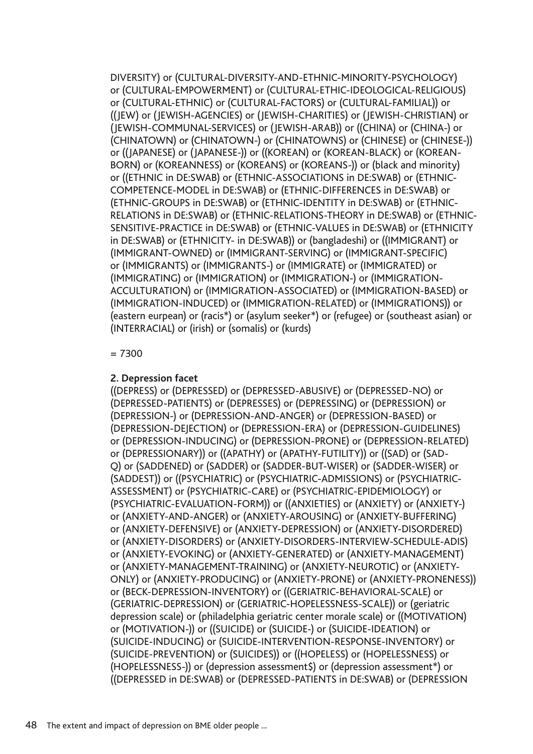DIVERSITY) or (CULTURAL-DIVERSITY-AND-ETHNIC-MINORITY-PSYCHOLOGY) or (CULTURAL-EMPOWERMENT) or (CULTURAL-ETHIC-IDEOLOGICAL-RELIGIOUS) or (CULTURAL-ETHNIC) or (CULTURAL-FACTORS) or (CULTURAL-FAMILIAL)) or ((JEW) or (JEWISH-AGENCIES) or (JEWISH-CHARITIES) or (JEWISH-CHRISTIAN) or (JEWISH-COMMUNAL-SERVICES) or (JEWISH-ARAB)) or ((CHINA) or (CHINA-) or (CHINATOWN) or (CHINATOWN-) or (CHINATOWNS) or (CHINESE) or (CHINESE-)) or ((JAPANESE) or (JAPANESE-)) or ((KOREAN) or (KOREAN-BLACK) or (KOREAN-BORN) or (KOREANNESS) or (KOREANS) or (KOREANS-)) or (black and minority) or ((ETHNIC in DE:SWAB) or (ETHNIC-ASSOCIATIONS in DE:SWAB) or (ETHNIC-COMPETENCE-MODEL in DE:SWAB) or (ETHNIC-DIFFERENCES in DE:SWAB) or (ETHNIC-GROUPS in DE:SWAB) or (ETHNIC-IDENTITY in DE:SWAB) or (ETHNIC-RELATIONS in DE:SWAB) or (ETHNIC-RELATIONS-THEORY in DE:SWAB) or (ETHNIC-SENSITIVE-PRACTICE in DE:SWAB) or (ETHNIC-VALUES in DE:SWAB) or (ETHNICITY in DE:SWAB) or (ETHNICITY- in DE:SWAB)) or (bangladeshi) or ((IMMIGRANT) or (IMMIGRANT-OWNED) or (IMMIGRANT-SERVING) or (IMMIGRANT-SPECIFIC) or (IMMIGRANTS) or (IMMIGRANTS-) or (IMMIGRATE) or (IMMIGRATED) or (IMMIGRATING) or (IMMIGRATION) or (IMMIGRATION-) or (IMMIGRATION-ACCULTURATION) or (IMMIGRATION-ASSOCIATED) or (IMMIGRATION-BASED) or (IMMIGRATION-INDUCED) or (IMMIGRATION-RELATED) or (IMMIGRATIONS)) or (eastern eurpean) or (racis\*) or (asylum seeker\*) or (refugee) or (southeast asian) or (INTERRACIAL) or (irish) or (somalis) or (kurds)

### = 7300

## **2. Depression facet**

((DEPRESS) or (DEPRESSED) or (DEPRESSED-ABUSIVE) or (DEPRESSED-NO) or (DEPRESSED-PATIENTS) or (DEPRESSES) or (DEPRESSING) or (DEPRESSION) or (DEPRESSION-) or (DEPRESSION-AND-ANGER) or (DEPRESSION-BASED) or (DEPRESSION-DEJECTION) or (DEPRESSION-ERA) or (DEPRESSION-GUIDELINES) or (DEPRESSION-INDUCING) or (DEPRESSION-PRONE) or (DEPRESSION-RELATED) or (DEPRESSIONARY)) or ((APATHY) or (APATHY-FUTILITY)) or ((SAD) or (SAD-Q) or (SADDENED) or (SADDER) or (SADDER-BUT-WISER) or (SADDER-WISER) or (SADDEST)) or ((PSYCHIATRIC) or (PSYCHIATRIC-ADMISSIONS) or (PSYCHIATRIC-ASSESSMENT) or (PSYCHIATRIC-CARE) or (PSYCHIATRIC-EPIDEMIOLOGY) or (PSYCHIATRIC-EVALUATION-FORM)) or ((ANXIETIES) or (ANXIETY) or (ANXIETY-) or (ANXIETY-AND-ANGER) or (ANXIETY-AROUSING) or (ANXIETY-BUFFERING) or (ANXIETY-DEFENSIVE) or (ANXIETY-DEPRESSION) or (ANXIETY-DISORDERED) or (ANXIETY-DISORDERS) or (ANXIETY-DISORDERS-INTERVIEW-SCHEDULE-ADIS) or (ANXIETY-EVOKING) or (ANXIETY-GENERATED) or (ANXIETY-MANAGEMENT) or (ANXIETY-MANAGEMENT-TRAINING) or (ANXIETY-NEUROTIC) or (ANXIETY-ONLY) or (ANXIETY-PRODUCING) or (ANXIETY-PRONE) or (ANXIETY-PRONENESS)) or (BECK-DEPRESSION-INVENTORY) or ((GERIATRIC-BEHAVIORAL-SCALE) or (GERIATRIC-DEPRESSION) or (GERIATRIC-HOPELESSNESS-SCALE)) or (geriatric depression scale) or (philadelphia geriatric center morale scale) or ((MOTIVATION) or (MOTIVATION-)) or ((SUICIDE) or (SUICIDE-) or (SUICIDE-IDEATION) or (SUICIDE-INDUCING) or (SUICIDE-INTERVENTION-RESPONSE-INVENTORY) or (SUICIDE-PREVENTION) or (SUICIDES)) or ((HOPELESS) or (HOPELESSNESS) or (HOPELESSNESS-)) or (depression assessment\$) or (depression assessment\*) or ((DEPRESSED in DE:SWAB) or (DEPRESSED-PATIENTS in DE:SWAB) or (DEPRESSION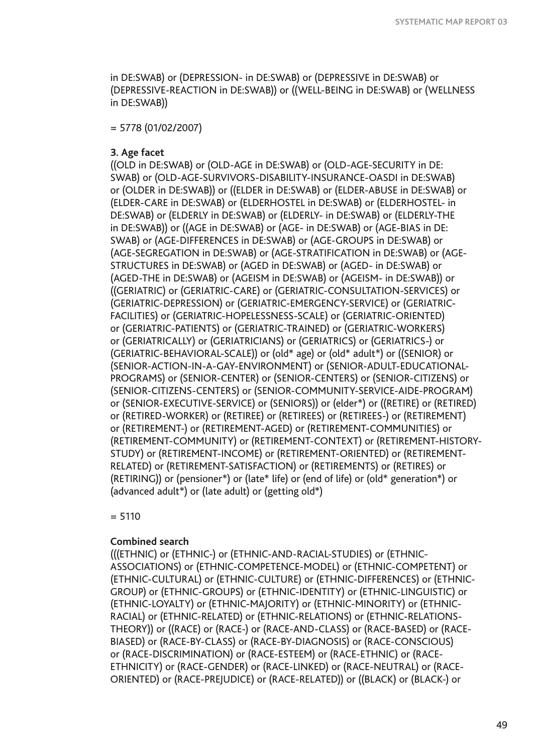in DE:SWAB) or (DEPRESSION- in DE:SWAB) or (DEPRESSIVE in DE:SWAB) or (DEPRESSIVE-REACTION in DE:SWAB)) or ((WELL-BEING in DE:SWAB) or (WELLNESS in DE:SWAB))

= 5778 (01/02/2007)

### **3. Age facet**

((OLD in DE:SWAB) or (OLD-AGE in DE:SWAB) or (OLD-AGE-SECURITY in DE: SWAB) or (OLD-AGE-SURVIVORS-DISABILITY-INSURANCE-OASDI in DE:SWAB) or (OLDER in DE:SWAB)) or ((ELDER in DE:SWAB) or (ELDER-ABUSE in DE:SWAB) or (ELDER-CARE in DE:SWAB) or (ELDERHOSTEL in DE:SWAB) or (ELDERHOSTEL- in DE:SWAB) or (ELDERLY in DE:SWAB) or (ELDERLY- in DE:SWAB) or (ELDERLY-THE in DE:SWAB)) or ((AGE in DE:SWAB) or (AGE- in DE:SWAB) or (AGE-BIAS in DE: SWAB) or (AGE-DIFFERENCES in DE:SWAB) or (AGE-GROUPS in DE:SWAB) or (AGE-SEGREGATION in DE:SWAB) or (AGE-STRATIFICATION in DE:SWAB) or (AGE-STRUCTURES in DE:SWAB) or (AGED in DE:SWAB) or (AGED- in DE:SWAB) or (AGED-THE in DE:SWAB) or (AGEISM in DE:SWAB) or (AGEISM- in DE:SWAB)) or ((GERIATRIC) or (GERIATRIC-CARE) or (GERIATRIC-CONSULTATION-SERVICES) or (GERIATRIC-DEPRESSION) or (GERIATRIC-EMERGENCY-SERVICE) or (GERIATRIC-FACILITIES) or (GERIATRIC-HOPELESSNESS-SCALE) or (GERIATRIC-ORIENTED) or (GERIATRIC-PATIENTS) or (GERIATRIC-TRAINED) or (GERIATRIC-WORKERS) or (GERIATRICALLY) or (GERIATRICIANS) or (GERIATRICS) or (GERIATRICS-) or (GERIATRIC-BEHAVIORAL-SCALE)) or (old\* age) or (old\* adult\*) or ((SENIOR) or (SENIOR-ACTION-IN-A-GAY-ENVIRONMENT) or (SENIOR-ADULT-EDUCATIONAL-PROGRAMS) or (SENIOR-CENTER) or (SENIOR-CENTERS) or (SENIOR-CITIZENS) or (SENIOR-CITIZENS-CENTERS) or (SENIOR-COMMUNITY-SERVICE-AIDE-PROGRAM) or (SENIOR-EXECUTIVE-SERVICE) or (SENIORS)) or (elder\*) or ((RETIRE) or (RETIRED) or (RETIRED-WORKER) or (RETIREE) or (RETIREES) or (RETIREES-) or (RETIREMENT) or (RETIREMENT-) or (RETIREMENT-AGED) or (RETIREMENT-COMMUNITIES) or (RETIREMENT-COMMUNITY) or (RETIREMENT-CONTEXT) or (RETIREMENT-HISTORY-STUDY) or (RETIREMENT-INCOME) or (RETIREMENT-ORIENTED) or (RETIREMENT-RELATED) or (RETIREMENT-SATISFACTION) or (RETIREMENTS) or (RETIRES) or (RETIRING)) or (pensioner\*) or (late\* life) or (end of life) or (old\* generation\*) or (advanced adult\*) or (late adult) or (getting old\*)

 $= 5110$ 

### **Combined search**

(((ETHNIC) or (ETHNIC-) or (ETHNIC-AND-RACIAL-STUDIES) or (ETHNIC-ASSOCIATIONS) or (ETHNIC-COMPETENCE-MODEL) or (ETHNIC-COMPETENT) or (ETHNIC-CULTURAL) or (ETHNIC-CULTURE) or (ETHNIC-DIFFERENCES) or (ETHNIC-GROUP) or (ETHNIC-GROUPS) or (ETHNIC-IDENTITY) or (ETHNIC-LINGUISTIC) or (ETHNIC-LOYALTY) or (ETHNIC-MAJORITY) or (ETHNIC-MINORITY) or (ETHNIC-RACIAL) or (ETHNIC-RELATED) or (ETHNIC-RELATIONS) or (ETHNIC-RELATIONS-THEORY)) or ((RACE) or (RACE-) or (RACE-AND-CLASS) or (RACE-BASED) or (RACE-BIASED) or (RACE-BY-CLASS) or (RACE-BY-DIAGNOSIS) or (RACE-CONSCIOUS) or (RACE-DISCRIMINATION) or (RACE-ESTEEM) or (RACE-ETHNIC) or (RACE-ETHNICITY) or (RACE-GENDER) or (RACE-LINKED) or (RACE-NEUTRAL) or (RACE-ORIENTED) or (RACE-PREJUDICE) or (RACE-RELATED)) or ((BLACK) or (BLACK-) or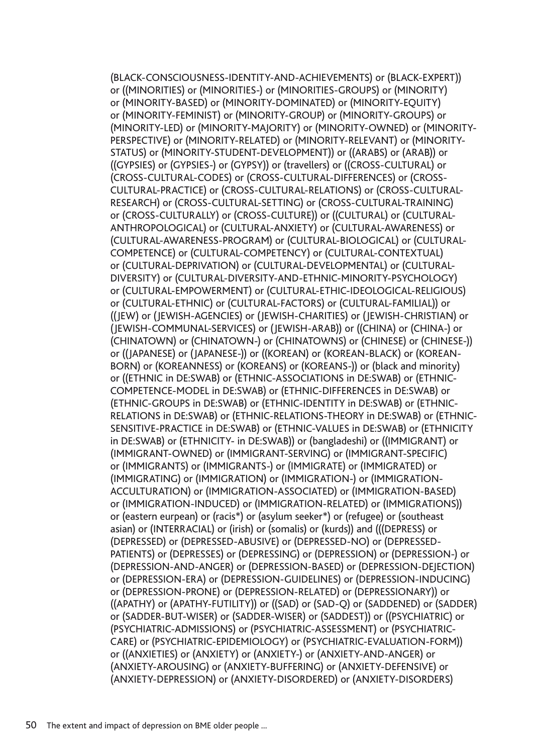(BLACK-CONSCIOUSNESS-IDENTITY-AND-ACHIEVEMENTS) or (BLACK-EXPERT)) or ((MINORITIES) or (MINORITIES-) or (MINORITIES-GROUPS) or (MINORITY) or (MINORITY-BASED) or (MINORITY-DOMINATED) or (MINORITY-EQUITY) or (MINORITY-FEMINIST) or (MINORITY-GROUP) or (MINORITY-GROUPS) or (MINORITY-LED) or (MINORITY-MAJORITY) or (MINORITY-OWNED) or (MINORITY-PERSPECTIVE) or (MINORITY-RELATED) or (MINORITY-RELEVANT) or (MINORITY-STATUS) or (MINORITY-STUDENT-DEVELOPMENT)) or ((ARABS) or (ARAB)) or ((GYPSIES) or (GYPSIES-) or (GYPSY)) or (travellers) or ((CROSS-CULTURAL) or (CROSS-CULTURAL-CODES) or (CROSS-CULTURAL-DIFFERENCES) or (CROSS-CULTURAL-PRACTICE) or (CROSS-CULTURAL-RELATIONS) or (CROSS-CULTURAL-RESEARCH) or (CROSS-CULTURAL-SETTING) or (CROSS-CULTURAL-TRAINING) or (CROSS-CULTURALLY) or (CROSS-CULTURE)) or ((CULTURAL) or (CULTURAL-ANTHROPOLOGICAL) or (CULTURAL-ANXIETY) or (CULTURAL-AWARENESS) or (CULTURAL-AWARENESS-PROGRAM) or (CULTURAL-BIOLOGICAL) or (CULTURAL-COMPETENCE) or (CULTURAL-COMPETENCY) or (CULTURAL-CONTEXTUAL) or (CULTURAL-DEPRIVATION) or (CULTURAL-DEVELOPMENTAL) or (CULTURAL-DIVERSITY) or (CULTURAL-DIVERSITY-AND-ETHNIC-MINORITY-PSYCHOLOGY) or (CULTURAL-EMPOWERMENT) or (CULTURAL-ETHIC-IDEOLOGICAL-RELIGIOUS) or (CULTURAL-ETHNIC) or (CULTURAL-FACTORS) or (CULTURAL-FAMILIAL)) or ((JEW) or (JEWISH-AGENCIES) or (JEWISH-CHARITIES) or (JEWISH-CHRISTIAN) or (JEWISH-COMMUNAL-SERVICES) or (JEWISH-ARAB)) or ((CHINA) or (CHINA-) or (CHINATOWN) or (CHINATOWN-) or (CHINATOWNS) or (CHINESE) or (CHINESE-)) or ((JAPANESE) or (JAPANESE-)) or ((KOREAN) or (KOREAN-BLACK) or (KOREAN-BORN) or (KOREANNESS) or (KOREANS) or (KOREANS-)) or (black and minority) or ((ETHNIC in DE:SWAB) or (ETHNIC-ASSOCIATIONS in DE:SWAB) or (ETHNIC-COMPETENCE-MODEL in DE:SWAB) or (ETHNIC-DIFFERENCES in DE:SWAB) or (ETHNIC-GROUPS in DE:SWAB) or (ETHNIC-IDENTITY in DE:SWAB) or (ETHNIC-RELATIONS in DE:SWAB) or (ETHNIC-RELATIONS-THEORY in DE:SWAB) or (ETHNIC-SENSITIVE-PRACTICE in DE:SWAB) or (ETHNIC-VALUES in DE:SWAB) or (ETHNICITY in DE:SWAB) or (ETHNICITY- in DE:SWAB)) or (bangladeshi) or ((IMMIGRANT) or (IMMIGRANT-OWNED) or (IMMIGRANT-SERVING) or (IMMIGRANT-SPECIFIC) or (IMMIGRANTS) or (IMMIGRANTS-) or (IMMIGRATE) or (IMMIGRATED) or (IMMIGRATING) or (IMMIGRATION) or (IMMIGRATION-) or (IMMIGRATION-ACCULTURATION) or (IMMIGRATION-ASSOCIATED) or (IMMIGRATION-BASED) or (IMMIGRATION-INDUCED) or (IMMIGRATION-RELATED) or (IMMIGRATIONS)) or (eastern eurpean) or (racis\*) or (asylum seeker\*) or (refugee) or (southeast asian) or (INTERRACIAL) or (irish) or (somalis) or (kurds)) and (((DEPRESS) or (DEPRESSED) or (DEPRESSED-ABUSIVE) or (DEPRESSED-NO) or (DEPRESSED-PATIENTS) or (DEPRESSES) or (DEPRESSING) or (DEPRESSION) or (DEPRESSION-) or (DEPRESSION-AND-ANGER) or (DEPRESSION-BASED) or (DEPRESSION-DEJECTION) or (DEPRESSION-ERA) or (DEPRESSION-GUIDELINES) or (DEPRESSION-INDUCING) or (DEPRESSION-PRONE) or (DEPRESSION-RELATED) or (DEPRESSIONARY)) or ((APATHY) or (APATHY-FUTILITY)) or ((SAD) or (SAD-Q) or (SADDENED) or (SADDER) or (SADDER-BUT-WISER) or (SADDER-WISER) or (SADDEST)) or ((PSYCHIATRIC) or (PSYCHIATRIC-ADMISSIONS) or (PSYCHIATRIC-ASSESSMENT) or (PSYCHIATRIC-CARE) or (PSYCHIATRIC-EPIDEMIOLOGY) or (PSYCHIATRIC-EVALUATION-FORM)) or ((ANXIETIES) or (ANXIETY) or (ANXIETY-) or (ANXIETY-AND-ANGER) or (ANXIETY-AROUSING) or (ANXIETY-BUFFERING) or (ANXIETY-DEFENSIVE) or (ANXIETY-DEPRESSION) or (ANXIETY-DISORDERED) or (ANXIETY-DISORDERS)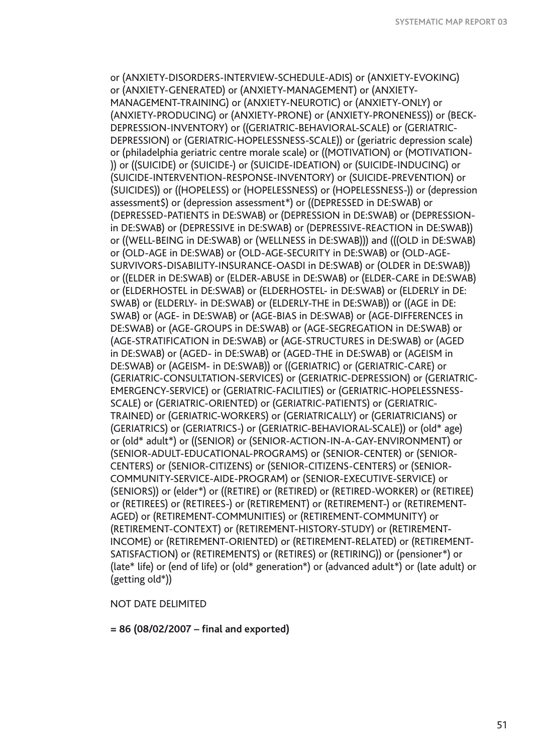or (ANXIETY-DISORDERS-INTERVIEW-SCHEDULE-ADIS) or (ANXIETY-EVOKING) or (ANXIETY-GENERATED) or (ANXIETY-MANAGEMENT) or (ANXIETY-MANAGEMENT-TRAINING) or (ANXIETY-NEUROTIC) or (ANXIETY-ONLY) or (ANXIETY-PRODUCING) or (ANXIETY-PRONE) or (ANXIETY-PRONENESS)) or (BECK-DEPRESSION-INVENTORY) or ((GERIATRIC-BEHAVIORAL-SCALE) or (GERIATRIC-DEPRESSION) or (GERIATRIC-HOPELESSNESS-SCALE)) or (geriatric depression scale) or (philadelphia geriatric centre morale scale) or ((MOTIVATION) or (MOTIVATION- )) or ((SUICIDE) or (SUICIDE-) or (SUICIDE-IDEATION) or (SUICIDE-INDUCING) or (SUICIDE-INTERVENTION-RESPONSE-INVENTORY) or (SUICIDE-PREVENTION) or (SUICIDES)) or ((HOPELESS) or (HOPELESSNESS) or (HOPELESSNESS-)) or (depression assessment\$) or (depression assessment\*) or ((DEPRESSED in DE:SWAB) or (DEPRESSED-PATIENTS in DE:SWAB) or (DEPRESSION in DE:SWAB) or (DEPRESSION in DE:SWAB) or (DEPRESSIVE in DE:SWAB) or (DEPRESSIVE-REACTION in DE:SWAB)) or ((WELL-BEING in DE:SWAB) or (WELLNESS in DE:SWAB))) and (((OLD in DE:SWAB) or (OLD-AGE in DE:SWAB) or (OLD-AGE-SECURITY in DE:SWAB) or (OLD-AGE-SURVIVORS-DISABILITY-INSURANCE-OASDI in DE:SWAB) or (OLDER in DE:SWAB)) or ((ELDER in DE:SWAB) or (ELDER-ABUSE in DE:SWAB) or (ELDER-CARE in DE:SWAB) or (ELDERHOSTEL in DE:SWAB) or (ELDERHOSTEL- in DE:SWAB) or (ELDERLY in DE: SWAB) or (ELDERLY- in DE:SWAB) or (ELDERLY-THE in DE:SWAB)) or ((AGE in DE: SWAB) or (AGE- in DE:SWAB) or (AGE-BIAS in DE:SWAB) or (AGE-DIFFERENCES in DE:SWAB) or (AGE-GROUPS in DE:SWAB) or (AGE-SEGREGATION in DE:SWAB) or (AGE-STRATIFICATION in DE:SWAB) or (AGE-STRUCTURES in DE:SWAB) or (AGED in DE:SWAB) or (AGED- in DE:SWAB) or (AGED-THE in DE:SWAB) or (AGEISM in DE:SWAB) or (AGEISM- in DE:SWAB)) or ((GERIATRIC) or (GERIATRIC-CARE) or (GERIATRIC-CONSULTATION-SERVICES) or (GERIATRIC-DEPRESSION) or (GERIATRIC-EMERGENCY-SERVICE) or (GERIATRIC-FACILITIES) or (GERIATRIC-HOPELESSNESS-SCALE) or (GERIATRIC-ORIENTED) or (GERIATRIC-PATIENTS) or (GERIATRIC-TRAINED) or (GERIATRIC-WORKERS) or (GERIATRICALLY) or (GERIATRICIANS) or (GERIATRICS) or (GERIATRICS-) or (GERIATRIC-BEHAVIORAL-SCALE)) or (old\* age) or (old\* adult\*) or ((SENIOR) or (SENIOR-ACTION-IN-A-GAY-ENVIRONMENT) or (SENIOR-ADULT-EDUCATIONAL-PROGRAMS) or (SENIOR-CENTER) or (SENIOR-CENTERS) or (SENIOR-CITIZENS) or (SENIOR-CITIZENS-CENTERS) or (SENIOR-COMMUNITY-SERVICE-AIDE-PROGRAM) or (SENIOR-EXECUTIVE-SERVICE) or (SENIORS)) or (elder\*) or ((RETIRE) or (RETIRED) or (RETIRED-WORKER) or (RETIREE) or (RETIREES) or (RETIREES-) or (RETIREMENT) or (RETIREMENT-) or (RETIREMENT-AGED) or (RETIREMENT-COMMUNITIES) or (RETIREMENT-COMMUNITY) or (RETIREMENT-CONTEXT) or (RETIREMENT-HISTORY-STUDY) or (RETIREMENT-INCOME) or (RETIREMENT-ORIENTED) or (RETIREMENT-RELATED) or (RETIREMENT-SATISFACTION) or (RETIREMENTS) or (RETIRES) or (RETIRING)) or (pensioner\*) or (late\* life) or (end of life) or (old\* generation\*) or (advanced adult\*) or (late adult) or (getting old\*))

## NOT DATE DELIMITED

**= 86 (08/02/2007 – final and exported)**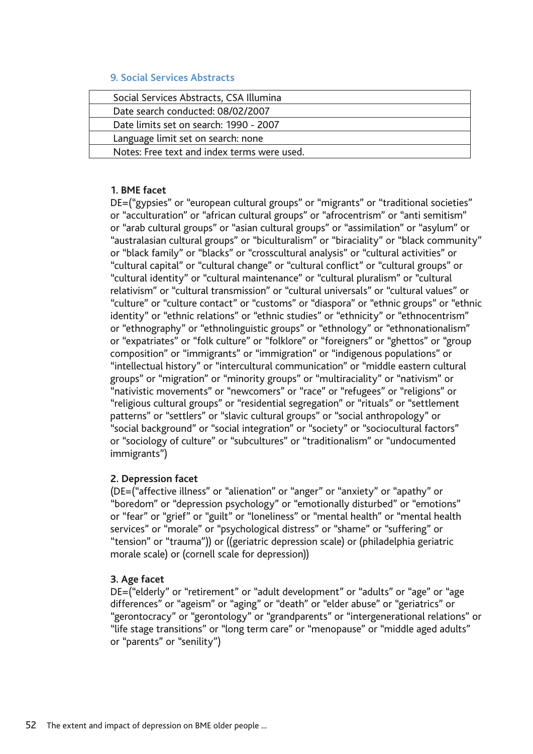## **9. Social Services Abstracts**

| Social Services Abstracts, CSA Illumina     |  |
|---------------------------------------------|--|
| Date search conducted: 08/02/2007           |  |
| Date limits set on search: 1990 - 2007      |  |
| Language limit set on search: none          |  |
| Notes: Free text and index terms were used. |  |

## **1. BME facet**

DE=("gypsies" or "european cultural groups" or "migrants" or "traditional societies" or "acculturation" or "african cultural groups" or "afrocentrism" or "anti semitism" or "arab cultural groups" or "asian cultural groups" or "assimilation" or "asylum" or "australasian cultural groups" or "biculturalism" or "biraciality" or "black community" or "black family" or "blacks" or "crosscultural analysis" or "cultural activities" or "cultural capital" or "cultural change" or "cultural conflict" or "cultural groups" or "cultural identity" or "cultural maintenance" or "cultural pluralism" or "cultural relativism" or "cultural transmission" or "cultural universals" or "cultural values" or "culture" or "culture contact" or "customs" or "diaspora" or "ethnic groups" or "ethnic identity" or "ethnic relations" or "ethnic studies" or "ethnicity" or "ethnocentrism" or "ethnography" or "ethnolinguistic groups" or "ethnology" or "ethnonationalism" or "expatriates" or "folk culture" or "folklore" or "foreigners" or "ghettos" or "group composition" or "immigrants" or "immigration" or "indigenous populations" or "intellectual history" or "intercultural communication" or "middle eastern cultural groups" or "migration" or "minority groups" or "multiraciality" or "nativism" or "nativistic movements" or "newcomers" or "race" or "refugees" or "religions" or "religious cultural groups" or "residential segregation" or "rituals" or "settlement patterns" or "settlers" or "slavic cultural groups" or "social anthropology" or "social background" or "social integration" or "society" or "sociocultural factors" or "sociology of culture" or "subcultures" or "traditionalism" or "undocumented immigrants")

## **2. Depression facet**

(DE=("affective illness" or "alienation" or "anger" or "anxiety" or "apathy" or "boredom" or "depression psychology" or "emotionally disturbed" or "emotions" or "fear" or "grief" or "guilt" or "loneliness" or "mental health" or "mental health services" or "morale" or "psychological distress" or "shame" or "suffering" or "tension" or "trauma")) or ((geriatric depression scale) or (philadelphia geriatric morale scale) or (cornell scale for depression))

## **3. Age facet**

DE=("elderly" or "retirement" or "adult development" or "adults" or "age" or "age differences" or "ageism" or "aging" or "death" or "elder abuse" or "geriatrics" or "gerontocracy" or "gerontology" or "grandparents" or "intergenerational relations" or "life stage transitions" or "long term care" or "menopause" or "middle aged adults" or "parents" or "senility")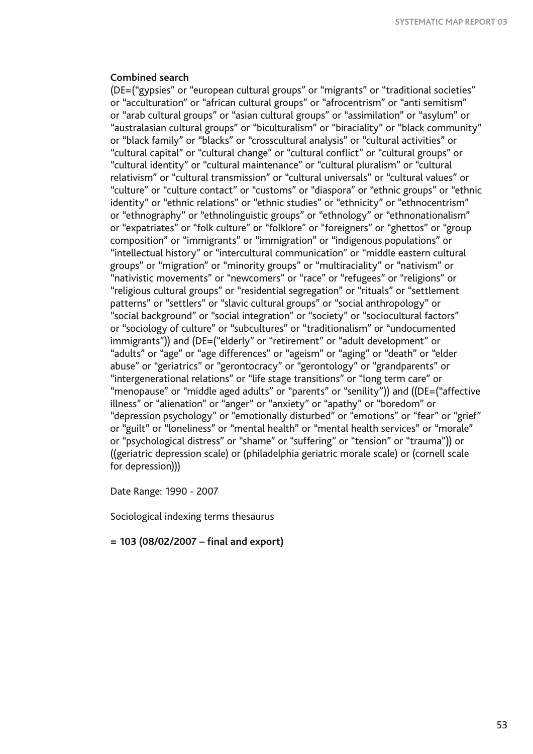### **Combined search**

(DE=("gypsies" or "european cultural groups" or "migrants" or "traditional societies" or "acculturation" or "african cultural groups" or "afrocentrism" or "anti semitism" or "arab cultural groups" or "asian cultural groups" or "assimilation" or "asylum" or "australasian cultural groups" or "biculturalism" or "biraciality" or "black community" or "black family" or "blacks" or "crosscultural analysis" or "cultural activities" or "cultural capital" or "cultural change" or "cultural conflict" or "cultural groups" or "cultural identity" or "cultural maintenance" or "cultural pluralism" or "cultural relativism" or "cultural transmission" or "cultural universals" or "cultural values" or "culture" or "culture contact" or "customs" or "diaspora" or "ethnic groups" or "ethnic identity" or "ethnic relations" or "ethnic studies" or "ethnicity" or "ethnocentrism" or "ethnography" or "ethnolinguistic groups" or "ethnology" or "ethnonationalism" or "expatriates" or "folk culture" or "folklore" or "foreigners" or "ghettos" or "group composition" or "immigrants" or "immigration" or "indigenous populations" or "intellectual history" or "intercultural communication" or "middle eastern cultural groups" or "migration" or "minority groups" or "multiraciality" or "nativism" or "nativistic movements" or "newcomers" or "race" or "refugees" or "religions" or "religious cultural groups" or "residential segregation" or "rituals" or "settlement patterns" or "settlers" or "slavic cultural groups" or "social anthropology" or "social background" or "social integration" or "society" or "sociocultural factors" or "sociology of culture" or "subcultures" or "traditionalism" or "undocumented immigrants")) and (DE=("elderly" or "retirement" or "adult development" or "adults" or "age" or "age differences" or "ageism" or "aging" or "death" or "elder abuse" or "geriatrics" or "gerontocracy" or "gerontology" or "grandparents" or "intergenerational relations" or "life stage transitions" or "long term care" or "menopause" or "middle aged adults" or "parents" or "senility")) and ((DE=("affective illness" or "alienation" or "anger" or "anxiety" or "apathy" or "boredom" or "depression psychology" or "emotionally disturbed" or "emotions" or "fear" or "grief" or "guilt" or "loneliness" or "mental health" or "mental health services" or "morale" or "psychological distress" or "shame" or "suffering" or "tension" or "trauma")) or ((geriatric depression scale) or (philadelphia geriatric morale scale) or (cornell scale for depression)))

Date Range: 1990 - 2007

Sociological indexing terms thesaurus

**= 103 (08/02/2007 – final and export)**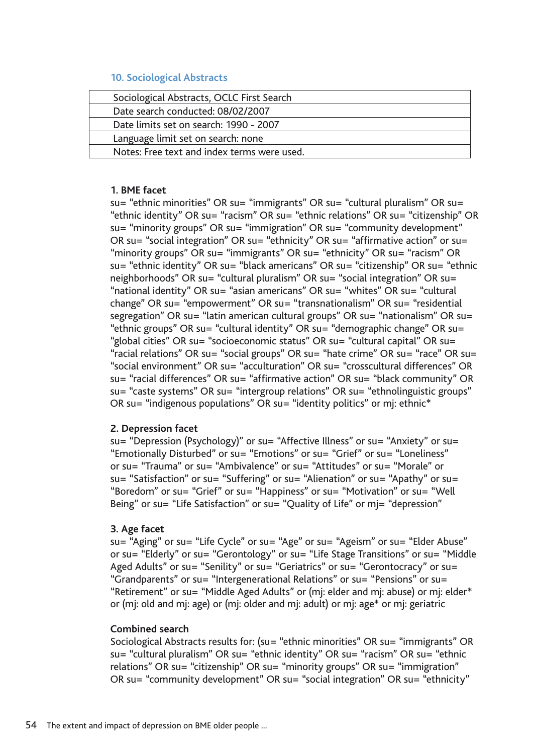## **10. Sociological Abstracts**

| Sociological Abstracts, OCLC First Search   |  |
|---------------------------------------------|--|
| Date search conducted: 08/02/2007           |  |
| Date limits set on search: 1990 - 2007      |  |
| Language limit set on search: none          |  |
| Notes: Free text and index terms were used. |  |

## **1. BME facet**

su= "ethnic minorities" OR su= "immigrants" OR su= "cultural pluralism" OR su= "ethnic identity" OR su= "racism" OR su= "ethnic relations" OR su= "citizenship" OR su= "minority groups" OR su= "immigration" OR su= "community development" OR su= "social integration" OR su= "ethnicity" OR su= "affirmative action" or su= "minority groups" OR su= "immigrants" OR su= "ethnicity" OR su= "racism" OR su= "ethnic identity" OR su= "black americans" OR su= "citizenship" OR su= "ethnic neighborhoods" OR su= "cultural pluralism" OR su= "social integration" OR su= "national identity" OR su= "asian americans" OR su= "whites" OR su= "cultural change" OR su= "empowerment" OR su= "transnationalism" OR su= "residential segregation" OR su= "latin american cultural groups" OR su= "nationalism" OR su= "ethnic groups" OR su= "cultural identity" OR su= "demographic change" OR su= "global cities" OR su= "socioeconomic status" OR su= "cultural capital" OR su= "racial relations" OR su= "social groups" OR su= "hate crime" OR su= "race" OR su= "social environment" OR su= "acculturation" OR su= "crosscultural differences" OR su= "racial differences" OR su= "affirmative action" OR su= "black community" OR su= "caste systems" OR su= "intergroup relations" OR su= "ethnolinguistic groups" OR su= "indigenous populations" OR su= "identity politics" or mj: ethnic\*

### **2. Depression facet**

su= "Depression (Psychology)" or su= "Affective Illness" or su= "Anxiety" or su= "Emotionally Disturbed" or su= "Emotions" or su= "Grief" or su= "Loneliness" or su= "Trauma" or su= "Ambivalence" or su= "Attitudes" or su= "Morale" or su= "Satisfaction" or su= "Suffering" or su= "Alienation" or su= "Apathy" or su= "Boredom" or su= "Grief" or su= "Happiness" or su= "Motivation" or su= "Well Being" or su= "Life Satisfaction" or su= "Quality of Life" or mj= "depression"

## **3. Age facet**

su= "Aging" or su= "Life Cycle" or su= "Age" or su= "Ageism" or su= "Elder Abuse" or su= "Elderly" or su= "Gerontology" or su= "Life Stage Transitions" or su= "Middle Aged Adults" or su= "Senility" or su= "Geriatrics" or su= "Gerontocracy" or su= "Grandparents" or su= "Intergenerational Relations" or su= "Pensions" or su= "Retirement" or su= "Middle Aged Adults" or (mj: elder and mj: abuse) or mj: elder\* or (mj: old and mj: age) or (mj: older and mj: adult) or mj: age\* or mj: geriatric

### **Combined search**

Sociological Abstracts results for: (su= "ethnic minorities" OR su= "immigrants" OR su= "cultural pluralism" OR su= "ethnic identity" OR su= "racism" OR su= "ethnic relations" OR su= "citizenship" OR su= "minority groups" OR su= "immigration" OR su= "community development" OR su= "social integration" OR su= "ethnicity"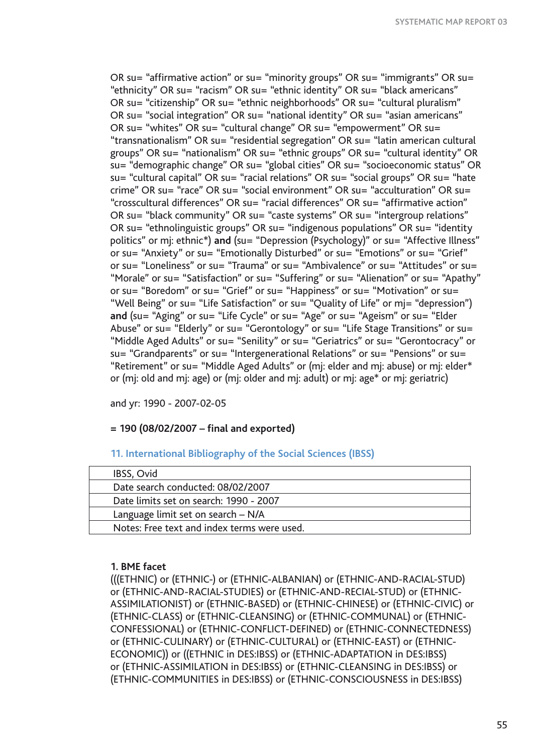OR su= "affirmative action" or su= "minority groups" OR su= "immigrants" OR su= "ethnicity" OR su= "racism" OR su= "ethnic identity" OR su= "black americans" OR su= "citizenship" OR su= "ethnic neighborhoods" OR su= "cultural pluralism" OR su= "social integration" OR su= "national identity" OR su= "asian americans" OR su= "whites" OR su= "cultural change" OR su= "empowerment" OR su= "transnationalism" OR su= "residential segregation" OR su= "latin american cultural groups" OR su= "nationalism" OR su= "ethnic groups" OR su= "cultural identity" OR su= "demographic change" OR su= "global cities" OR su= "socioeconomic status" OR su= "cultural capital" OR su= "racial relations" OR su= "social groups" OR su= "hate crime" OR su= "race" OR su= "social environment" OR su= "acculturation" OR su= "crosscultural differences" OR su= "racial differences" OR su= "affirmative action" OR su= "black community" OR su= "caste systems" OR su= "intergroup relations" OR su= "ethnolinguistic groups" OR su= "indigenous populations" OR su= "identity politics" or mj: ethnic\*) **and** (su= "Depression (Psychology)" or su= "Affective Illness" or su= "Anxiety" or su= "Emotionally Disturbed" or su= "Emotions" or su= "Grief" or su= "Loneliness" or su= "Trauma" or su= "Ambivalence" or su= "Attitudes" or su= "Morale" or su= "Satisfaction" or su= "Suffering" or su= "Alienation" or su= "Apathy" or su= "Boredom" or su= "Grief" or su= "Happiness" or su= "Motivation" or su= "Well Being" or su= "Life Satisfaction" or su= "Quality of Life" or mj= "depression") **and** (su= "Aging" or su= "Life Cycle" or su= "Age" or su= "Ageism" or su= "Elder Abuse" or su= "Elderly" or su= "Gerontology" or su= "Life Stage Transitions" or su= "Middle Aged Adults" or su= "Senility" or su= "Geriatrics" or su= "Gerontocracy" or su= "Grandparents" or su= "Intergenerational Relations" or su= "Pensions" or su= "Retirement" or su= "Middle Aged Adults" or (mj: elder and mj: abuse) or mj: elder\* or (mj: old and mj: age) or (mj: older and mj: adult) or mj: age\* or mj: geriatric)

and yr: 1990 - 2007-02-05

## **= 190 (08/02/2007 – final and exported)**

## **11. International Bibliography of the Social Sciences (IBSS)**

| IBSS, Ovid                                  |  |
|---------------------------------------------|--|
| Date search conducted: 08/02/2007           |  |
| Date limits set on search: 1990 - 2007      |  |
| Language limit set on search - N/A          |  |
| Notes: Free text and index terms were used. |  |

## **1. BME facet**

(((ETHNIC) or (ETHNIC-) or (ETHNIC-ALBANIAN) or (ETHNIC-AND-RACIAL-STUD) or (ETHNIC-AND-RACIAL-STUDIES) or (ETHNIC-AND-RECIAL-STUD) or (ETHNIC-ASSIMILATIONIST) or (ETHNIC-BASED) or (ETHNIC-CHINESE) or (ETHNIC-CIVIC) or (ETHNIC-CLASS) or (ETHNIC-CLEANSING) or (ETHNIC-COMMUNAL) or (ETHNIC-CONFESSIONAL) or (ETHNIC-CONFLICT-DEFINED) or (ETHNIC-CONNECTEDNESS) or (ETHNIC-CULINARY) or (ETHNIC-CULTURAL) or (ETHNIC-EAST) or (ETHNIC-ECONOMIC)) or ((ETHNIC in DES:IBSS) or (ETHNIC-ADAPTATION in DES:IBSS) or (ETHNIC-ASSIMILATION in DES:IBSS) or (ETHNIC-CLEANSING in DES:IBSS) or (ETHNIC-COMMUNITIES in DES:IBSS) or (ETHNIC-CONSCIOUSNESS in DES:IBSS)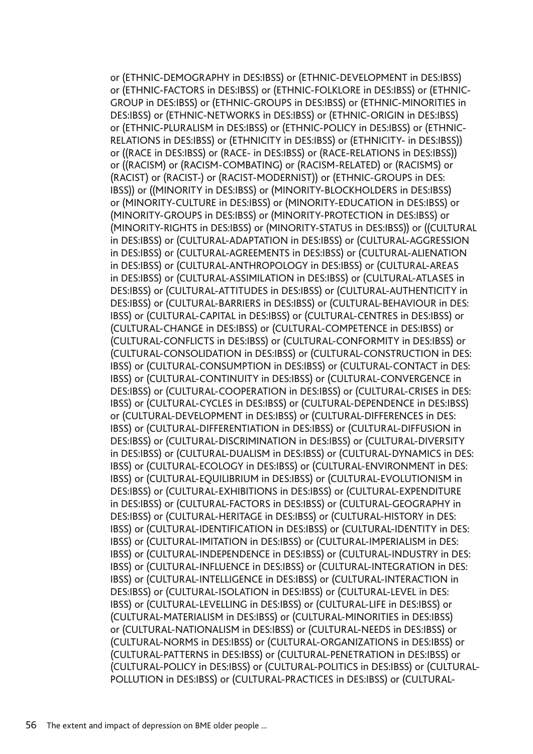or (ETHNIC-DEMOGRAPHY in DES:IBSS) or (ETHNIC-DEVELOPMENT in DES:IBSS) or (ETHNIC-FACTORS in DES:IBSS) or (ETHNIC-FOLKLORE in DES:IBSS) or (ETHNIC-GROUP in DES:IBSS) or (ETHNIC-GROUPS in DES:IBSS) or (ETHNIC-MINORITIES in DES:IBSS) or (ETHNIC-NETWORKS in DES:IBSS) or (ETHNIC-ORIGIN in DES:IBSS) or (ETHNIC-PLURALISM in DES:IBSS) or (ETHNIC-POLICY in DES:IBSS) or (ETHNIC-RELATIONS in DES:IBSS) or (ETHNICITY in DES:IBSS) or (ETHNICITY- in DES:IBSS)) or ((RACE in DES:IBSS) or (RACE- in DES:IBSS) or (RACE-RELATIONS in DES:IBSS)) or ((RACISM) or (RACISM-COMBATING) or (RACISM-RELATED) or (RACISMS) or (RACIST) or (RACIST-) or (RACIST-MODERNIST)) or (ETHNIC-GROUPS in DES: IBSS)) or ((MINORITY in DES:IBSS) or (MINORITY-BLOCKHOLDERS in DES:IBSS) or (MINORITY-CULTURE in DES:IBSS) or (MINORITY-EDUCATION in DES:IBSS) or (MINORITY-GROUPS in DES:IBSS) or (MINORITY-PROTECTION in DES:IBSS) or (MINORITY-RIGHTS in DES:IBSS) or (MINORITY-STATUS in DES:IBSS)) or ((CULTURAL in DES:IBSS) or (CULTURAL-ADAPTATION in DES:IBSS) or (CULTURAL-AGGRESSION in DES:IBSS) or (CULTURAL-AGREEMENTS in DES:IBSS) or (CULTURAL-ALIENATION in DES:IBSS) or (CULTURAL-ANTHROPOLOGY in DES:IBSS) or (CULTURAL-AREAS in DES:IBSS) or (CULTURAL-ASSIMILATION in DES:IBSS) or (CULTURAL-ATLASES in DES:IBSS) or (CULTURAL-ATTITUDES in DES:IBSS) or (CULTURAL-AUTHENTICITY in DES:IBSS) or (CULTURAL-BARRIERS in DES:IBSS) or (CULTURAL-BEHAVIOUR in DES: IBSS) or (CULTURAL-CAPITAL in DES:IBSS) or (CULTURAL-CENTRES in DES:IBSS) or (CULTURAL-CHANGE in DES:IBSS) or (CULTURAL-COMPETENCE in DES:IBSS) or (CULTURAL-CONFLICTS in DES:IBSS) or (CULTURAL-CONFORMITY in DES:IBSS) or (CULTURAL-CONSOLIDATION in DES:IBSS) or (CULTURAL-CONSTRUCTION in DES: IBSS) or (CULTURAL-CONSUMPTION in DES:IBSS) or (CULTURAL-CONTACT in DES: IBSS) or (CULTURAL-CONTINUITY in DES:IBSS) or (CULTURAL-CONVERGENCE in DES:IBSS) or (CULTURAL-COOPERATION in DES:IBSS) or (CULTURAL-CRISES in DES: IBSS) or (CULTURAL-CYCLES in DES:IBSS) or (CULTURAL-DEPENDENCE in DES:IBSS) or (CULTURAL-DEVELOPMENT in DES:IBSS) or (CULTURAL-DIFFERENCES in DES: IBSS) or (CULTURAL-DIFFERENTIATION in DES:IBSS) or (CULTURAL-DIFFUSION in DES:IBSS) or (CULTURAL-DISCRIMINATION in DES:IBSS) or (CULTURAL-DIVERSITY in DES:IBSS) or (CULTURAL-DUALISM in DES:IBSS) or (CULTURAL-DYNAMICS in DES: IBSS) or (CULTURAL-ECOLOGY in DES:IBSS) or (CULTURAL-ENVIRONMENT in DES: IBSS) or (CULTURAL-EQUILIBRIUM in DES:IBSS) or (CULTURAL-EVOLUTIONISM in DES:IBSS) or (CULTURAL-EXHIBITIONS in DES:IBSS) or (CULTURAL-EXPENDITURE in DES:IBSS) or (CULTURAL-FACTORS in DES:IBSS) or (CULTURAL-GEOGRAPHY in DES:IBSS) or (CULTURAL-HERITAGE in DES:IBSS) or (CULTURAL-HISTORY in DES: IBSS) or (CULTURAL-IDENTIFICATION in DES:IBSS) or (CULTURAL-IDENTITY in DES: IBSS) or (CULTURAL-IMITATION in DES:IBSS) or (CULTURAL-IMPERIALISM in DES: IBSS) or (CULTURAL-INDEPENDENCE in DES:IBSS) or (CULTURAL-INDUSTRY in DES: IBSS) or (CULTURAL-INFLUENCE in DES:IBSS) or (CULTURAL-INTEGRATION in DES: IBSS) or (CULTURAL-INTELLIGENCE in DES:IBSS) or (CULTURAL-INTERACTION in DES:IBSS) or (CULTURAL-ISOLATION in DES:IBSS) or (CULTURAL-LEVEL in DES: IBSS) or (CULTURAL-LEVELLING in DES:IBSS) or (CULTURAL-LIFE in DES:IBSS) or (CULTURAL-MATERIALISM in DES:IBSS) or (CULTURAL-MINORITIES in DES:IBSS) or (CULTURAL-NATIONALISM in DES:IBSS) or (CULTURAL-NEEDS in DES:IBSS) or (CULTURAL-NORMS in DES:IBSS) or (CULTURAL-ORGANIZATIONS in DES:IBSS) or (CULTURAL-PATTERNS in DES:IBSS) or (CULTURAL-PENETRATION in DES:IBSS) or (CULTURAL-POLICY in DES:IBSS) or (CULTURAL-POLITICS in DES:IBSS) or (CULTURAL-POLLUTION in DES:IBSS) or (CULTURAL-PRACTICES in DES:IBSS) or (CULTURAL-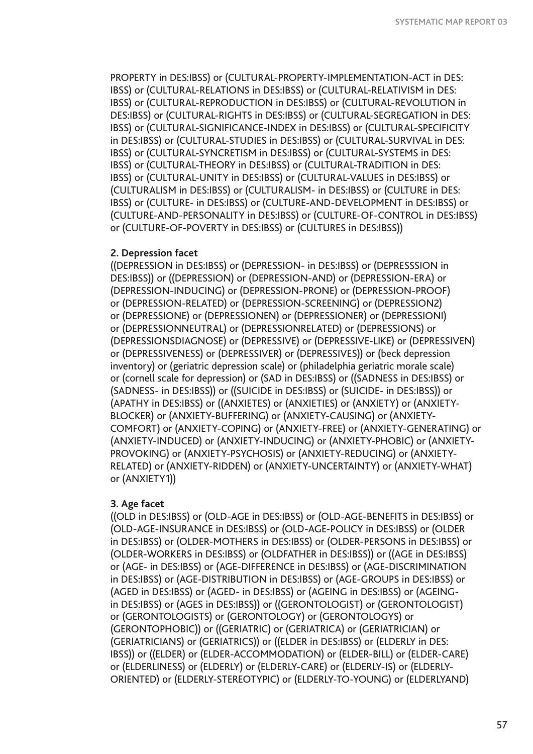PROPERTY in DES:IBSS) or (CULTURAL-PROPERTY-IMPLEMENTATION-ACT in DES: IBSS) or (CULTURAL-RELATIONS in DES:IBSS) or (CULTURAL-RELATIVISM in DES: IBSS) or (CULTURAL-REPRODUCTION in DES:IBSS) or (CULTURAL-REVOLUTION in DES:IBSS) or (CULTURAL-RIGHTS in DES:IBSS) or (CULTURAL-SEGREGATION in DES: IBSS) or (CULTURAL-SIGNIFICANCE-INDEX in DES:IBSS) or (CULTURAL-SPECIFICITY in DES:IBSS) or (CULTURAL-STUDIES in DES:IBSS) or (CULTURAL-SURVIVAL in DES: IBSS) or (CULTURAL-SYNCRETISM in DES:IBSS) or (CULTURAL-SYSTEMS in DES: IBSS) or (CULTURAL-THEORY in DES:IBSS) or (CULTURAL-TRADITION in DES: IBSS) or (CULTURAL-UNITY in DES:IBSS) or (CULTURAL-VALUES in DES:IBSS) or (CULTURALISM in DES:IBSS) or (CULTURALISM- in DES:IBSS) or (CULTURE in DES: IBSS) or (CULTURE- in DES:IBSS) or (CULTURE-AND-DEVELOPMENT in DES:IBSS) or (CULTURE-AND-PERSONALITY in DES:IBSS) or (CULTURE-OF-CONTROL in DES:IBSS) or (CULTURE-OF-POVERTY in DES:IBSS) or (CULTURES in DES:IBSS))

### **2. Depression facet**

((DEPRESSION in DES:IBSS) or (DEPRESSION- in DES:IBSS) or (DEPRESSSION in DES:IBSS)) or ((DEPRESSION) or (DEPRESSION-AND) or (DEPRESSION-ERA) or (DEPRESSION-INDUCING) or (DEPRESSION-PRONE) or (DEPRESSION-PROOF) or (DEPRESSION-RELATED) or (DEPRESSION-SCREENING) or (DEPRESSION2) or (DEPRESSIONE) or (DEPRESSIONEN) or (DEPRESSIONER) or (DEPRESSIONI) or (DEPRESSIONNEUTRAL) or (DEPRESSIONRELATED) or (DEPRESSIONS) or (DEPRESSIONSDIAGNOSE) or (DEPRESSIVE) or (DEPRESSIVE-LIKE) or (DEPRESSIVEN) or (DEPRESSIVENESS) or (DEPRESSIVER) or (DEPRESSIVES)) or (beck depression inventory) or (geriatric depression scale) or (philadelphia geriatric morale scale) or (cornell scale for depression) or (SAD in DES:IBSS) or ((SADNESS in DES:IBSS) or (SADNESS- in DES:IBSS)) or ((SUICIDE in DES:IBSS) or (SUICIDE- in DES:IBSS)) or (APATHY in DES:IBSS) or ((ANXIETES) or (ANXIETIES) or (ANXIETY) or (ANXIETY-BLOCKER) or (ANXIETY-BUFFERING) or (ANXIETY-CAUSING) or (ANXIETY-COMFORT) or (ANXIETY-COPING) or (ANXIETY-FREE) or (ANXIETY-GENERATING) or (ANXIETY-INDUCED) or (ANXIETY-INDUCING) or (ANXIETY-PHOBIC) or (ANXIETY-PROVOKING) or (ANXIETY-PSYCHOSIS) or (ANXIETY-REDUCING) or (ANXIETY-RELATED) or (ANXIETY-RIDDEN) or (ANXIETY-UNCERTAINTY) or (ANXIETY-WHAT) or (ANXIETY1))

## **3. Age facet**

((OLD in DES:IBSS) or (OLD-AGE in DES:IBSS) or (OLD-AGE-BENEFITS in DES:IBSS) or (OLD-AGE-INSURANCE in DES:IBSS) or (OLD-AGE-POLICY in DES:IBSS) or (OLDER in DES:IBSS) or (OLDER-MOTHERS in DES:IBSS) or (OLDER-PERSONS in DES:IBSS) or (OLDER-WORKERS in DES:IBSS) or (OLDFATHER in DES:IBSS)) or ((AGE in DES:IBSS) or (AGE- in DES:IBSS) or (AGE-DIFFERENCE in DES:IBSS) or (AGE-DISCRIMINATION in DES:IBSS) or (AGE-DISTRIBUTION in DES:IBSS) or (AGE-GROUPS in DES:IBSS) or (AGED in DES:IBSS) or (AGED- in DES:IBSS) or (AGEING in DES:IBSS) or (AGEING in DES:IBSS) or (AGES in DES:IBSS)) or ((GERONTOLOGIST) or (GERONTOLOGIST) or (GERONTOLOGISTS) or (GERONTOLOGY) or (GERONTOLOGYS) or (GERONTOPHOBIC)) or ((GERIATRIC) or (GERIATRICA) or (GERIATRICIAN) or (GERIATRICIANS) or (GERIATRICS)) or ((ELDER in DES:IBSS) or (ELDERLY in DES: IBSS)) or ((ELDER) or (ELDER-ACCOMMODATION) or (ELDER-BILL) or (ELDER-CARE) or (ELDERLINESS) or (ELDERLY) or (ELDERLY-CARE) or (ELDERLY-IS) or (ELDERLY-ORIENTED) or (ELDERLY-STEREOTYPIC) or (ELDERLY-TO-YOUNG) or (ELDERLYAND)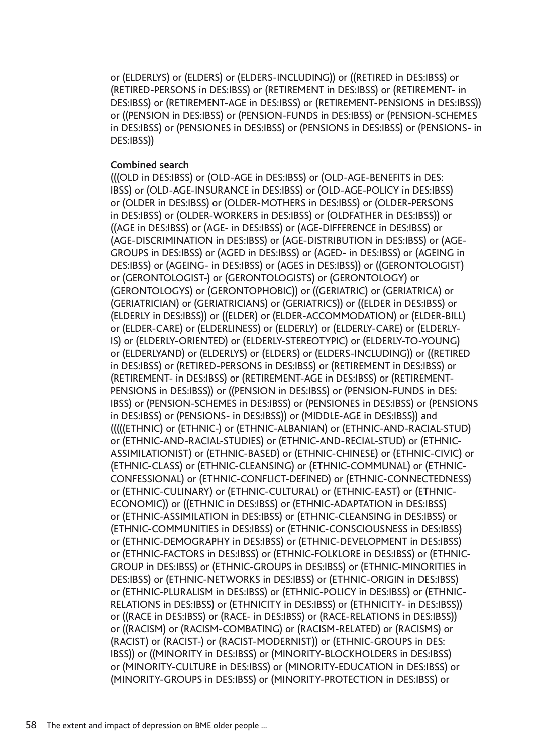or (ELDERLYS) or (ELDERS) or (ELDERS-INCLUDING)) or ((RETIRED in DES:IBSS) or (RETIRED-PERSONS in DES:IBSS) or (RETIREMENT in DES:IBSS) or (RETIREMENT- in DES:IBSS) or (RETIREMENT-AGE in DES:IBSS) or (RETIREMENT-PENSIONS in DES:IBSS)) or ((PENSION in DES:IBSS) or (PENSION-FUNDS in DES:IBSS) or (PENSION-SCHEMES in DES:IBSS) or (PENSIONES in DES:IBSS) or (PENSIONS in DES:IBSS) or (PENSIONS- in DES:IBSS))

## **Combined search**

(((OLD in DES:IBSS) or (OLD-AGE in DES:IBSS) or (OLD-AGE-BENEFITS in DES: IBSS) or (OLD-AGE-INSURANCE in DES:IBSS) or (OLD-AGE-POLICY in DES:IBSS) or (OLDER in DES:IBSS) or (OLDER-MOTHERS in DES:IBSS) or (OLDER-PERSONS in DES:IBSS) or (OLDER-WORKERS in DES:IBSS) or (OLDFATHER in DES:IBSS)) or ((AGE in DES:IBSS) or (AGE- in DES:IBSS) or (AGE-DIFFERENCE in DES:IBSS) or (AGE-DISCRIMINATION in DES:IBSS) or (AGE-DISTRIBUTION in DES:IBSS) or (AGE-GROUPS in DES:IBSS) or (AGED in DES:IBSS) or (AGED- in DES:IBSS) or (AGEING in DES:IBSS) or (AGEING- in DES:IBSS) or (AGES in DES:IBSS)) or ((GERONTOLOGIST) or (GERONTOLOGIST-) or (GERONTOLOGISTS) or (GERONTOLOGY) or (GERONTOLOGYS) or (GERONTOPHOBIC)) or ((GERIATRIC) or (GERIATRICA) or (GERIATRICIAN) or (GERIATRICIANS) or (GERIATRICS)) or ((ELDER in DES:IBSS) or (ELDERLY in DES:IBSS)) or ((ELDER) or (ELDER-ACCOMMODATION) or (ELDER-BILL) or (ELDER-CARE) or (ELDERLINESS) or (ELDERLY) or (ELDERLY-CARE) or (ELDERLY-IS) or (ELDERLY-ORIENTED) or (ELDERLY-STEREOTYPIC) or (ELDERLY-TO-YOUNG) or (ELDERLYAND) or (ELDERLYS) or (ELDERS) or (ELDERS-INCLUDING)) or ((RETIRED in DES:IBSS) or (RETIRED-PERSONS in DES:IBSS) or (RETIREMENT in DES:IBSS) or (RETIREMENT- in DES:IBSS) or (RETIREMENT-AGE in DES:IBSS) or (RETIREMENT-PENSIONS in DES:IBSS)) or ((PENSION in DES:IBSS) or (PENSION-FUNDS in DES: IBSS) or (PENSION-SCHEMES in DES:IBSS) or (PENSIONES in DES:IBSS) or (PENSIONS in DES:IBSS) or (PENSIONS- in DES:IBSS)) or (MIDDLE-AGE in DES:IBSS)) and (((((ETHNIC) or (ETHNIC-) or (ETHNIC-ALBANIAN) or (ETHNIC-AND-RACIAL-STUD) or (ETHNIC-AND-RACIAL-STUDIES) or (ETHNIC-AND-RECIAL-STUD) or (ETHNIC-ASSIMILATIONIST) or (ETHNIC-BASED) or (ETHNIC-CHINESE) or (ETHNIC-CIVIC) or (ETHNIC-CLASS) or (ETHNIC-CLEANSING) or (ETHNIC-COMMUNAL) or (ETHNIC-CONFESSIONAL) or (ETHNIC-CONFLICT-DEFINED) or (ETHNIC-CONNECTEDNESS) or (ETHNIC-CULINARY) or (ETHNIC-CULTURAL) or (ETHNIC-EAST) or (ETHNIC-ECONOMIC)) or ((ETHNIC in DES:IBSS) or (ETHNIC-ADAPTATION in DES:IBSS) or (ETHNIC-ASSIMILATION in DES:IBSS) or (ETHNIC-CLEANSING in DES:IBSS) or (ETHNIC-COMMUNITIES in DES:IBSS) or (ETHNIC-CONSCIOUSNESS in DES:IBSS) or (ETHNIC-DEMOGRAPHY in DES:IBSS) or (ETHNIC-DEVELOPMENT in DES:IBSS) or (ETHNIC-FACTORS in DES:IBSS) or (ETHNIC-FOLKLORE in DES:IBSS) or (ETHNIC-GROUP in DES:IBSS) or (ETHNIC-GROUPS in DES:IBSS) or (ETHNIC-MINORITIES in DES:IBSS) or (ETHNIC-NETWORKS in DES:IBSS) or (ETHNIC-ORIGIN in DES:IBSS) or (ETHNIC-PLURALISM in DES:IBSS) or (ETHNIC-POLICY in DES:IBSS) or (ETHNIC-RELATIONS in DES:IBSS) or (ETHNICITY in DES:IBSS) or (ETHNICITY- in DES:IBSS)) or ((RACE in DES:IBSS) or (RACE- in DES:IBSS) or (RACE-RELATIONS in DES:IBSS)) or ((RACISM) or (RACISM-COMBATING) or (RACISM-RELATED) or (RACISMS) or (RACIST) or (RACIST-) or (RACIST-MODERNIST)) or (ETHNIC-GROUPS in DES: IBSS)) or ((MINORITY in DES:IBSS) or (MINORITY-BLOCKHOLDERS in DES:IBSS) or (MINORITY-CULTURE in DES:IBSS) or (MINORITY-EDUCATION in DES:IBSS) or (MINORITY-GROUPS in DES:IBSS) or (MINORITY-PROTECTION in DES:IBSS) or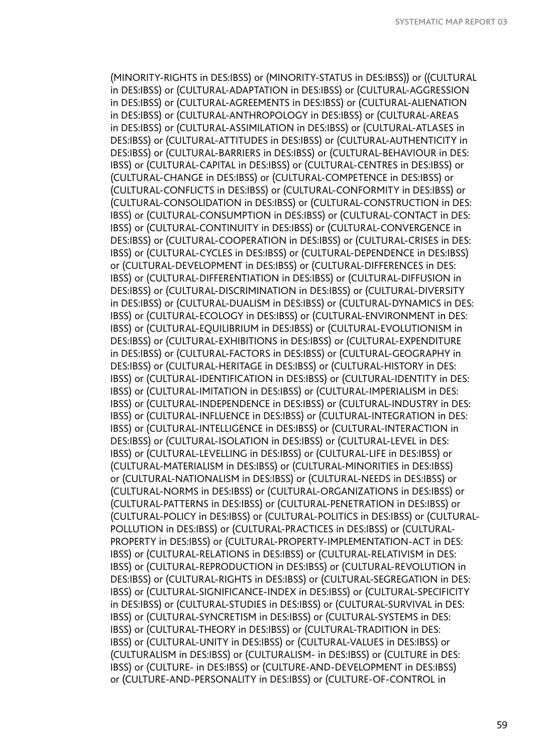(MINORITY-RIGHTS in DES:IBSS) or (MINORITY-STATUS in DES:IBSS)) or ((CULTURAL in DES:IBSS) or (CULTURAL-ADAPTATION in DES:IBSS) or (CULTURAL-AGGRESSION in DES:IBSS) or (CULTURAL-AGREEMENTS in DES:IBSS) or (CULTURAL-ALIENATION in DES:IBSS) or (CULTURAL-ANTHROPOLOGY in DES:IBSS) or (CULTURAL-AREAS in DES:IBSS) or (CULTURAL-ASSIMILATION in DES:IBSS) or (CULTURAL-ATLASES in DES:IBSS) or (CULTURAL-ATTITUDES in DES:IBSS) or (CULTURAL-AUTHENTICITY in DES:IBSS) or (CULTURAL-BARRIERS in DES:IBSS) or (CULTURAL-BEHAVIOUR in DES: IBSS) or (CULTURAL-CAPITAL in DES:IBSS) or (CULTURAL-CENTRES in DES:IBSS) or (CULTURAL-CHANGE in DES:IBSS) or (CULTURAL-COMPETENCE in DES:IBSS) or (CULTURAL-CONFLICTS in DES:IBSS) or (CULTURAL-CONFORMITY in DES:IBSS) or (CULTURAL-CONSOLIDATION in DES:IBSS) or (CULTURAL-CONSTRUCTION in DES: IBSS) or (CULTURAL-CONSUMPTION in DES:IBSS) or (CULTURAL-CONTACT in DES: IBSS) or (CULTURAL-CONTINUITY in DES:IBSS) or (CULTURAL-CONVERGENCE in DES:IBSS) or (CULTURAL-COOPERATION in DES:IBSS) or (CULTURAL-CRISES in DES: IBSS) or (CULTURAL-CYCLES in DES:IBSS) or (CULTURAL-DEPENDENCE in DES:IBSS) or (CULTURAL-DEVELOPMENT in DES:IBSS) or (CULTURAL-DIFFERENCES in DES: IBSS) or (CULTURAL-DIFFERENTIATION in DES:IBSS) or (CULTURAL-DIFFUSION in DES:IBSS) or (CULTURAL-DISCRIMINATION in DES:IBSS) or (CULTURAL-DIVERSITY in DES:IBSS) or (CULTURAL-DUALISM in DES:IBSS) or (CULTURAL-DYNAMICS in DES: IBSS) or (CULTURAL-ECOLOGY in DES:IBSS) or (CULTURAL-ENVIRONMENT in DES: IBSS) or (CULTURAL-EQUILIBRIUM in DES:IBSS) or (CULTURAL-EVOLUTIONISM in DES:IBSS) or (CULTURAL-EXHIBITIONS in DES:IBSS) or (CULTURAL-EXPENDITURE in DES:IBSS) or (CULTURAL-FACTORS in DES:IBSS) or (CULTURAL-GEOGRAPHY in DES:IBSS) or (CULTURAL-HERITAGE in DES:IBSS) or (CULTURAL-HISTORY in DES: IBSS) or (CULTURAL-IDENTIFICATION in DES:IBSS) or (CULTURAL-IDENTITY in DES: IBSS) or (CULTURAL-IMITATION in DES:IBSS) or (CULTURAL-IMPERIALISM in DES: IBSS) or (CULTURAL-INDEPENDENCE in DES:IBSS) or (CULTURAL-INDUSTRY in DES: IBSS) or (CULTURAL-INFLUENCE in DES:IBSS) or (CULTURAL-INTEGRATION in DES: IBSS) or (CULTURAL-INTELLIGENCE in DES:IBSS) or (CULTURAL-INTERACTION in DES:IBSS) or (CULTURAL-ISOLATION in DES:IBSS) or (CULTURAL-LEVEL in DES: IBSS) or (CULTURAL-LEVELLING in DES:IBSS) or (CULTURAL-LIFE in DES:IBSS) or (CULTURAL-MATERIALISM in DES:IBSS) or (CULTURAL-MINORITIES in DES:IBSS) or (CULTURAL-NATIONALISM in DES:IBSS) or (CULTURAL-NEEDS in DES:IBSS) or (CULTURAL-NORMS in DES:IBSS) or (CULTURAL-ORGANIZATIONS in DES:IBSS) or (CULTURAL-PATTERNS in DES:IBSS) or (CULTURAL-PENETRATION in DES:IBSS) or (CULTURAL-POLICY in DES:IBSS) or (CULTURAL-POLITICS in DES:IBSS) or (CULTURAL-POLLUTION in DES:IBSS) or (CULTURAL-PRACTICES in DES:IBSS) or (CULTURAL-PROPERTY in DES:IBSS) or (CULTURAL-PROPERTY-IMPLEMENTATION-ACT in DES: IBSS) or (CULTURAL-RELATIONS in DES:IBSS) or (CULTURAL-RELATIVISM in DES: IBSS) or (CULTURAL-REPRODUCTION in DES:IBSS) or (CULTURAL-REVOLUTION in DES:IBSS) or (CULTURAL-RIGHTS in DES:IBSS) or (CULTURAL-SEGREGATION in DES: IBSS) or (CULTURAL-SIGNIFICANCE-INDEX in DES:IBSS) or (CULTURAL-SPECIFICITY in DES:IBSS) or (CULTURAL-STUDIES in DES:IBSS) or (CULTURAL-SURVIVAL in DES: IBSS) or (CULTURAL-SYNCRETISM in DES:IBSS) or (CULTURAL-SYSTEMS in DES: IBSS) or (CULTURAL-THEORY in DES:IBSS) or (CULTURAL-TRADITION in DES: IBSS) or (CULTURAL-UNITY in DES:IBSS) or (CULTURAL-VALUES in DES:IBSS) or (CULTURALISM in DES:IBSS) or (CULTURALISM- in DES:IBSS) or (CULTURE in DES: IBSS) or (CULTURE- in DES:IBSS) or (CULTURE-AND-DEVELOPMENT in DES:IBSS) or (CULTURE-AND-PERSONALITY in DES:IBSS) or (CULTURE-OF-CONTROL in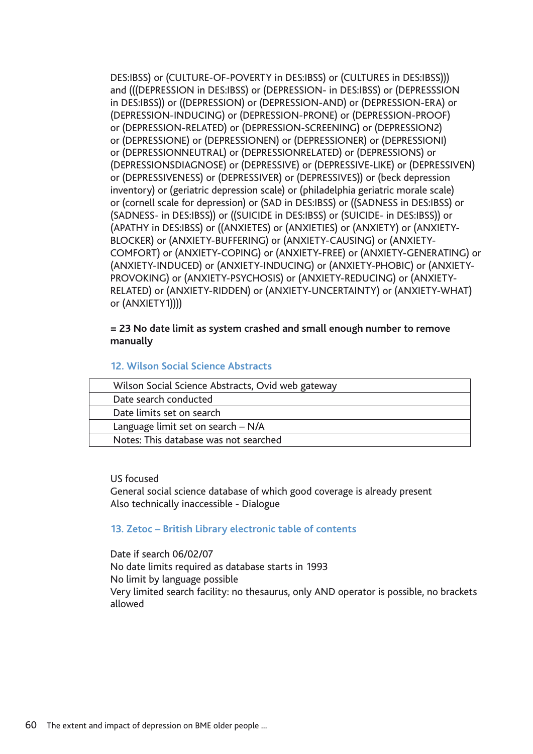DES:IBSS) or (CULTURE-OF-POVERTY in DES:IBSS) or (CULTURES in DES:IBSS))) and (((DEPRESSION in DES:IBSS) or (DEPRESSION- in DES:IBSS) or (DEPRESSSION in DES:IBSS)) or ((DEPRESSION) or (DEPRESSION-AND) or (DEPRESSION-ERA) or (DEPRESSION-INDUCING) or (DEPRESSION-PRONE) or (DEPRESSION-PROOF) or (DEPRESSION-RELATED) or (DEPRESSION-SCREENING) or (DEPRESSION2) or (DEPRESSIONE) or (DEPRESSIONEN) or (DEPRESSIONER) or (DEPRESSIONI) or (DEPRESSIONNEUTRAL) or (DEPRESSIONRELATED) or (DEPRESSIONS) or (DEPRESSIONSDIAGNOSE) or (DEPRESSIVE) or (DEPRESSIVE-LIKE) or (DEPRESSIVEN) or (DEPRESSIVENESS) or (DEPRESSIVER) or (DEPRESSIVES)) or (beck depression inventory) or (geriatric depression scale) or (philadelphia geriatric morale scale) or (cornell scale for depression) or (SAD in DES:IBSS) or ((SADNESS in DES:IBSS) or (SADNESS- in DES:IBSS)) or ((SUICIDE in DES:IBSS) or (SUICIDE- in DES:IBSS)) or (APATHY in DES:IBSS) or ((ANXIETES) or (ANXIETIES) or (ANXIETY) or (ANXIETY-BLOCKER) or (ANXIETY-BUFFERING) or (ANXIETY-CAUSING) or (ANXIETY-COMFORT) or (ANXIETY-COPING) or (ANXIETY-FREE) or (ANXIETY-GENERATING) or (ANXIETY-INDUCED) or (ANXIETY-INDUCING) or (ANXIETY-PHOBIC) or (ANXIETY-PROVOKING) or (ANXIETY-PSYCHOSIS) or (ANXIETY-REDUCING) or (ANXIETY-RELATED) or (ANXIETY-RIDDEN) or (ANXIETY-UNCERTAINTY) or (ANXIETY-WHAT) or (ANXIETY1))))

## **= 23 No date limit as system crashed and small enough number to remove manually**

### **12. Wilson Social Science Abstracts**

| Wilson Social Science Abstracts, Ovid web gateway |  |
|---------------------------------------------------|--|
| Date search conducted                             |  |
| Date limits set on search                         |  |
| Language limit set on search - N/A                |  |
| Notes: This database was not searched             |  |

### US focused

General social science database of which good coverage is already present Also technically inaccessible - Dialogue

### **13. Zetoc – British Library electronic table of contents**

Date if search 06/02/07 No date limits required as database starts in 1993 No limit by language possible Very limited search facility: no thesaurus, only AND operator is possible, no brackets allowed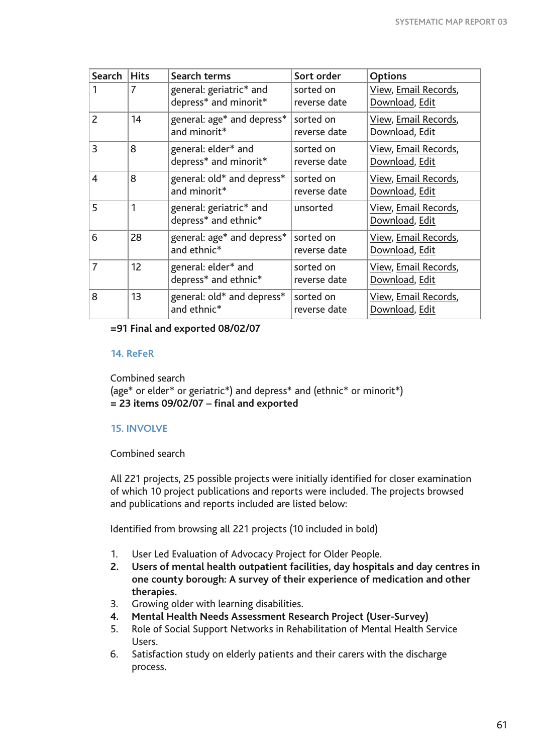| Search                  | <b>Hits</b> | Search terms                                     | Sort order                | <b>Options</b>                         |
|-------------------------|-------------|--------------------------------------------------|---------------------------|----------------------------------------|
|                         | 7           | general: geriatric* and<br>depress* and minorit* | sorted on<br>reverse date | View, Email Records,<br>Download, Edit |
| $\mathcal{P}$           | 14          | general: age* and depress*<br>and minorit*       | sorted on<br>reverse date | View, Email Records,<br>Download, Edit |
| 3                       | 8           | general: elder* and<br>depress* and minorit*     | sorted on<br>reverse date | View, Email Records,<br>Download, Edit |
| $\overline{\mathbf{4}}$ | 8           | general: old* and depress*<br>and minorit*       | sorted on<br>reverse date | View, Email Records,<br>Download, Edit |
| 5                       | 1           | general: geriatric* and<br>depress* and ethnic*  | unsorted                  | View, Email Records,<br>Download, Edit |
| 6                       | 28          | general: age* and depress*<br>and ethnic*        | sorted on<br>reverse date | View, Email Records,<br>Download, Edit |
| 7                       | 12          | general: elder* and<br>depress* and ethnic*      | sorted on<br>reverse date | View, Email Records,<br>Download, Edit |
| 8                       | 13          | general: old* and depress*<br>and ethnic*        | sorted on<br>reverse date | View, Email Records,<br>Download, Edit |

**=91 Final and exported 08/02/07** 

## **14. ReFeR**

Combined search (age\* or elder\* or geriatric\*) and depress\* and (ethnic\* or minorit\*) **= 23 items 09/02/07 – final and exported**

## **15. INVOLVE**

Combined search

All 221 projects, 25 possible projects were initially identified for closer examination of which 10 project publications and reports were included. The projects browsed and publications and reports included are listed below:

Identified from browsing all 221 projects (10 included in bold)

- 1. User Led Evaluation of Advocacy Project for Older People.
- **2. Users of mental health outpatient facilities, day hospitals and day centres in one county borough: A survey of their experience of medication and other therapies.**
- 3. Growing older with learning disabilities.
- **4. Mental Health Needs Assessment Research Project (User-Survey)**
- 5. Role of Social Support Networks in Rehabilitation of Mental Health Service Users.
- 6. Satisfaction study on elderly patients and their carers with the discharge process.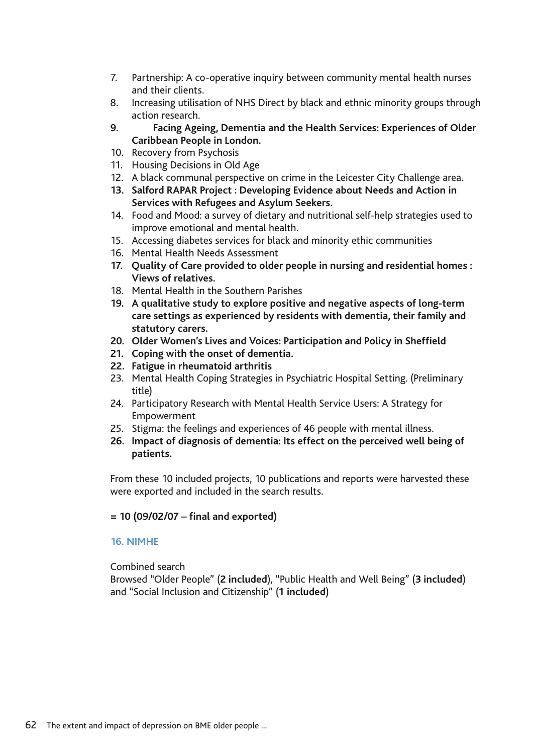- 7. Partnership: A co-operative inquiry between community mental health nurses and their clients.
- 8. Increasing utilisation of NHS Direct by black and ethnic minority groups through action research.
- **9. Facing Ageing, Dementia and the Health Services: Experiences of Older Caribbean People in London.**
- 10. Recovery from Psychosis
- 11. Housing Decisions in Old Age
- 12. A black communal perspective on crime in the Leicester City Challenge area.
- **13. Salford RAPAR Project : Developing Evidence about Needs and Action in Services with Refugees and Asylum Seekers.**
- 14. Food and Mood: a survey of dietary and nutritional self-help strategies used to improve emotional and mental health.
- 15. Accessing diabetes services for black and minority ethic communities
- 16. Mental Health Needs Assessment
- **17. Quality of Care provided to older people in nursing and residential homes : Views of relatives.**
- 18. Mental Health in the Southern Parishes
- **19. A qualitative study to explore positive and negative aspects of long-term care settings as experienced by residents with dementia, their family and statutory carers.**
- **20. Older Women's Lives and Voices: Participation and Policy in Sheffield**
- **21. Coping with the onset of dementia.**
- **22. Fatigue in rheumatoid arthritis**
- 23. Mental Health Coping Strategies in Psychiatric Hospital Setting. (Preliminary title)
- 24. Participatory Research with Mental Health Service Users: A Strategy for Empowerment
- 25. Stigma: the feelings and experiences of 46 people with mental illness.
- **26. Impact of diagnosis of dementia: Its effect on the perceived well being of patients.**

From these 10 included projects, 10 publications and reports were harvested these were exported and included in the search results.

## **= 10 (09/02/07 – final and exported)**

## **16. NIMHE**

## Combined search

Browsed "Older People" (**2 included**), "Public Health and Well Being" (**3 included**) and "Social Inclusion and Citizenship" (**1 included**)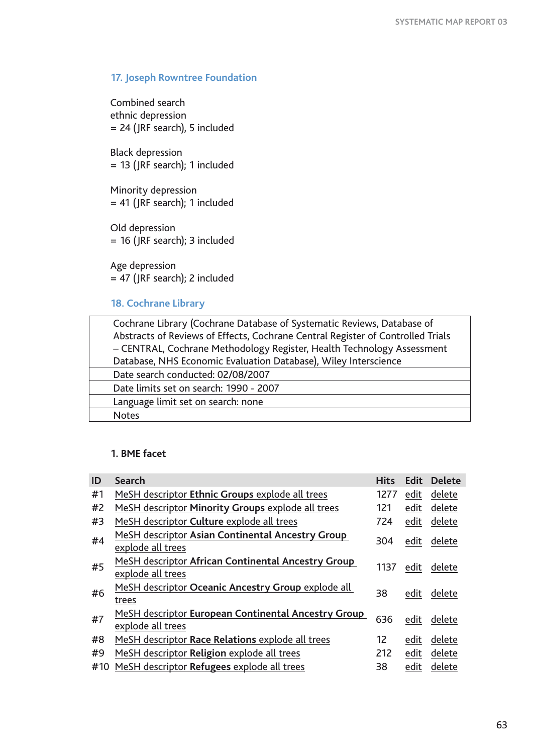# **17. Joseph Rowntree Foundation**

Combined search ethnic depression = 24 (JRF search), 5 included

Black depression  $= 13$  (JRF search); 1 included

Minority depression  $= 41$  (JRF search); 1 included

Old depression = 16 (JRF search); 3 included

Age depression = 47 (JRF search); 2 included

## **18. Cochrane Library**

| Cochrane Library (Cochrane Database of Systematic Reviews, Database of          |
|---------------------------------------------------------------------------------|
| Abstracts of Reviews of Effects, Cochrane Central Register of Controlled Trials |
| - CENTRAL, Cochrane Methodology Register, Health Technology Assessment          |
| Database, NHS Economic Evaluation Database), Wiley Interscience                 |
| Date search conducted: 02/08/2007                                               |
| Date limits set on search: 1990 - 2007                                          |
| Language limit set on search: none                                              |
| <b>Notes</b>                                                                    |

## **1. BME facet**

| ID  | <b>Search</b>                                                            | <b>Hits</b> | <b>Edit</b> | <b>Delete</b> |
|-----|--------------------------------------------------------------------------|-------------|-------------|---------------|
| #1  | MeSH descriptor Ethnic Groups explode all trees                          | 1277        | edit        | delete        |
| #2  | MeSH descriptor Minority Groups explode all trees                        | 121         | edit        | delete        |
| #3  | MeSH descriptor Culture explode all trees                                | 724         | edit        | delete        |
| #4  | MeSH descriptor Asian Continental Ancestry Group<br>explode all trees    | 304         | edit        | delete        |
| #5  | MeSH descriptor African Continental Ancestry Group<br>explode all trees  | 1137        | edit        | delete        |
| #6  | MeSH descriptor Oceanic Ancestry Group explode all<br>trees              | 38          | edit        | delete        |
| #7  | MeSH descriptor European Continental Ancestry Group<br>explode all trees | 636         | edit        | delete        |
| #8  | MeSH descriptor Race Relations explode all trees                         | 12          | edit        | delete        |
| #9  | MeSH descriptor Religion explode all trees                               | 212         | edit        | delete        |
| #10 | MeSH descriptor Refugees explode all trees                               | 38          | edit        | delete        |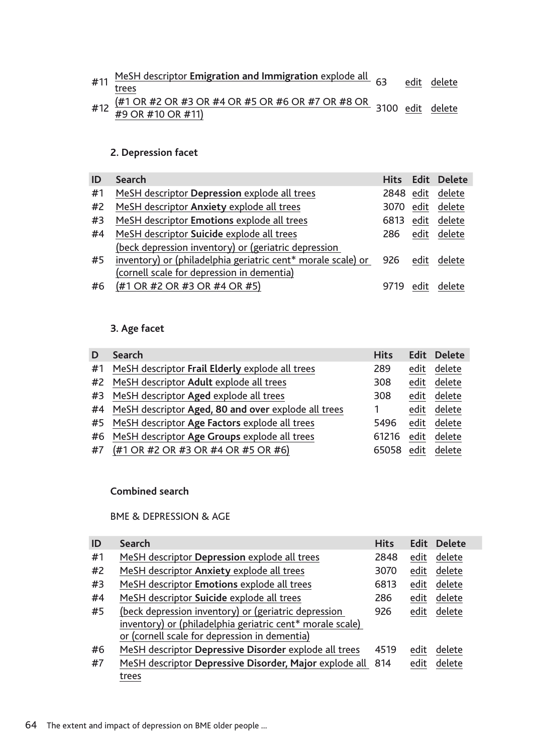|  | #11 MeSH descriptor Emigration and Immigration explode all 63 edit delete                                                                                                                                  |  |  |
|--|------------------------------------------------------------------------------------------------------------------------------------------------------------------------------------------------------------|--|--|
|  | trees                                                                                                                                                                                                      |  |  |
|  |                                                                                                                                                                                                            |  |  |
|  | #12 $\frac{(#1 \text{ OR }#2 \text{ OR }#3 \text{ OR }#4 \text{ OR }#5 \text{ OR }#6 \text{ OR }#7 \text{ OR }#8 \text{ OR }3100 \text{ edit }del =del = 12 \text{ A} + 12 \text{ OR }410 \text{ OR }411)$ |  |  |

# **2. Depression facet**

| ID | <b>Search</b>                                                |           |      | Hits Edit Delete |
|----|--------------------------------------------------------------|-----------|------|------------------|
| #1 | MeSH descriptor Depression explode all trees                 | 2848 edit |      | delete           |
| #2 | MeSH descriptor Anxiety explode all trees                    | 3070      | edit | delete           |
| #3 | MeSH descriptor Emotions explode all trees                   | 6813      | edit | delete           |
| #4 | MeSH descriptor Suicide explode all trees                    | 286       | edit | delete           |
|    | (beck depression inventory) or (geriatric depression         |           |      |                  |
| #5 | inventory) or (philadelphia geriatric cent* morale scale) or | 926       | edit | delete           |
|    | (cornell scale for depression in dementia)                   |           |      |                  |
| #6 | (#1 OR #2 OR #3 OR #4 OR #5)                                 | 9719      |      | delete           |

# **3. Age facet**

| D  | <b>Search</b>                                       | <b>Hits</b> |      | <b>Edit Delete</b> |
|----|-----------------------------------------------------|-------------|------|--------------------|
| #1 | MeSH descriptor Frail Elderly explode all trees     | 289         | edit | delete             |
| #2 | MeSH descriptor Adult explode all trees             | 308         | edit | delete             |
| #3 | MeSH descriptor Aged explode all trees              | 308         | edit | delete             |
| #4 | MeSH descriptor Aged, 80 and over explode all trees |             | edit | delete             |
|    | #5 MeSH descriptor Age Factors explode all trees    | 5496        | edit | delete             |
| #6 | MeSH descriptor Age Groups explode all trees        | 61216       | edit | delete             |
| #7 | (#1 OR #2 OR #3 OR #4 OR #5 OR #6)                  | 65058       | edit | delete             |

## **Combined search**

# BME & DEPRESSION & AGE

| ID | <b>Search</b>                                             | <b>Hits</b> |      | Edit Delete |
|----|-----------------------------------------------------------|-------------|------|-------------|
| #1 | MeSH descriptor Depression explode all trees              | 2848        | edit | delete      |
| #2 | MeSH descriptor Anxiety explode all trees                 | 3070        | edit | delete      |
| #3 | MeSH descriptor Emotions explode all trees                | 6813        | edit | delete      |
| #4 | MeSH descriptor Suicide explode all trees                 | 286         | edit | delete      |
| #5 | (beck depression inventory) or (geriatric depression      | 926         | edit | delete      |
|    | inventory) or (philadelphia geriatric cent* morale scale) |             |      |             |
|    | or (cornell scale for depression in dementia)             |             |      |             |
| #6 | MeSH descriptor Depressive Disorder explode all trees     | 4519        | edit | delete      |
| #7 | MeSH descriptor Depressive Disorder, Major explode all    | 814         | edit | delete      |
|    | trees                                                     |             |      |             |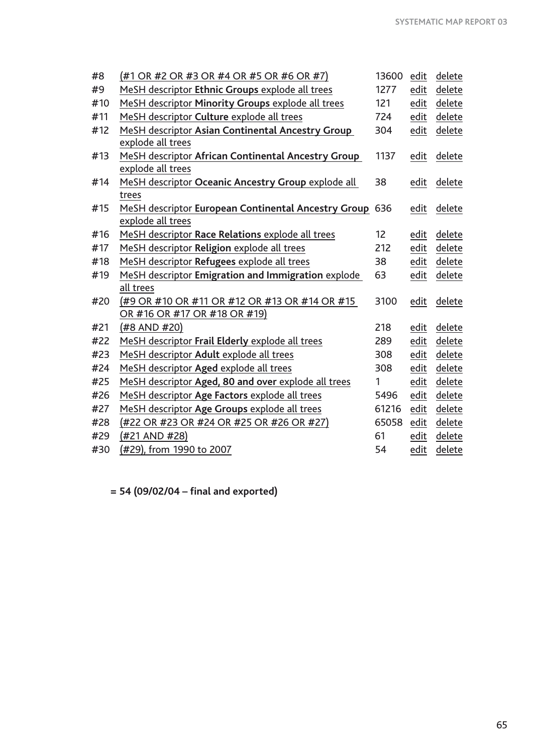| $(#1 \t{OR} #2 \t{OR} #3 \t{OR} #4 \t{OR} #5 \t{OR} #6 \t{OR} #7)$ | 13600                                                                                                                                                                                                                                                                                                                                                              | edit                                                          | delete |
|--------------------------------------------------------------------|--------------------------------------------------------------------------------------------------------------------------------------------------------------------------------------------------------------------------------------------------------------------------------------------------------------------------------------------------------------------|---------------------------------------------------------------|--------|
| MeSH descriptor Ethnic Groups explode all trees                    | 1277                                                                                                                                                                                                                                                                                                                                                               | edit                                                          | delete |
| MeSH descriptor Minority Groups explode all trees                  | 121                                                                                                                                                                                                                                                                                                                                                                | edit                                                          | delete |
| MeSH descriptor Culture explode all trees                          | 724                                                                                                                                                                                                                                                                                                                                                                | edit                                                          | delete |
| MeSH descriptor Asian Continental Ancestry Group                   | 304                                                                                                                                                                                                                                                                                                                                                                | edit                                                          | delete |
| explode all trees                                                  |                                                                                                                                                                                                                                                                                                                                                                    |                                                               |        |
| MeSH descriptor African Continental Ancestry Group                 | 1137                                                                                                                                                                                                                                                                                                                                                               | edit                                                          | delete |
| explode all trees                                                  |                                                                                                                                                                                                                                                                                                                                                                    |                                                               |        |
|                                                                    | 38                                                                                                                                                                                                                                                                                                                                                                 | edit                                                          | delete |
| trees                                                              |                                                                                                                                                                                                                                                                                                                                                                    |                                                               |        |
|                                                                    |                                                                                                                                                                                                                                                                                                                                                                    | edit                                                          | delete |
|                                                                    |                                                                                                                                                                                                                                                                                                                                                                    |                                                               |        |
|                                                                    |                                                                                                                                                                                                                                                                                                                                                                    | edit                                                          | delete |
|                                                                    | 212                                                                                                                                                                                                                                                                                                                                                                | edit                                                          | delete |
|                                                                    | 38                                                                                                                                                                                                                                                                                                                                                                 | edit                                                          | delete |
| MeSH descriptor Emigration and Immigration explode                 | 63                                                                                                                                                                                                                                                                                                                                                                 | edit                                                          | delete |
|                                                                    |                                                                                                                                                                                                                                                                                                                                                                    |                                                               |        |
| (#9 OR #10 OR #11 OR #12 OR #13 OR #14 OR #15                      | 3100                                                                                                                                                                                                                                                                                                                                                               | edit                                                          | delete |
|                                                                    |                                                                                                                                                                                                                                                                                                                                                                    |                                                               |        |
| (#8 AND #20)                                                       | 218                                                                                                                                                                                                                                                                                                                                                                | edit                                                          | delete |
|                                                                    | 289                                                                                                                                                                                                                                                                                                                                                                |                                                               | delete |
|                                                                    | 308                                                                                                                                                                                                                                                                                                                                                                | edit                                                          | delete |
| MeSH descriptor Aged explode all trees                             | 308                                                                                                                                                                                                                                                                                                                                                                | edit                                                          | delete |
| MeSH descriptor Aged, 80 and over explode all trees                | 1                                                                                                                                                                                                                                                                                                                                                                  | edit                                                          | delete |
| MeSH descriptor Age Factors explode all trees                      | 5496                                                                                                                                                                                                                                                                                                                                                               | edit                                                          | delete |
| MeSH descriptor Age Groups explode all trees                       | 61216                                                                                                                                                                                                                                                                                                                                                              | edit                                                          | delete |
| (#22 OR #23 OR #24 OR #25 OR #26 OR #27)                           | 65058                                                                                                                                                                                                                                                                                                                                                              | edit                                                          | delete |
| (#21 AND #28)                                                      | 61                                                                                                                                                                                                                                                                                                                                                                 | edit                                                          | delete |
| (#29), from 1990 to 2007                                           | 54                                                                                                                                                                                                                                                                                                                                                                 | edit                                                          | delete |
|                                                                    | MeSH descriptor Oceanic Ancestry Group explode all<br>explode all trees<br>MeSH descriptor Race Relations explode all trees<br>MeSH descriptor Religion explode all trees<br>MeSH descriptor Refugees explode all trees<br>all trees<br>OR #16 OR #17 OR #18 OR #19)<br>MeSH descriptor Frail Elderly explode all trees<br>MeSH descriptor Adult explode all trees | MeSH descriptor European Continental Ancestry Group 636<br>12 | edit   |

**= 54 (09/02/04 – final and exported)**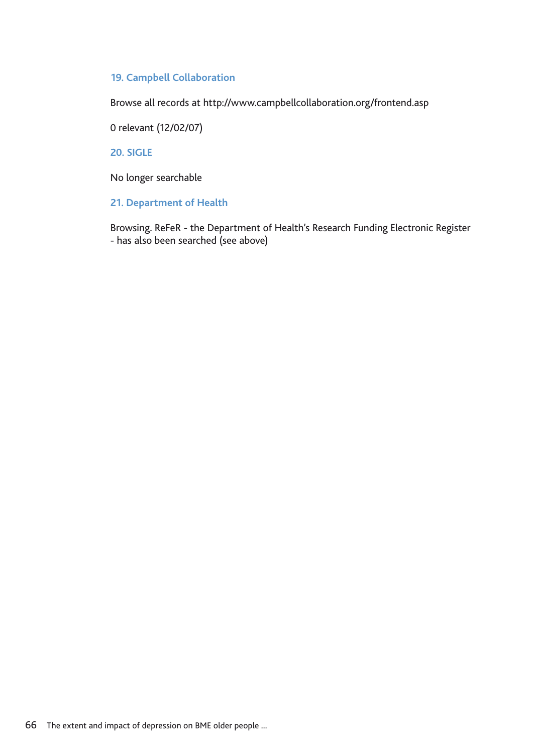#### **19. Campbell Collaboration**

Browse all records at http://www.campbellcollaboration.org/frontend.asp

0 relevant (12/02/07)

**20. SIGLE**

No longer searchable

#### **21. Department of Health**

Browsing. ReFeR - the Department of Health's Research Funding Electronic Register - has also been searched (see above)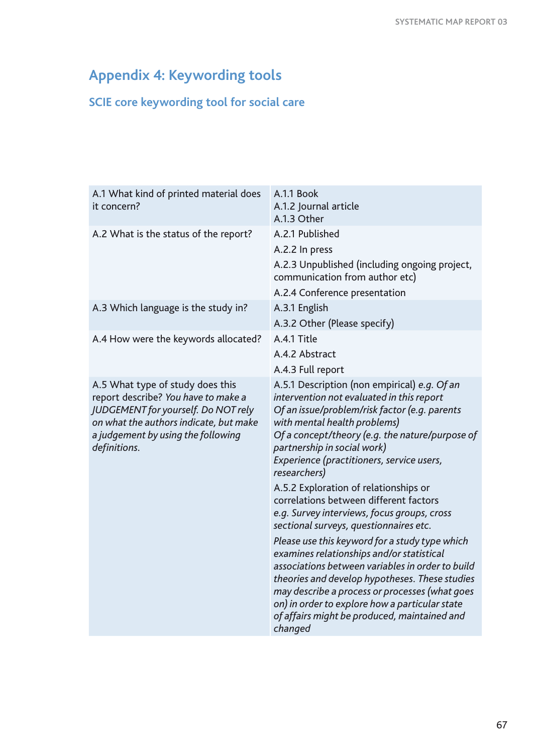# **Appendix 4: Keywording tools**

## **SCIE core keywording tool for social care**

| A.1 What kind of printed material does<br>it concern?                                                                                                                                                          | A.1.1 Book<br>A.1.2 Journal article<br>A.1.3 Other                                                                                                                                                                                                                                                                                                                                                                                                                                                                                                                                                                                                                                                                                                                                                                                                                        |
|----------------------------------------------------------------------------------------------------------------------------------------------------------------------------------------------------------------|---------------------------------------------------------------------------------------------------------------------------------------------------------------------------------------------------------------------------------------------------------------------------------------------------------------------------------------------------------------------------------------------------------------------------------------------------------------------------------------------------------------------------------------------------------------------------------------------------------------------------------------------------------------------------------------------------------------------------------------------------------------------------------------------------------------------------------------------------------------------------|
| A.2 What is the status of the report?                                                                                                                                                                          | A.2.1 Published<br>A.2.2 In press<br>A.2.3 Unpublished (including ongoing project,                                                                                                                                                                                                                                                                                                                                                                                                                                                                                                                                                                                                                                                                                                                                                                                        |
|                                                                                                                                                                                                                | communication from author etc)<br>A.2.4 Conference presentation                                                                                                                                                                                                                                                                                                                                                                                                                                                                                                                                                                                                                                                                                                                                                                                                           |
| A.3 Which language is the study in?                                                                                                                                                                            | A.3.1 English<br>A.3.2 Other (Please specify)                                                                                                                                                                                                                                                                                                                                                                                                                                                                                                                                                                                                                                                                                                                                                                                                                             |
| A.4 How were the keywords allocated?                                                                                                                                                                           | A.4.1 Title<br>A.4.2 Abstract<br>A.4.3 Full report                                                                                                                                                                                                                                                                                                                                                                                                                                                                                                                                                                                                                                                                                                                                                                                                                        |
| A.5 What type of study does this<br>report describe? You have to make a<br>JUDGEMENT for yourself. Do NOT rely<br>on what the authors indicate, but make<br>a judgement by using the following<br>definitions. | A.5.1 Description (non empirical) e.g. Of an<br>intervention not evaluated in this report<br>Of an issue/problem/risk factor (e.g. parents<br>with mental health problems)<br>Of a concept/theory (e.g. the nature/purpose of<br>partnership in social work)<br>Experience (practitioners, service users,<br>researchers)<br>A.5.2 Exploration of relationships or<br>correlations between different factors<br>e.g. Survey interviews, focus groups, cross<br>sectional surveys, questionnaires etc.<br>Please use this keyword for a study type which<br>examines relationships and/or statistical<br>associations between variables in order to build<br>theories and develop hypotheses. These studies<br>may describe a process or processes (what goes<br>on) in order to explore how a particular state<br>of affairs might be produced, maintained and<br>changed |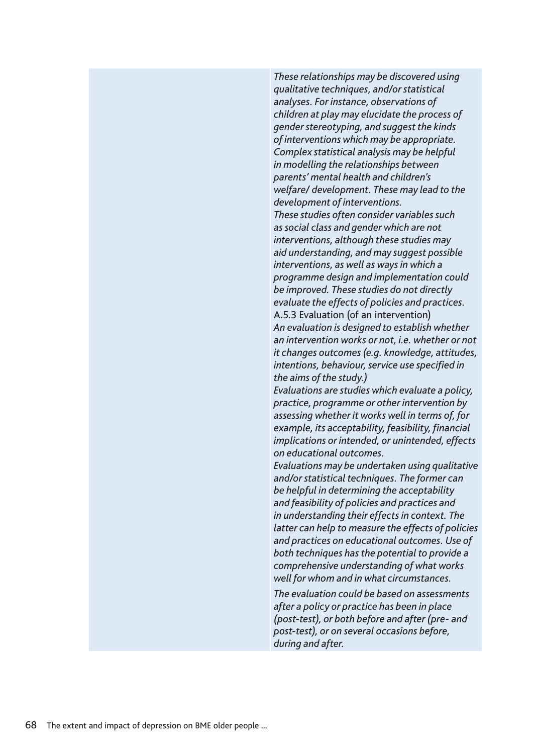*These relationships may be discovered using qualitative techniques, and/or statistical analyses. For instance, observations of children at play may elucidate the process of gender stereotyping, and suggest the kinds of interventions which may be appropriate. Complex statistical analysis may be helpful in modelling the relationships between parents' mental health and children's welfare/ development. These may lead to the development of interventions. These studies often consider variables such as social class and gender which are not interventions, although these studies may aid understanding, and may suggest possible interventions, as well as ways in which a programme design and implementation could be improved. These studies do not directly evaluate the effects of policies and practices.* A.5.3 Evaluation (of an intervention) *An evaluation is designed to establish whether an intervention works or not, i.e. whether or not it changes outcomes (e.g. knowledge, attitudes, intentions, behaviour, service use specified in the aims of the study.) Evaluations are studies which evaluate a policy,* 

*practice, programme or other intervention by assessing whether it works well in terms of, for example, its acceptability, feasibility, financial implications or intended, or unintended, effects on educational outcomes.*

*Evaluations may be undertaken using qualitative and/or statistical techniques. The former can be helpful in determining the acceptability and feasibility of policies and practices and in understanding their effects in context. The latter can help to measure the effects of policies and practices on educational outcomes. Use of both techniques has the potential to provide a comprehensive understanding of what works well for whom and in what circumstances.*

*The evaluation could be based on assessments after a policy or practice has been in place (post-test), or both before and after (pre- and post-test), or on several occasions before, during and after.*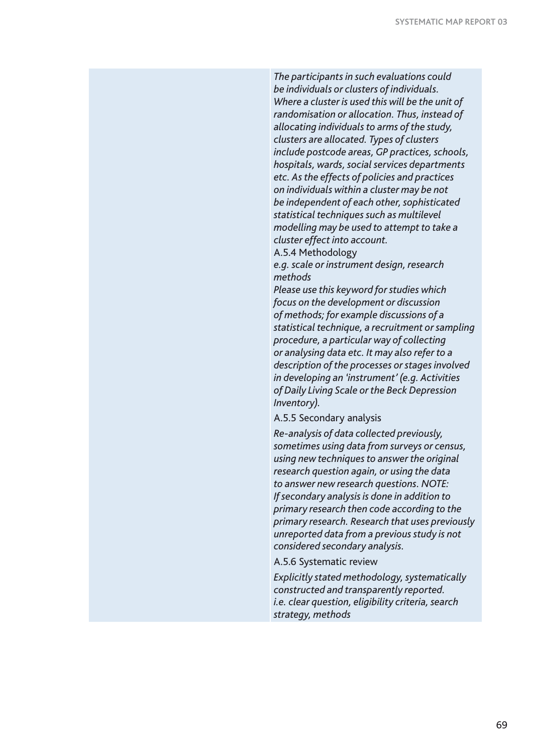*The participants in such evaluations could be individuals or clusters of individuals. Where a cluster is used this will be the unit of randomisation or allocation. Thus, instead of allocating individuals to arms of the study, clusters are allocated. Types of clusters include postcode areas, GP practices, schools, hospitals, wards, social services departments etc. As the effects of policies and practices on individuals within a cluster may be not be independent of each other, sophisticated statistical techniques such as multilevel modelling may be used to attempt to take a cluster effect into account.*

A.5.4 Methodology

*e.g. scale or instrument design, research methods*

*Please use this keyword for studies which focus on the development or discussion of methods; for example discussions of a statistical technique, a recruitment or sampling procedure, a particular way of collecting or analysing data etc. It may also refer to a description of the processes or stages involved in developing an 'instrument' (e.g. Activities of Daily Living Scale or the Beck Depression Inventory)*.

#### A.5.5 Secondary analysis

*Re-analysis of data collected previously, sometimes using data from surveys or census, using new techniques to answer the original research question again, or using the data to answer new research questions. NOTE: If secondary analysis is done in addition to primary research then code according to the primary research. Research that uses previously unreported data from a previous study is not considered secondary analysis.*

A.5.6 Systematic review

*Explicitly stated methodology, systematically constructed and transparently reported. i.e. clear question, eligibility criteria, search strategy, methods*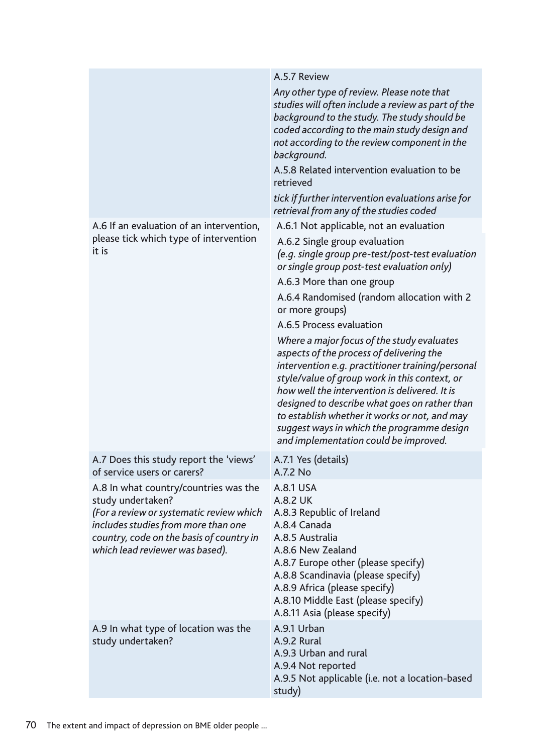|                                                                                                                                                                                                                              | A.5.7 Review                                                                                                                                                                                                                                                                                                                                                                                                                          |
|------------------------------------------------------------------------------------------------------------------------------------------------------------------------------------------------------------------------------|---------------------------------------------------------------------------------------------------------------------------------------------------------------------------------------------------------------------------------------------------------------------------------------------------------------------------------------------------------------------------------------------------------------------------------------|
|                                                                                                                                                                                                                              | Any other type of review. Please note that<br>studies will often include a review as part of the<br>background to the study. The study should be<br>coded according to the main study design and<br>not according to the review component in the<br>background.<br>A.5.8 Related intervention evaluation to be                                                                                                                        |
|                                                                                                                                                                                                                              | retrieved<br>tick if further intervention evaluations arise for                                                                                                                                                                                                                                                                                                                                                                       |
| A.6 If an evaluation of an intervention,                                                                                                                                                                                     | retrieval from any of the studies coded<br>A.6.1 Not applicable, not an evaluation                                                                                                                                                                                                                                                                                                                                                    |
| please tick which type of intervention<br>it is                                                                                                                                                                              | A.6.2 Single group evaluation<br>(e.g. single group pre-test/post-test evaluation<br>or single group post-test evaluation only)                                                                                                                                                                                                                                                                                                       |
|                                                                                                                                                                                                                              | A.6.3 More than one group                                                                                                                                                                                                                                                                                                                                                                                                             |
|                                                                                                                                                                                                                              | A.6.4 Randomised (random allocation with 2<br>or more groups)                                                                                                                                                                                                                                                                                                                                                                         |
|                                                                                                                                                                                                                              | A.6.5 Process evaluation                                                                                                                                                                                                                                                                                                                                                                                                              |
|                                                                                                                                                                                                                              | Where a major focus of the study evaluates<br>aspects of the process of delivering the<br>intervention e.g. practitioner training/personal<br>style/value of group work in this context, or<br>how well the intervention is delivered. It is<br>designed to describe what goes on rather than<br>to establish whether it works or not, and may<br>suggest ways in which the programme design<br>and implementation could be improved. |
| A.7 Does this study report the 'views'<br>of service users or carers?                                                                                                                                                        | A.7.1 Yes (details)<br>A.7.2 No                                                                                                                                                                                                                                                                                                                                                                                                       |
| A.8 In what country/countries was the<br>study undertaken?<br>(For a review or systematic review which<br>includes studies from more than one<br>country, code on the basis of country in<br>which lead reviewer was based). | A.8.1 USA<br><b>A.8.2 UK</b><br>A.8.3 Republic of Ireland<br>A.8.4 Canada<br>A.8.5 Australia<br>A.8.6 New Zealand<br>A.8.7 Europe other (please specify)<br>A.8.8 Scandinavia (please specify)<br>A.8.9 Africa (please specify)<br>A.8.10 Middle East (please specify)<br>A.8.11 Asia (please specify)                                                                                                                                |
| A.9 In what type of location was the<br>study undertaken?                                                                                                                                                                    | A.9.1 Urban<br>A.9.2 Rural<br>A.9.3 Urban and rural<br>A.9.4 Not reported<br>A.9.5 Not applicable (i.e. not a location-based<br>study)                                                                                                                                                                                                                                                                                                |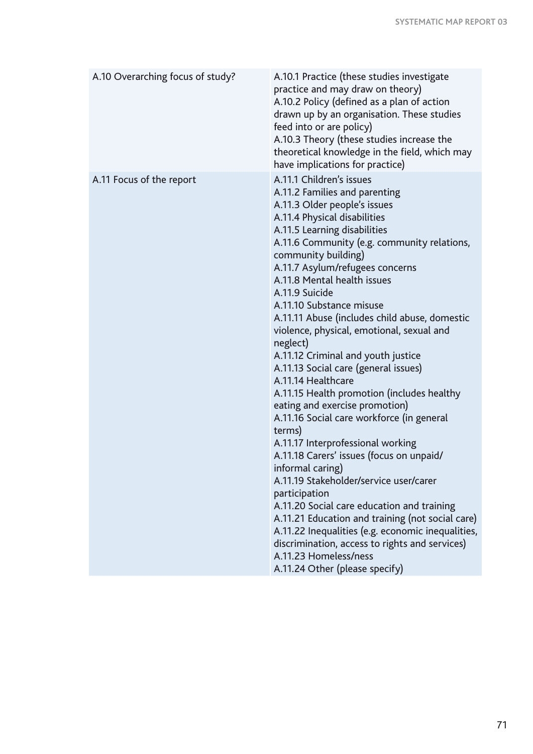| A.10 Overarching focus of study? | A.10.1 Practice (these studies investigate<br>practice and may draw on theory)<br>A.10.2 Policy (defined as a plan of action<br>drawn up by an organisation. These studies<br>feed into or are policy)<br>A.10.3 Theory (these studies increase the<br>theoretical knowledge in the field, which may<br>have implications for practice)                                                                                                                                                                                                                                                                                                                                                                                                                                                                                                                                                                                                                                                                                                                                                                                                  |
|----------------------------------|------------------------------------------------------------------------------------------------------------------------------------------------------------------------------------------------------------------------------------------------------------------------------------------------------------------------------------------------------------------------------------------------------------------------------------------------------------------------------------------------------------------------------------------------------------------------------------------------------------------------------------------------------------------------------------------------------------------------------------------------------------------------------------------------------------------------------------------------------------------------------------------------------------------------------------------------------------------------------------------------------------------------------------------------------------------------------------------------------------------------------------------|
| A.11 Focus of the report         | A.11.1 Children's issues<br>A.11.2 Families and parenting<br>A.11.3 Older people's issues<br>A.11.4 Physical disabilities<br>A.11.5 Learning disabilities<br>A.11.6 Community (e.g. community relations,<br>community building)<br>A.11.7 Asylum/refugees concerns<br>A.11.8 Mental health issues<br>A.11.9 Suicide<br>A.11.10 Substance misuse<br>A.11.11 Abuse (includes child abuse, domestic<br>violence, physical, emotional, sexual and<br>neglect)<br>A.11.12 Criminal and youth justice<br>A.11.13 Social care (general issues)<br>A.11.14 Healthcare<br>A.11.15 Health promotion (includes healthy<br>eating and exercise promotion)<br>A.11.16 Social care workforce (in general<br>terms)<br>A.11.17 Interprofessional working<br>A.11.18 Carers' issues (focus on unpaid/<br>informal caring)<br>A.11.19 Stakeholder/service user/carer<br>participation<br>A.11.20 Social care education and training<br>A.11.21 Education and training (not social care)<br>A.11.22 Inequalities (e.g. economic inequalities,<br>discrimination, access to rights and services)<br>A.11.23 Homeless/ness<br>A.11.24 Other (please specify) |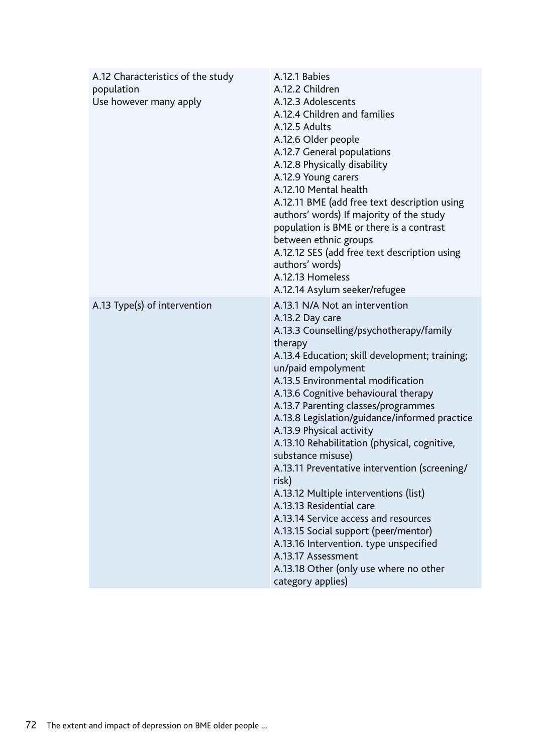| A.12 Characteristics of the study<br>population<br>Use however many apply | A.12.1 Babies<br>A.12.2 Children<br>A.12.3 Adolescents<br>A.12.4 Children and families<br>A.12.5 Adults<br>A.12.6 Older people<br>A.12.7 General populations<br>A.12.8 Physically disability<br>A.12.9 Young carers<br>A.12.10 Mental health<br>A.12.11 BME (add free text description using<br>authors' words) If majority of the study<br>population is BME or there is a contrast<br>between ethnic groups<br>A.12.12 SES (add free text description using<br>authors' words)<br>A.12.13 Homeless<br>A.12.14 Asylum seeker/refugee                                                                                                                                                                                                                                                               |
|---------------------------------------------------------------------------|-----------------------------------------------------------------------------------------------------------------------------------------------------------------------------------------------------------------------------------------------------------------------------------------------------------------------------------------------------------------------------------------------------------------------------------------------------------------------------------------------------------------------------------------------------------------------------------------------------------------------------------------------------------------------------------------------------------------------------------------------------------------------------------------------------|
| A.13 Type(s) of intervention                                              | A.13.1 N/A Not an intervention<br>A.13.2 Day care<br>A.13.3 Counselling/psychotherapy/family<br>therapy<br>A.13.4 Education; skill development; training;<br>un/paid empolyment<br>A.13.5 Environmental modification<br>A.13.6 Cognitive behavioural therapy<br>A.13.7 Parenting classes/programmes<br>A.13.8 Legislation/guidance/informed practice<br>A.13.9 Physical activity<br>A.13.10 Rehabilitation (physical, cognitive,<br>substance misuse)<br>A.13.11 Preventative intervention (screening/<br>risk)<br>A.13.12 Multiple interventions (list)<br>A.13.13 Residential care<br>A.13.14 Service access and resources<br>A.13.15 Social support (peer/mentor)<br>A.13.16 Intervention. type unspecified<br>A.13.17 Assessment<br>A.13.18 Other (only use where no other<br>category applies) |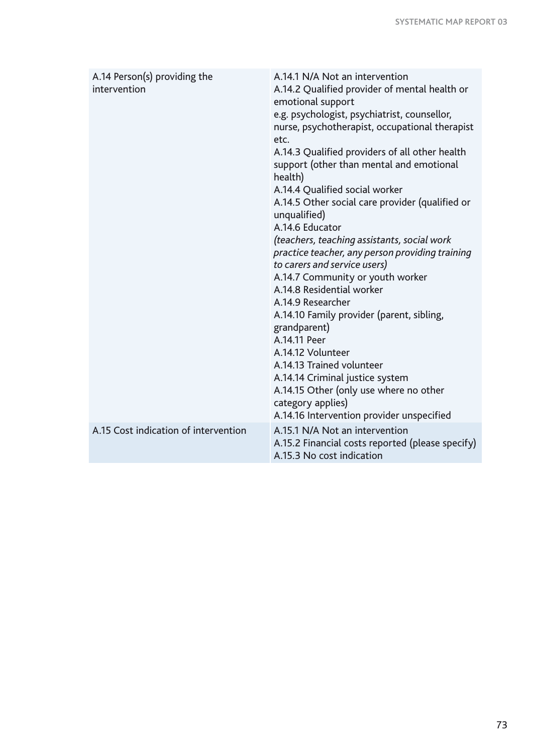| A.14 Person(s) providing the<br>intervention | A.14.1 N/A Not an intervention<br>A.14.2 Qualified provider of mental health or<br>emotional support<br>e.g. psychologist, psychiatrist, counsellor,<br>nurse, psychotherapist, occupational therapist<br>etc.<br>A.14.3 Qualified providers of all other health<br>support (other than mental and emotional<br>health)<br>A.14.4 Qualified social worker<br>A.14.5 Other social care provider (qualified or<br>unqualified)<br>A.14.6 Educator<br>(teachers, teaching assistants, social work<br>practice teacher, any person providing training<br>to carers and service users)<br>A.14.7 Community or youth worker<br>A.14.8 Residential worker<br>A.14.9 Researcher<br>A.14.10 Family provider (parent, sibling,<br>grandparent)<br>A.14.11 Peer<br>A.14.12 Volunteer<br>A.14.13 Trained volunteer<br>A.14.14 Criminal justice system<br>A.14.15 Other (only use where no other |
|----------------------------------------------|-------------------------------------------------------------------------------------------------------------------------------------------------------------------------------------------------------------------------------------------------------------------------------------------------------------------------------------------------------------------------------------------------------------------------------------------------------------------------------------------------------------------------------------------------------------------------------------------------------------------------------------------------------------------------------------------------------------------------------------------------------------------------------------------------------------------------------------------------------------------------------------|
|                                              | category applies)<br>A.14.16 Intervention provider unspecified                                                                                                                                                                                                                                                                                                                                                                                                                                                                                                                                                                                                                                                                                                                                                                                                                      |
| A.15 Cost indication of intervention         | A.15.1 N/A Not an intervention<br>A.15.2 Financial costs reported (please specify)<br>A.15.3 No cost indication                                                                                                                                                                                                                                                                                                                                                                                                                                                                                                                                                                                                                                                                                                                                                                     |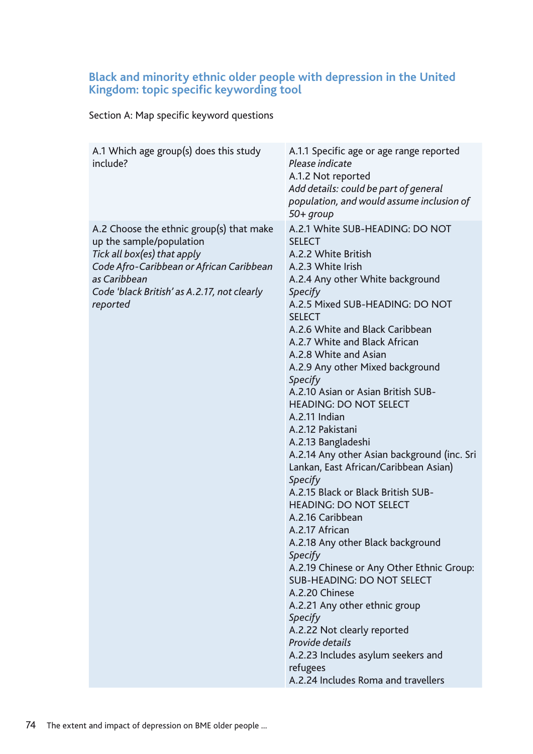### **Black and minority ethnic older people with depression in the United Kingdom: topic specific keywording tool**

Section A: Map specific keyword questions

| A.1 Which age group(s) does this study<br>include?                                                                                                                                                                         | A.1.1 Specific age or age range reported<br>Please indicate<br>A.1.2 Not reported<br>Add details: could be part of general<br>population, and would assume inclusion of<br>$50+$ group                                                                                                                                                                                                                                                                                                                                                                                                                                                                                                                                                                                                                                                                                                                                                                                                            |
|----------------------------------------------------------------------------------------------------------------------------------------------------------------------------------------------------------------------------|---------------------------------------------------------------------------------------------------------------------------------------------------------------------------------------------------------------------------------------------------------------------------------------------------------------------------------------------------------------------------------------------------------------------------------------------------------------------------------------------------------------------------------------------------------------------------------------------------------------------------------------------------------------------------------------------------------------------------------------------------------------------------------------------------------------------------------------------------------------------------------------------------------------------------------------------------------------------------------------------------|
| A.2 Choose the ethnic group(s) that make<br>up the sample/population<br>Tick all box(es) that apply<br>Code Afro-Caribbean or African Caribbean<br>as Caribbean<br>Code 'black British' as A.2.17, not clearly<br>reported | A.2.1 White SUB-HEADING: DO NOT<br><b>SELECT</b><br>A.2.2 White British<br>A.2.3 White Irish<br>A.2.4 Any other White background<br>Specify<br>A.2.5 Mixed SUB-HEADING: DO NOT<br><b>SELECT</b><br>A.2.6 White and Black Caribbean<br>A.2.7 White and Black African<br>A.2.8 White and Asian<br>A.2.9 Any other Mixed background<br>Specify<br>A.2.10 Asian or Asian British SUB-<br><b>HEADING: DO NOT SELECT</b><br>A.2.11 Indian<br>A.2.12 Pakistani<br>A.2.13 Bangladeshi<br>A.2.14 Any other Asian background (inc. Sri<br>Lankan, East African/Caribbean Asian)<br>Specify<br>A.2.15 Black or Black British SUB-<br><b>HEADING: DO NOT SELECT</b><br>A.2.16 Caribbean<br>A.2.17 African<br>A.2.18 Any other Black background<br>Specify<br>A.2.19 Chinese or Any Other Ethnic Group:<br><b>SUB-HEADING: DO NOT SELECT</b><br>A.2.20 Chinese<br>A.2.21 Any other ethnic group<br>Specify<br>A.2.22 Not clearly reported<br>Provide details<br>A.2.23 Includes asylum seekers and<br>refugees |
|                                                                                                                                                                                                                            | A.2.24 Includes Roma and travellers                                                                                                                                                                                                                                                                                                                                                                                                                                                                                                                                                                                                                                                                                                                                                                                                                                                                                                                                                               |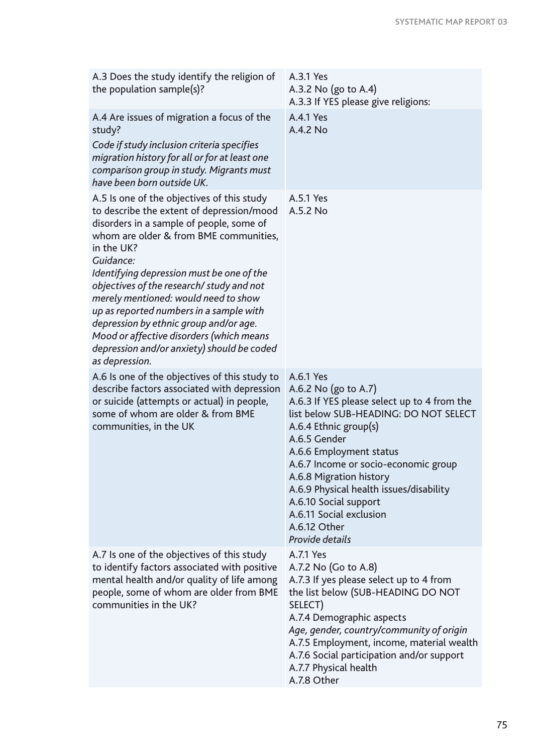| A.3 Does the study identify the religion of<br>the population sample(s)?                                                                                                                                                                                                                                                                                                                                                                                                                                                                    | A.3.1 Yes<br>A.3.2 No $(g_0 \text{ to } A.4)$<br>A.3.3 If YES please give religions:                                                                                                                                                                                                                                                                                                               |
|---------------------------------------------------------------------------------------------------------------------------------------------------------------------------------------------------------------------------------------------------------------------------------------------------------------------------------------------------------------------------------------------------------------------------------------------------------------------------------------------------------------------------------------------|----------------------------------------------------------------------------------------------------------------------------------------------------------------------------------------------------------------------------------------------------------------------------------------------------------------------------------------------------------------------------------------------------|
| A.4 Are issues of migration a focus of the<br>study?<br>Code if study inclusion criteria specifies<br>migration history for all or for at least one<br>comparison group in study. Migrants must<br>have been born outside UK.                                                                                                                                                                                                                                                                                                               | A.4.1 Yes<br>A.4.2 No                                                                                                                                                                                                                                                                                                                                                                              |
| A.5 Is one of the objectives of this study<br>to describe the extent of depression/mood<br>disorders in a sample of people, some of<br>whom are older & from BME communities,<br>in the UK?<br>Guidance:<br>Identifying depression must be one of the<br>objectives of the research/ study and not<br>merely mentioned: would need to show<br>up as reported numbers in a sample with<br>depression by ethnic group and/or age.<br>Mood or affective disorders (which means<br>depression and/or anxiety) should be coded<br>as depression. | A.5.1 Yes<br>A.5.2 No                                                                                                                                                                                                                                                                                                                                                                              |
| A.6 Is one of the objectives of this study to<br>describe factors associated with depression<br>or suicide (attempts or actual) in people,<br>some of whom are older & from BME<br>communities, in the UK                                                                                                                                                                                                                                                                                                                                   | A.6.1 Yes<br>A.6.2 No (go to A.7)<br>A.6.3 If YES please select up to 4 from the<br>list below SUB-HEADING: DO NOT SELECT<br>A.6.4 Ethnic group(s)<br>A.6.5 Gender<br>A.6.6 Employment status<br>A.6.7 Income or socio-economic group<br>A.6.8 Migration history<br>A.6.9 Physical health issues/disability<br>A.6.10 Social support<br>A.6.11 Social exclusion<br>A.6.12 Other<br>Provide details |
| A.7 Is one of the objectives of this study<br>to identify factors associated with positive<br>mental health and/or quality of life among<br>people, some of whom are older from BME<br>communities in the UK?                                                                                                                                                                                                                                                                                                                               | A.7.1 Yes<br>A.7.2 No (Go to A.8)<br>A.7.3 If yes please select up to 4 from<br>the list below (SUB-HEADING DO NOT<br>SELECT)<br>A.7.4 Demographic aspects<br>Age, gender, country/community of origin<br>A.7.5 Employment, income, material wealth<br>A.7.6 Social participation and/or support<br>A.7.7 Physical health<br>A.7.8 Other                                                           |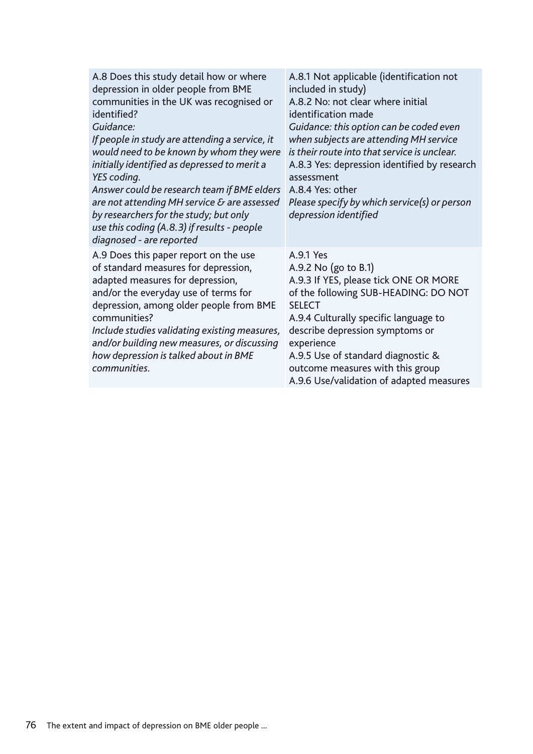| A.8 Does this study detail how or where<br>depression in older people from BME<br>communities in the UK was recognised or<br>identified?<br>Guidance:<br>If people in study are attending a service, it<br>would need to be known by whom they were<br>initially identified as depressed to merit a<br>YES coding.<br>Answer could be research team if BME elders<br>are not attending MH service & are assessed<br>by researchers for the study; but only<br>use this coding (A.8.3) if results - people<br>diagnosed - are reported | A.8.1 Not applicable (identification not<br>included in study)<br>A.8.2 No: not clear where initial<br>identification made<br>Guidance: this option can be coded even<br>when subjects are attending MH service<br>is their route into that service is unclear.<br>A.8.3 Yes: depression identified by research<br>assessment<br>A.8.4 Yes: other<br>Please specify by which service(s) or person<br>depression identified |
|---------------------------------------------------------------------------------------------------------------------------------------------------------------------------------------------------------------------------------------------------------------------------------------------------------------------------------------------------------------------------------------------------------------------------------------------------------------------------------------------------------------------------------------|----------------------------------------------------------------------------------------------------------------------------------------------------------------------------------------------------------------------------------------------------------------------------------------------------------------------------------------------------------------------------------------------------------------------------|
| A.9 Does this paper report on the use<br>of standard measures for depression,<br>adapted measures for depression,<br>and/or the everyday use of terms for<br>depression, among older people from BME<br>communities?<br>Include studies validating existing measures,<br>and/or building new measures, or discussing<br>how depression is talked about in BME<br>communities.                                                                                                                                                         | A.9.1 Yes<br>A.9.2 No $(g_0 \text{ to } B.1)$<br>A.9.3 If YES, please tick ONE OR MORE<br>of the following SUB-HEADING: DO NOT<br><b>SELECT</b><br>A.9.4 Culturally specific language to<br>describe depression symptoms or<br>experience<br>A.9.5 Use of standard diagnostic &<br>outcome measures with this group<br>A.9.6 Use/validation of adapted measures                                                            |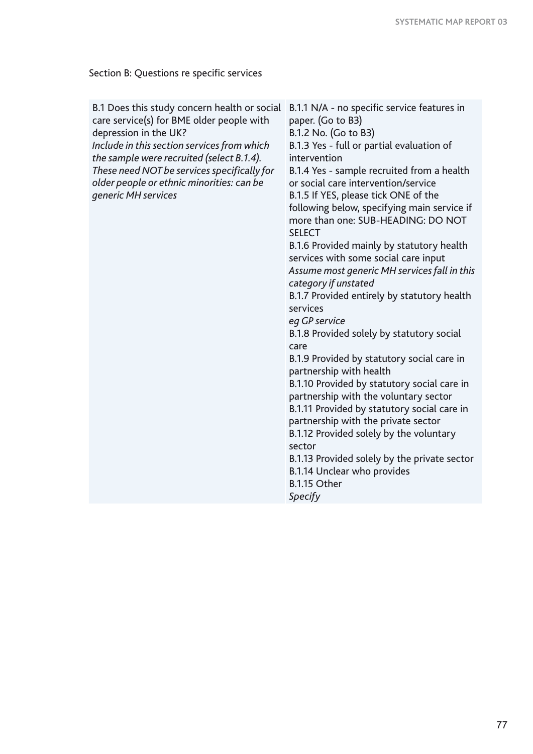Section B: Questions re specific services

| B.1 Does this study concern health or social | B.1.1 N/A - no specific service features in  |
|----------------------------------------------|----------------------------------------------|
| care service(s) for BME older people with    | paper. (Go to B3)                            |
| depression in the UK?                        | B.1.2 No. (Go to B3)                         |
| Include in this section services from which  | B.1.3 Yes - full or partial evaluation of    |
| the sample were recruited (select B.1.4).    | intervention                                 |
| These need NOT be services specifically for  | B.1.4 Yes - sample recruited from a health   |
| older people or ethnic minorities: can be    | or social care intervention/service          |
| generic MH services                          | B.1.5 If YES, please tick ONE of the         |
|                                              | following below, specifying main service if  |
|                                              | more than one: SUB-HEADING: DO NOT           |
|                                              | <b>SELECT</b>                                |
|                                              | B.1.6 Provided mainly by statutory health    |
|                                              | services with some social care input         |
|                                              | Assume most generic MH services fall in this |
|                                              | category if unstated                         |
|                                              | B.1.7 Provided entirely by statutory health  |
|                                              | services                                     |
|                                              | eq GP service                                |
|                                              | B.1.8 Provided solely by statutory social    |
|                                              | care                                         |
|                                              | B.1.9 Provided by statutory social care in   |
|                                              | partnership with health                      |
|                                              | B.1.10 Provided by statutory social care in  |
|                                              | partnership with the voluntary sector        |
|                                              | B.1.11 Provided by statutory social care in  |
|                                              | partnership with the private sector          |
|                                              | B.1.12 Provided solely by the voluntary      |
|                                              | sector                                       |
|                                              | B.1.13 Provided solely by the private sector |
|                                              | B.1.14 Unclear who provides                  |
|                                              | B.1.15 Other                                 |
|                                              | Specify                                      |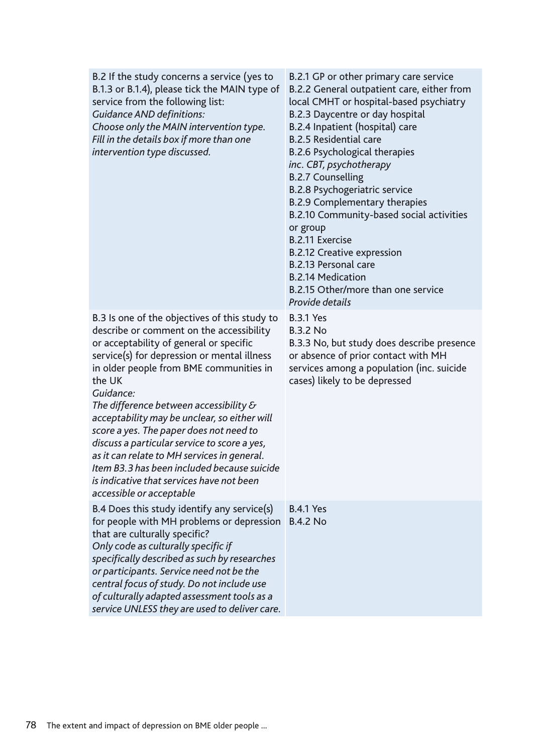| B.2 If the study concerns a service (yes to<br>B.1.3 or B.1.4), please tick the MAIN type of<br>service from the following list:<br><b>Guidance AND definitions:</b><br>Choose only the MAIN intervention type.<br>Fill in the details box if more than one<br>intervention type discussed.                                                                                                                                                                                                                                                                                                                              | B.2.1 GP or other primary care service<br>B.2.2 General outpatient care, either from<br>local CMHT or hospital-based psychiatry<br>B.2.3 Daycentre or day hospital<br>B.2.4 Inpatient (hospital) care<br><b>B.2.5 Residential care</b><br><b>B.2.6 Psychological therapies</b><br>inc. CBT, psychotherapy<br><b>B.2.7 Counselling</b><br><b>B.2.8 Psychogeriatric service</b><br><b>B.2.9 Complementary therapies</b><br>B.2.10 Community-based social activities<br>or group<br><b>B.2.11 Exercise</b><br><b>B.2.12 Creative expression</b><br>B.2.13 Personal care<br><b>B.2.14 Medication</b><br>B.2.15 Other/more than one service<br>Provide details |
|--------------------------------------------------------------------------------------------------------------------------------------------------------------------------------------------------------------------------------------------------------------------------------------------------------------------------------------------------------------------------------------------------------------------------------------------------------------------------------------------------------------------------------------------------------------------------------------------------------------------------|-----------------------------------------------------------------------------------------------------------------------------------------------------------------------------------------------------------------------------------------------------------------------------------------------------------------------------------------------------------------------------------------------------------------------------------------------------------------------------------------------------------------------------------------------------------------------------------------------------------------------------------------------------------|
| B.3 Is one of the objectives of this study to<br>describe or comment on the accessibility<br>or acceptability of general or specific<br>service(s) for depression or mental illness<br>in older people from BME communities in<br>the UK<br>Guidance:<br>The difference between accessibility $\delta$<br>acceptability may be unclear, so either will<br>score a yes. The paper does not need to<br>discuss a particular service to score a yes,<br>as it can relate to MH services in general.<br>Item B3.3 has been included because suicide<br>is indicative that services have not been<br>accessible or acceptable | <b>B.3.1 Yes</b><br><b>B.3.2 No</b><br>B.3.3 No, but study does describe presence<br>or absence of prior contact with MH<br>services among a population (inc. suicide<br>cases) likely to be depressed                                                                                                                                                                                                                                                                                                                                                                                                                                                    |
| B.4 Does this study identify any service(s)<br>for people with MH problems or depression<br>that are culturally specific?<br>Only code as culturally specific if<br>specifically described as such by researches<br>or participants. Service need not be the<br>central focus of study. Do not include use<br>of culturally adapted assessment tools as a<br>service UNLESS they are used to deliver care.                                                                                                                                                                                                               | <b>B.4.1 Yes</b><br><b>B.4.2 No</b>                                                                                                                                                                                                                                                                                                                                                                                                                                                                                                                                                                                                                       |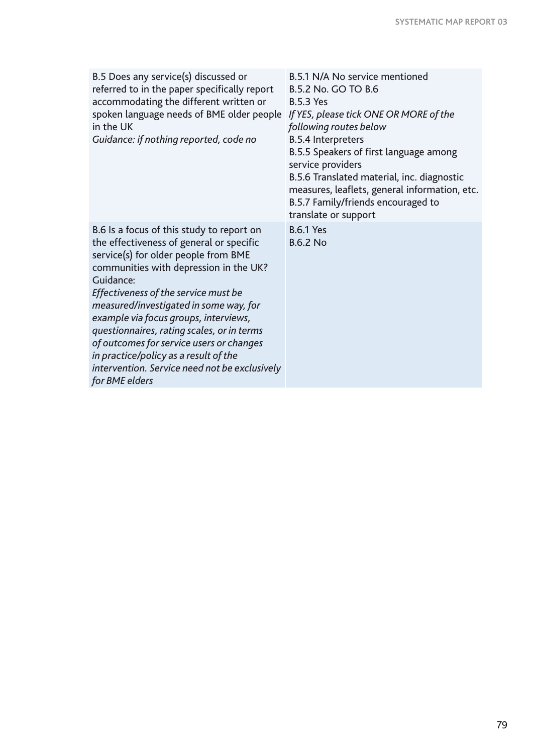| B.5 Does any service(s) discussed or<br>referred to in the paper specifically report<br>accommodating the different written or<br>spoken language needs of BME older people<br>in the UK<br>Guidance: if nothing reported, code no                                                                                                                                                                                                                                                                                    | B.5.1 N/A No service mentioned<br>B.5.2 No. GO TO B.6<br><b>B.5.3 Yes</b><br>If YES, please tick ONE OR MORE of the<br>following routes below<br><b>B.5.4 Interpreters</b><br>B.5.5 Speakers of first language among<br>service providers<br>B.5.6 Translated material, inc. diagnostic<br>measures, leaflets, general information, etc.<br>B.5.7 Family/friends encouraged to<br>translate or support |
|-----------------------------------------------------------------------------------------------------------------------------------------------------------------------------------------------------------------------------------------------------------------------------------------------------------------------------------------------------------------------------------------------------------------------------------------------------------------------------------------------------------------------|--------------------------------------------------------------------------------------------------------------------------------------------------------------------------------------------------------------------------------------------------------------------------------------------------------------------------------------------------------------------------------------------------------|
| B.6 Is a focus of this study to report on<br>the effectiveness of general or specific<br>service(s) for older people from BME<br>communities with depression in the UK?<br>Guidance:<br>Effectiveness of the service must be<br>measured/investigated in some way, for<br>example via focus groups, interviews,<br>questionnaires, rating scales, or in terms<br>of outcomes for service users or changes<br>in practice/policy as a result of the<br>intervention. Service need not be exclusively<br>for BME elders | <b>B.6.1 Yes</b><br><b>B.6.2 No</b>                                                                                                                                                                                                                                                                                                                                                                    |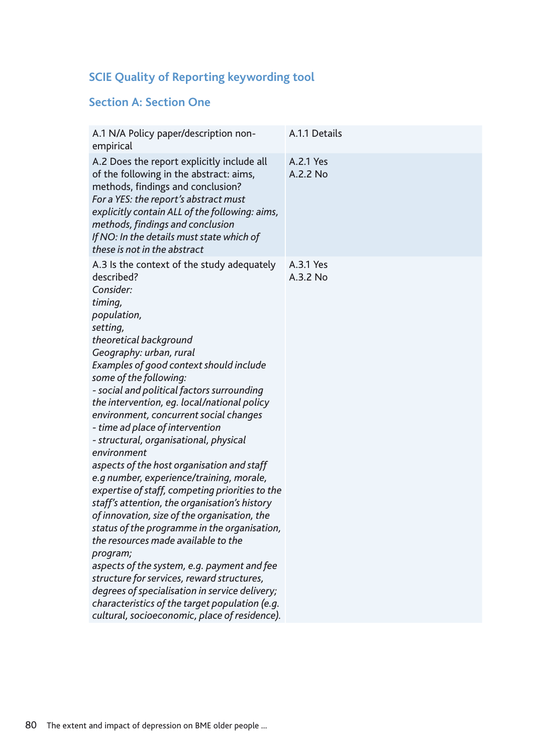## **SCIE Quality of Reporting keywording tool**

### **Section A: Section One**

| A.1 N/A Policy paper/description non-<br>empirical                                                                                                                                                                                                                                                                                                                                                                                                                                                                                                                                                                                                                                                                                                                                                                                                                                                                                                                                                                                                                          | A.1.1 Details         |
|-----------------------------------------------------------------------------------------------------------------------------------------------------------------------------------------------------------------------------------------------------------------------------------------------------------------------------------------------------------------------------------------------------------------------------------------------------------------------------------------------------------------------------------------------------------------------------------------------------------------------------------------------------------------------------------------------------------------------------------------------------------------------------------------------------------------------------------------------------------------------------------------------------------------------------------------------------------------------------------------------------------------------------------------------------------------------------|-----------------------|
| A.2 Does the report explicitly include all<br>of the following in the abstract: aims,<br>methods, findings and conclusion?<br>For a YES: the report's abstract must<br>explicitly contain ALL of the following: aims,<br>methods, findings and conclusion<br>If NO: In the details must state which of<br>these is not in the abstract                                                                                                                                                                                                                                                                                                                                                                                                                                                                                                                                                                                                                                                                                                                                      | A.2.1 Yes<br>A.2.2 No |
| A.3 Is the context of the study adequately<br>described?<br>Consider:<br>timing,<br>population,<br>setting,<br>theoretical background<br>Geography: urban, rural<br>Examples of good context should include<br>some of the following:<br>- social and political factors surrounding<br>the intervention, eg. local/national policy<br>environment, concurrent social changes<br>- time ad place of intervention<br>- structural, organisational, physical<br>environment<br>aspects of the host organisation and staff<br>e.g number, experience/training, morale,<br>expertise of staff, competing priorities to the<br>staff's attention, the organisation's history<br>of innovation, size of the organisation, the<br>status of the programme in the organisation,<br>the resources made available to the<br>program;<br>aspects of the system, e.g. payment and fee<br>structure for services, reward structures,<br>degrees of specialisation in service delivery;<br>characteristics of the target population (e.g.<br>cultural, socioeconomic, place of residence). | A.3.1 Yes<br>A.3.2 No |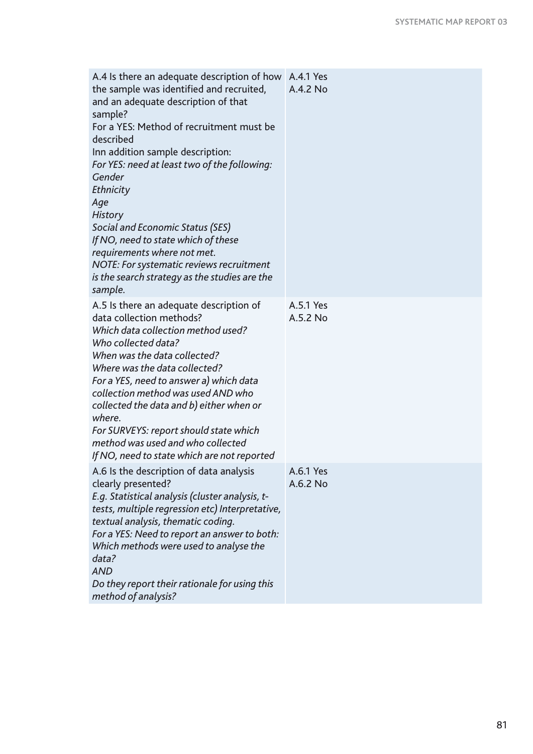| A.4 Is there an adequate description of how<br>the sample was identified and recruited,<br>and an adequate description of that<br>sample?<br>For a YES: Method of recruitment must be<br>described<br>Inn addition sample description:<br>For YES: need at least two of the following:<br>Gender<br>Ethnicity<br>Age<br><b>History</b><br>Social and Economic Status (SES)<br>If NO, need to state which of these<br>requirements where not met.<br>NOTE: For systematic reviews recruitment<br>is the search strategy as the studies are the<br>sample. | A.4.1 Yes<br>A.4.2 No |
|----------------------------------------------------------------------------------------------------------------------------------------------------------------------------------------------------------------------------------------------------------------------------------------------------------------------------------------------------------------------------------------------------------------------------------------------------------------------------------------------------------------------------------------------------------|-----------------------|
| A.5 Is there an adequate description of<br>data collection methods?<br>Which data collection method used?<br>Who collected data?<br>When was the data collected?<br>Where was the data collected?<br>For a YES, need to answer a) which data<br>collection method was used AND who<br>collected the data and b) either when or<br>where.<br>For SURVEYS: report should state which<br>method was used and who collected<br>If NO, need to state which are not reported                                                                                   | A.5.1 Yes<br>A.5.2 No |
| A.6 Is the description of data analysis<br>clearly presented?<br>E.g. Statistical analysis (cluster analysis, t-<br>tests, multiple regression etc) Interpretative,<br>textual analysis, thematic coding.<br>For a YES: Need to report an answer to both:<br>Which methods were used to analyse the<br>data?<br><b>AND</b><br>Do they report their rationale for using this<br>method of analysis?                                                                                                                                                       | A.6.1 Yes<br>A.6.2 No |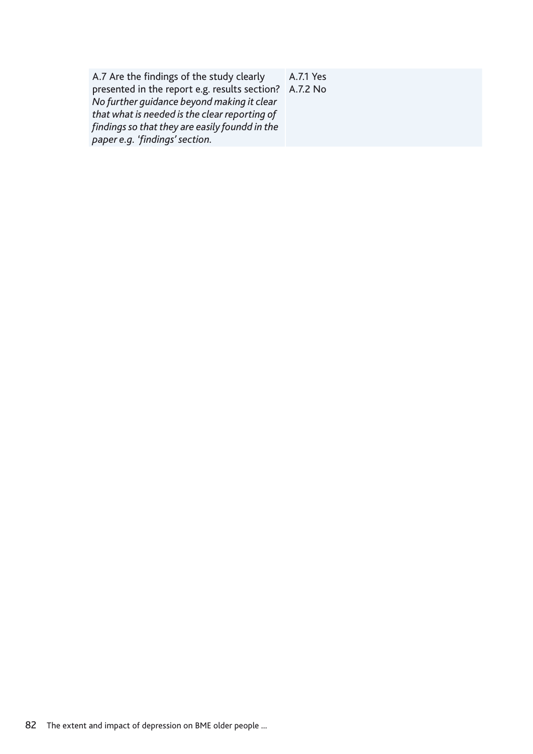A.7 Are the findings of the study clearly presented in the report e.g. results section? A.7.2 No*No further guidance beyond making it clear that what is needed is the clear reporting of findings so that they are easily foundd in the paper e.g. 'findings' section.*

A.7.1 Yes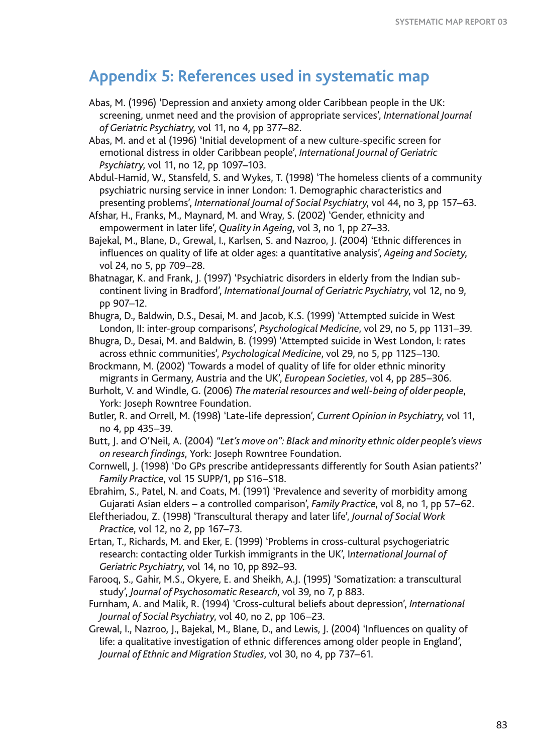## **Appendix 5: References used in systematic map**

- Abas, M. (1996) 'Depression and anxiety among older Caribbean people in the UK: screening, unmet need and the provision of appropriate services', *International Journal of Geriatric Psychiatry*, vol 11, no 4, pp 377–82.
- Abas, M. and et al (1996) 'Initial development of a new culture-specific screen for emotional distress in older Caribbean people', *International Journal of Geriatric Psychiatry*, vol 11, no 12, pp 1097–103.
- Abdul-Hamid, W., Stansfeld, S. and Wykes, T. (1998) 'The homeless clients of a community psychiatric nursing service in inner London: 1. Demographic characteristics and presenting problems', *International Journal of Social Psychiatry*, vol 44, no 3, pp 157–63.
- Afshar, H., Franks, M., Maynard, M. and Wray, S. (2002) 'Gender, ethnicity and empowerment in later life', *Quality in Ageing*, vol 3, no 1, pp 27–33.
- Bajekal, M., Blane, D., Grewal, I., Karlsen, S. and Nazroo, J. (2004) 'Ethnic differences in influences on quality of life at older ages: a quantitative analysis', *Ageing and Society*, vol 24, no 5, pp 709–28.
- Bhatnagar, K. and Frank, J. (1997) 'Psychiatric disorders in elderly from the Indian subcontinent living in Bradford', *International Journal of Geriatric Psychiatry*, vol 12, no 9, pp 907–12.
- Bhugra, D., Baldwin, D.S., Desai, M. and Jacob, K.S. (1999) 'Attempted suicide in West London, II: inter-group comparisons', *Psychological Medicine*, vol 29, no 5, pp 1131–39.
- Bhugra, D., Desai, M. and Baldwin, B. (1999) 'Attempted suicide in West London, I: rates across ethnic communities', *Psychological Medicine*, vol 29, no 5, pp 1125–130.
- Brockmann, M. (2002) 'Towards a model of quality of life for older ethnic minority migrants in Germany, Austria and the UK', *European Societies*, vol 4, pp 285–306.
- Burholt, V. and Windle, G. (2006) *The material resources and well-being of older people*, York: Joseph Rowntree Foundation.
- Butler, R. and Orrell, M. (1998) 'Late-life depression', *Current Opinion in Psychiatry*, vol 11, no 4, pp 435–39.
- Butt, J. and O'Neil, A. (2004) *"Let's move on": Black and minority ethnic older people's views on research findings*, York: Joseph Rowntree Foundation.
- Cornwell, J. (1998) 'Do GPs prescribe antidepressants differently for South Asian patients?' *Family Practice*, vol 15 SUPP/1, pp S16–S18.
- Ebrahim, S., Patel, N. and Coats, M. (1991) 'Prevalence and severity of morbidity among Gujarati Asian elders – a controlled comparison', *Family Practice*, vol 8, no 1, pp 57–62.
- Eleftheriadou, Z. (1998) 'Transcultural therapy and later life', *Journal of Social Work Practice*, vol 12, no 2, pp 167–73.
- Ertan, T., Richards, M. and Eker, E. (1999) 'Problems in cross-cultural psychogeriatric research: contacting older Turkish immigrants in the UK', I*nternational Journal of Geriatric Psychiatry*, vol 14, no 10, pp 892–93.
- Farooq, S., Gahir, M.S., Okyere, E. and Sheikh, A.J. (1995) 'Somatization: a transcultural study', *Journal of Psychosomatic Research*, vol 39, no 7, p 883.
- Furnham, A. and Malik, R. (1994) 'Cross-cultural beliefs about depression', *International Journal of Social Psychiatry*, vol 40, no 2, pp 106–23.
- Grewal, I., Nazroo, J., Bajekal, M., Blane, D., and Lewis, J. (2004) 'Influences on quality of life: a qualitative investigation of ethnic differences among older people in England', *Journal of Ethnic and Migration Studies*, vol 30, no 4, pp 737–61.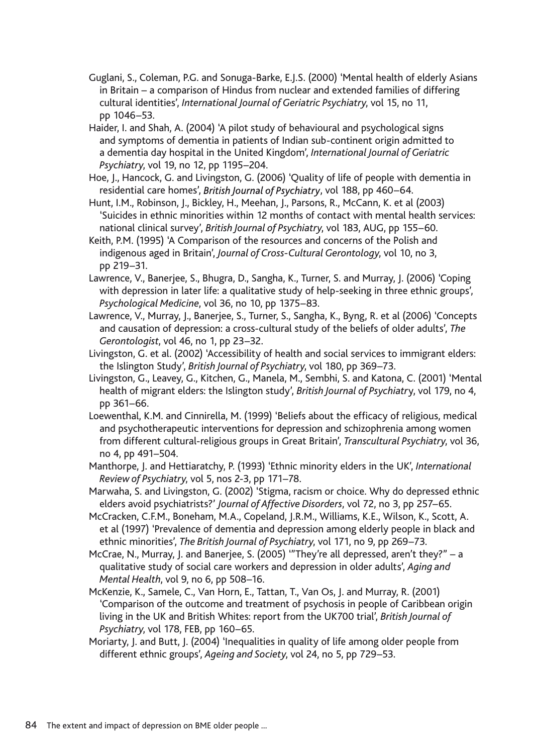- Guglani, S., Coleman, P.G. and Sonuga-Barke, E.J.S. (2000) 'Mental health of elderly Asians in Britain – a comparison of Hindus from nuclear and extended families of differing cultural identities', *International Journal of Geriatric Psychiatry*, vol 15, no 11, pp 1046–53.
- Haider, I. and Shah, A. (2004) 'A pilot study of behavioural and psychological signs and symptoms of dementia in patients of Indian sub-continent origin admitted to a dementia day hospital in the United Kingdom', *International Journal of Geriatric Psychiatry*, vol 19, no 12, pp 1195–204.
- Hoe, J., Hancock, G. and Livingston, G. (2006) 'Quality of life of people with dementia in residential care homes', British Journal of Psychiatry, vol 188, pp 460-64.
- Hunt, I.M., Robinson, J., Bickley, H., Meehan, J., Parsons, R., McCann, K. et al (2003) 'Suicides in ethnic minorities within 12 months of contact with mental health services: national clinical survey', *British Journal of Psychiatry*, vol 183, AUG, pp 155–60.
- Keith, P.M. (1995) 'A Comparison of the resources and concerns of the Polish and indigenous aged in Britain', *Journal of Cross-Cultural Gerontology*, vol 10, no 3, pp 219–31.
- Lawrence, V., Banerjee, S., Bhugra, D., Sangha, K., Turner, S. and Murray, J. (2006) 'Coping with depression in later life: a qualitative study of help-seeking in three ethnic groups', *Psychological Medicine*, vol 36, no 10, pp 1375–83.
- Lawrence, V., Murray, J., Banerjee, S., Turner, S., Sangha, K., Byng, R. et al (2006) 'Concepts and causation of depression: a cross-cultural study of the beliefs of older adults', *The Gerontologist*, vol 46, no 1, pp 23–32.
- Livingston, G. et al. (2002) 'Accessibility of health and social services to immigrant elders: the Islington Study', *British Journal of Psychiatry*, vol 180, pp 369–73.
- Livingston, G., Leavey, G., Kitchen, G., Manela, M., Sembhi, S. and Katona, C. (2001) 'Mental health of migrant elders: the Islington study', *British Journal of Psychiatr*y, vol 179, no 4, pp 361–66.
- Loewenthal, K.M. and Cinnirella, M. (1999) 'Beliefs about the efficacy of religious, medical and psychotherapeutic interventions for depression and schizophrenia among women from different cultural-religious groups in Great Britain', *Transcultural Psychiatry*, vol 36, no 4, pp 491–504.
- Manthorpe, J. and Hettiaratchy, P. (1993) 'Ethnic minority elders in the UK', *International Review of Psychiatry*, vol 5, nos 2-3, pp 171–78.
- Marwaha, S. and Livingston, G. (2002) 'Stigma, racism or choice. Why do depressed ethnic elders avoid psychiatrists?' *Journal of Affective Disorders*, vol 72, no 3, pp 257–65.
- McCracken, C.F.M., Boneham, M.A., Copeland, J.R.M., Williams, K.E., Wilson, K., Scott, A. et al (1997) 'Prevalence of dementia and depression among elderly people in black and ethnic minorities', *The British Journal of Psychiatry*, vol 171, no 9, pp 269–73.
- McCrae, N., Murray, J. and Banerjee, S. (2005) '"They're all depressed, aren't they?" a qualitative study of social care workers and depression in older adults', *Aging and Mental Health*, vol 9, no 6, pp 508–16.
- McKenzie, K., Samele, C., Van Horn, E., Tattan, T., Van Os, J. and Murray, R. (2001) 'Comparison of the outcome and treatment of psychosis in people of Caribbean origin living in the UK and British Whites: report from the UK700 trial', *British Journal of Psychiatry*, vol 178, FEB, pp 160–65.
- Moriarty, J. and Butt, J. (2004) 'Inequalities in quality of life among older people from different ethnic groups', *Ageing and Society*, vol 24, no 5, pp 729–53.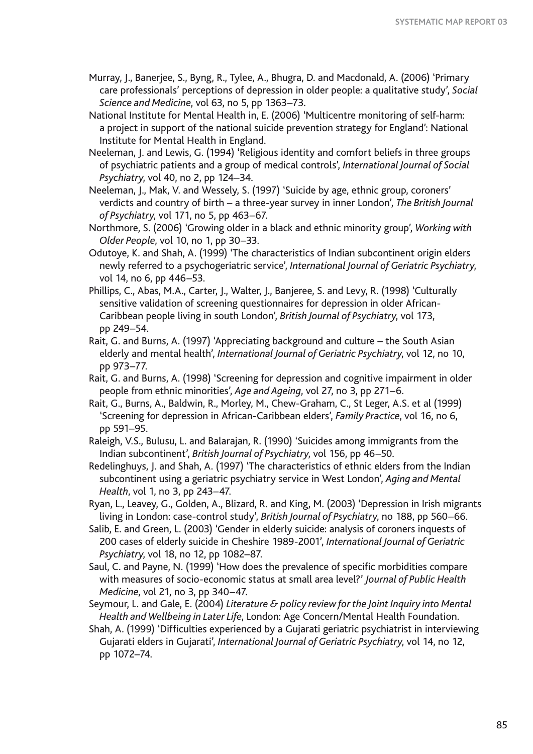- Murray, J., Banerjee, S., Byng, R., Tylee, A., Bhugra, D. and Macdonald, A. (2006) 'Primary care professionals' perceptions of depression in older people: a qualitative study', *Social Science and Medicine*, vol 63, no 5, pp 1363–73.
- National Institute for Mental Health in, E. (2006) 'Multicentre monitoring of self-harm: a project in support of the national suicide prevention strategy for England': National Institute for Mental Health in England.
- Neeleman, J. and Lewis, G. (1994) 'Religious identity and comfort beliefs in three groups of psychiatric patients and a group of medical controls', *International Journal of Social Psychiatry*, vol 40, no 2, pp 124–34.
- Neeleman, J., Mak, V. and Wessely, S. (1997) 'Suicide by age, ethnic group, coroners' verdicts and country of birth – a three-year survey in inner London', *The British Journal of Psychiatry*, vol 171, no 5, pp 463–67.
- Northmore, S. (2006) 'Growing older in a black and ethnic minority group', *Working with Older People*, vol 10, no 1, pp 30–33.
- Odutoye, K. and Shah, A. (1999) 'The characteristics of Indian subcontinent origin elders newly referred to a psychogeriatric service', *International Journal of Geriatric Psychiatry*, vol 14, no 6, pp 446–53.
- Phillips, C., Abas, M.A., Carter, J., Walter, J., Banjeree, S. and Levy, R. (1998) 'Culturally sensitive validation of screening questionnaires for depression in older African-Caribbean people living in south London', *British Journal of Psychiatry*, vol 173, pp 249–54.
- Rait, G. and Burns, A. (1997) 'Appreciating background and culture the South Asian elderly and mental health', *International Journal of Geriatric Psychiatry*, vol 12, no 10, pp 973–77.
- Rait, G. and Burns, A. (1998) 'Screening for depression and cognitive impairment in older people from ethnic minorities', *Age and Ageing*, vol 27, no 3, pp 271–6.
- Rait, G., Burns, A., Baldwin, R., Morley, M., Chew-Graham, C., St Leger, A.S. et al (1999) 'Screening for depression in African-Caribbean elders', *Family Practice*, vol 16, no 6, pp 591–95.
- Raleigh, V.S., Bulusu, L. and Balarajan, R. (1990) 'Suicides among immigrants from the Indian subcontinent', *British Journal of Psychiatry*, vol 156, pp 46–50.
- Redelinghuys, J. and Shah, A. (1997) 'The characteristics of ethnic elders from the Indian subcontinent using a geriatric psychiatry service in West London', *Aging and Mental Health*, vol 1, no 3, pp 243–47.
- Ryan, L., Leavey, G., Golden, A., Blizard, R. and King, M. (2003) 'Depression in Irish migrants living in London: case-control study', *British Journal of Psychiatry*, no 188, pp 560–66.
- Salib, E. and Green, L. (2003) 'Gender in elderly suicide: analysis of coroners inquests of 200 cases of elderly suicide in Cheshire 1989-2001', *International Journal of Geriatric Psychiatry*, vol 18, no 12, pp 1082–87.
- Saul, C. and Payne, N. (1999) 'How does the prevalence of specific morbidities compare with measures of socio-economic status at small area level?' *Journal of Public Health Medicine*, vol 21, no 3, pp 340–47.
- Seymour, L. and Gale, E. (2004) *Literature & policy review for the Joint Inquiry into Mental Health and Wellbeing in Later Life*, London: Age Concern/Mental Health Foundation.
- Shah, A. (1999) 'Difficulties experienced by a Gujarati geriatric psychiatrist in interviewing Gujarati elders in Gujarati', *International Journal of Geriatric Psychiatry*, vol 14, no 12, pp 1072–74.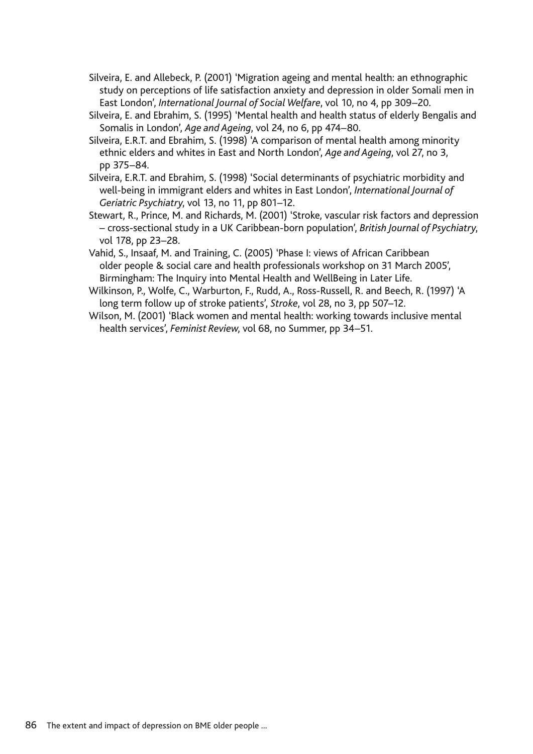- Silveira, E. and Allebeck, P. (2001) 'Migration ageing and mental health: an ethnographic study on perceptions of life satisfaction anxiety and depression in older Somali men in East London', *International Journal of Social Welfare*, vol 10, no 4, pp 309–20.
- Silveira, E. and Ebrahim, S. (1995) 'Mental health and health status of elderly Bengalis and Somalis in London', *Age and Ageing*, vol 24, no 6, pp 474–80.
- Silveira, E.R.T. and Ebrahim, S. (1998) 'A comparison of mental health among minority ethnic elders and whites in East and North London', *Age and Ageing*, vol 27, no 3, pp 375–84.
- Silveira, E.R.T. and Ebrahim, S. (1998) 'Social determinants of psychiatric morbidity and well-being in immigrant elders and whites in East London', *International Journal of Geriatric Psychiatry*, vol 13, no 11, pp 801–12.
- Stewart, R., Prince, M. and Richards, M. (2001) 'Stroke, vascular risk factors and depression – cross-sectional study in a UK Caribbean-born population', *British Journal of Psychiatry*, vol 178, pp 23–28.
- Vahid, S., Insaaf, M. and Training, C. (2005) 'Phase I: views of African Caribbean older people & social care and health professionals workshop on 31 March 2005', Birmingham: The Inquiry into Mental Health and WellBeing in Later Life.
- Wilkinson, P., Wolfe, C., Warburton, F., Rudd, A., Ross-Russell, R. and Beech, R. (1997) 'A long term follow up of stroke patients', *Stroke*, vol 28, no 3, pp 507–12.
- Wilson, M. (2001) 'Black women and mental health: working towards inclusive mental health services', *Feminist Review*, vol 68, no Summer, pp 34–51.